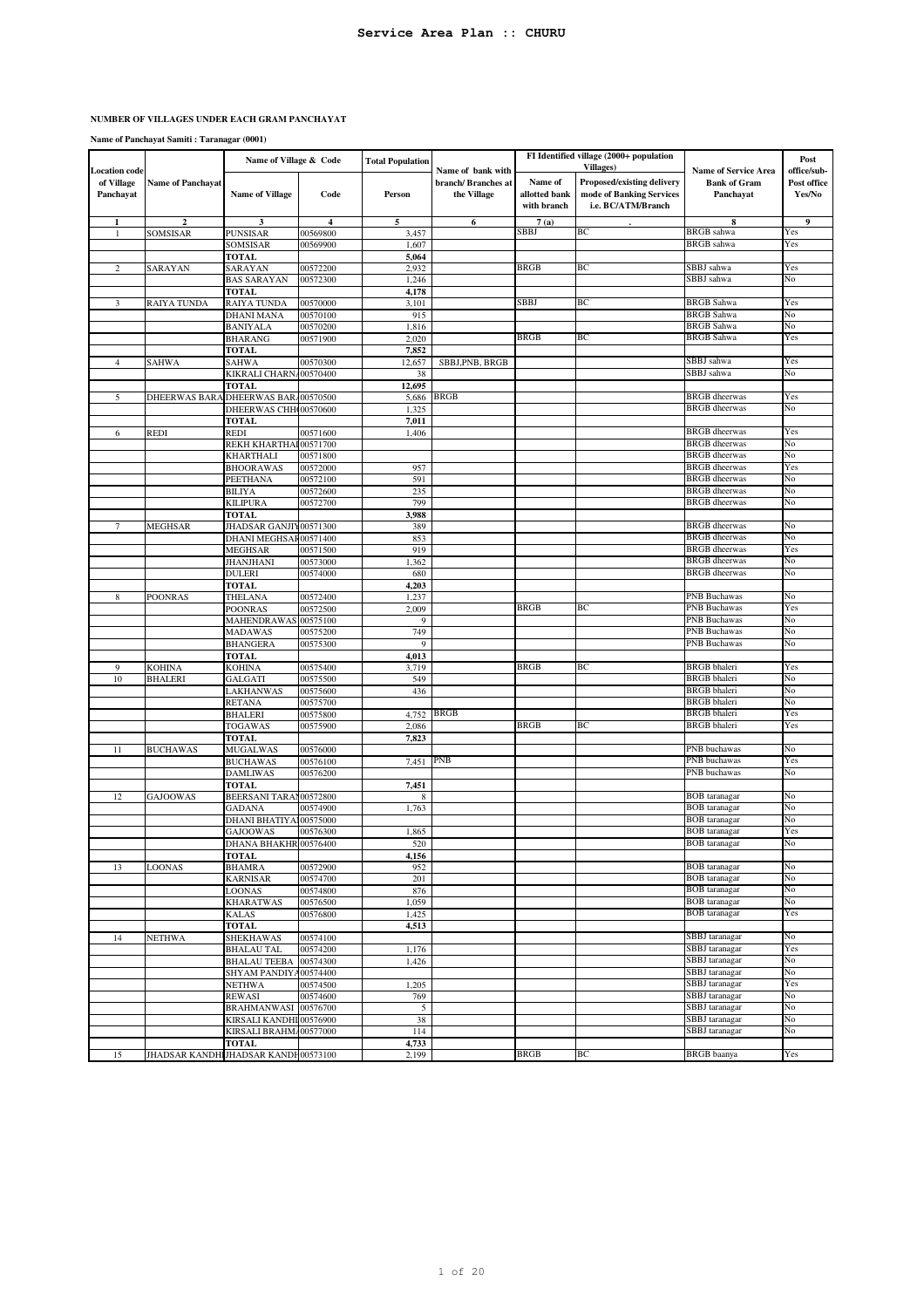**Name of Panchayat Samiti : Taranagar (0001)**

|                                                 |                                     | Name of Village & Code          |                      | <b>Total Population</b> |                                                         |                                         | FI Identified village (2000+ population<br><b>Villages</b> )                 |                                                                 | Post                                 |
|-------------------------------------------------|-------------------------------------|---------------------------------|----------------------|-------------------------|---------------------------------------------------------|-----------------------------------------|------------------------------------------------------------------------------|-----------------------------------------------------------------|--------------------------------------|
| <b>Location</b> code<br>of Village<br>Panchayat | <b>Name of Panchayat</b>            | <b>Name of Village</b>          | Code                 | Person                  | Name of bank with<br>branch/ Branches at<br>the Village | Name of<br>allotted bank<br>with branch | Proposed/existing delivery<br>mode of Banking Services<br>i.e. BC/ATM/Branch | <b>Name of Service Area</b><br><b>Bank of Gram</b><br>Panchayat | office/sub-<br>Post office<br>Yes/No |
| 1                                               | $\boldsymbol{2}$                    | 3                               | 4                    | 5                       | 6                                                       | 7(a)                                    |                                                                              | 8                                                               | 9                                    |
| 1                                               | SOMSISAR                            | <b>PUNSISAR</b>                 | 00569800             | 3,457                   |                                                         | SBBJ                                    | BС                                                                           | BRGB sahwa                                                      | Yes                                  |
|                                                 |                                     | SOMSISAR                        | 00569900             | 1,607                   |                                                         |                                         |                                                                              | <b>BRGB</b> sahwa                                               | Yes                                  |
|                                                 |                                     | <b>TOTAL</b>                    |                      | 5,064                   |                                                         |                                         |                                                                              |                                                                 |                                      |
| $\overline{c}$                                  | SARAYAN                             | SARAYAN                         | 00572200             | 2,932                   |                                                         | <b>BRGB</b>                             | ВC                                                                           | SBBJ sahwa                                                      | Yes                                  |
|                                                 |                                     | <b>BAS SARAYAN</b>              | 00572300             | 1,246                   |                                                         |                                         |                                                                              | SBBJ sahwa                                                      | No                                   |
|                                                 |                                     | <b>TOTAL</b>                    |                      | 4,178                   |                                                         |                                         |                                                                              |                                                                 |                                      |
| 3                                               | <b>RAIYA TUNDA</b>                  | RAIYA TUNDA                     | 00570000             | 3,101                   |                                                         | <b>SBBJ</b>                             | BC                                                                           | <b>BRGB</b> Sahwa                                               | Yes                                  |
|                                                 |                                     | <b>DHANI MANA</b>               | 00570100             | 915                     |                                                         |                                         |                                                                              | BRGB Sahwa                                                      | No                                   |
|                                                 |                                     | <b>BANIYALA</b>                 | 00570200             | 1,816                   |                                                         |                                         |                                                                              | <b>BRGB</b> Sahwa                                               | No                                   |
|                                                 |                                     | BHARANG                         | 00571900             | 2,020                   |                                                         | <b>BRGB</b>                             | ВC                                                                           | <b>BRGB</b> Sahwa                                               | Yes                                  |
|                                                 |                                     | <b>TOTAL</b>                    |                      | 7,852                   |                                                         |                                         |                                                                              |                                                                 |                                      |
| $\overline{4}$                                  | SAHWA                               | <b>SAHWA</b>                    | 00570300             | 12,657                  | SBBJ, PNB, BRGB                                         |                                         |                                                                              | SBBJ sahwa<br>SBBJ sahwa                                        | Yes                                  |
|                                                 |                                     | KIKRALI CHARN                   | 00570400             | 38                      |                                                         |                                         |                                                                              |                                                                 | No                                   |
|                                                 |                                     | <b>TOTAL</b>                    |                      | 12,695                  | <b>BRGB</b>                                             |                                         |                                                                              | <b>BRGB</b> dheerwas                                            | Yes                                  |
| 5                                               | <b>DHEERWAS BARA</b>                | DHEERWAS BAR/00570500           |                      | 5,686                   |                                                         |                                         |                                                                              | <b>BRGB</b> dheerwas                                            | No                                   |
|                                                 |                                     | DHEERWAS CHH000570600           |                      | 1,325                   |                                                         |                                         |                                                                              |                                                                 |                                      |
|                                                 |                                     | <b>TOTAL</b>                    |                      | 7,011                   |                                                         |                                         |                                                                              |                                                                 |                                      |
| 6                                               | <b>REDI</b>                         | <b>REDI</b>                     | 00571600             | 1,406                   |                                                         |                                         |                                                                              | <b>BRGB</b> dheerwas<br><b>BRGB</b> dheerwas                    | Yes<br>No                            |
|                                                 |                                     | REKH KHARTHAI                   | 00571700             |                         |                                                         |                                         |                                                                              | <b>BRGB</b> dheerwas                                            | No                                   |
|                                                 |                                     | KHARTHALI                       | 00571800             |                         |                                                         |                                         |                                                                              | <b>BRGB</b> dheerwas                                            | Yes                                  |
|                                                 |                                     | <b>BHOORAWAS</b><br>PEETHANA    | 00572000             | 957                     |                                                         |                                         |                                                                              | <b>BRGB</b> dheerwas                                            | No                                   |
|                                                 |                                     | <b>BILIYA</b>                   | 00572100<br>00572600 | 591<br>235              |                                                         |                                         |                                                                              | <b>BRGB</b> dheerwas                                            | No                                   |
|                                                 |                                     |                                 |                      |                         |                                                         |                                         |                                                                              | <b>BRGB</b> dheerwas                                            | No                                   |
|                                                 |                                     | <b>KILIPURA</b><br><b>TOTAL</b> | 00572700             | 799                     |                                                         |                                         |                                                                              |                                                                 |                                      |
| $7\phantom{.0}$                                 | <b>MEGHSAR</b>                      | JHADSAR GANJIY00571300          |                      | 3,988<br>389            |                                                         |                                         |                                                                              | <b>BRGB</b> dheerwas                                            | No                                   |
|                                                 |                                     | DHANI MEGHSAF00571400           |                      | 853                     |                                                         |                                         |                                                                              | <b>BRGB</b> dheerwas                                            | No                                   |
|                                                 |                                     | <b>MEGHSAR</b>                  | 00571500             | 919                     |                                                         |                                         |                                                                              | <b>BRGB</b> dheerwas                                            | Yes                                  |
|                                                 |                                     | JHANJHANI                       | 00573000             | 1,362                   |                                                         |                                         |                                                                              | <b>BRGB</b> dheerwas                                            | No                                   |
|                                                 |                                     | <b>DULERI</b>                   | 00574000             | 680                     |                                                         |                                         |                                                                              | <b>BRGB</b> dheerwas                                            | No                                   |
|                                                 |                                     | <b>TOTAL</b>                    |                      | 4,203                   |                                                         |                                         |                                                                              |                                                                 |                                      |
| 8                                               | <b>POONRAS</b>                      | THELANA                         | 00572400             | 1,237                   |                                                         |                                         |                                                                              | PNB Buchawas                                                    | No                                   |
|                                                 |                                     | <b>POONRAS</b>                  | 00572500             | 2,009                   |                                                         | <b>BRGB</b>                             | ВC                                                                           | PNB Buchawas                                                    | Yes                                  |
|                                                 |                                     | MAHENDRAWAS 00575100            |                      | 9                       |                                                         |                                         |                                                                              | PNB Buchawas                                                    | No                                   |
|                                                 |                                     | MADAWAS                         | 00575200             | 749                     |                                                         |                                         |                                                                              | PNB Buchawas                                                    | No                                   |
|                                                 |                                     | <b>BHANGERA</b>                 | 00575300             | 9                       |                                                         |                                         |                                                                              | PNB Buchawas                                                    | No                                   |
|                                                 |                                     | <b>TOTAL</b>                    |                      | 4,013                   |                                                         |                                         |                                                                              |                                                                 |                                      |
| 9                                               | <b>KOHINA</b>                       | KOHINA                          | 00575400             | 3,719                   |                                                         | <b>BRGB</b>                             | ВC                                                                           | <b>BRGB</b> bhaleri                                             | Yes                                  |
| 10                                              | <b>BHALERI</b>                      | <b>GALGATI</b>                  | 00575500             | 549                     |                                                         |                                         |                                                                              | <b>BRGB</b> bhaleri                                             | No                                   |
|                                                 |                                     | LAKHANWAS                       | 00575600             | 436                     |                                                         |                                         |                                                                              | <b>BRGB</b> bhaleri                                             | No                                   |
|                                                 |                                     | <b>RETANA</b>                   | 00575700             |                         |                                                         |                                         |                                                                              | <b>BRGB</b> bhaleri                                             | No                                   |
|                                                 |                                     | <b>BHALERI</b>                  | 00575800             | 4,752                   | <b>BRGB</b>                                             |                                         |                                                                              | <b>BRGB</b> bhaleri                                             | Yes                                  |
|                                                 |                                     | <b>TOGAWAS</b>                  | 00575900             | 2,086                   |                                                         | <b>BRGB</b>                             | BC                                                                           | <b>BRGB</b> bhaleri                                             | Yes                                  |
|                                                 |                                     | <b>TOTAL</b>                    |                      | 7,823                   |                                                         |                                         |                                                                              |                                                                 |                                      |
| 11                                              | <b>BUCHAWAS</b>                     | <b>MUGALWAS</b>                 | 00576000             |                         |                                                         |                                         |                                                                              | PNB buchawas                                                    | No                                   |
|                                                 |                                     | <b>BUCHAWAS</b>                 | 00576100             | 7,451                   | PNB                                                     |                                         |                                                                              | PNB buchawas                                                    | Yes                                  |
|                                                 |                                     | <b>DAMLIWAS</b>                 | 00576200             |                         |                                                         |                                         |                                                                              | PNB buchawas                                                    | No                                   |
|                                                 |                                     | <b>TOTAL</b>                    |                      | 7,451                   |                                                         |                                         |                                                                              |                                                                 |                                      |
| 12                                              | <b>GAJOOWAS</b>                     | BEERSANI TARAM00572800          |                      | 8                       |                                                         |                                         |                                                                              | <b>BOB</b> taranagar                                            | No                                   |
|                                                 |                                     | <b>GADANA</b>                   | 00574900             | 1,763                   |                                                         |                                         |                                                                              | <b>BOB</b> taranagar                                            | No                                   |
|                                                 |                                     | DHANI BHATIYAI00575000          |                      |                         |                                                         |                                         |                                                                              | <b>BOB</b> taranagar                                            | No                                   |
|                                                 |                                     | <b>GAJOOWAS</b>                 | 00576300             | 1,865                   |                                                         |                                         |                                                                              | <b>BOB</b> taranagar                                            | Yes                                  |
|                                                 |                                     | DHANA BHAKHR 00576400           |                      | 520                     |                                                         |                                         |                                                                              | <b>BOB</b> taranagar                                            | No                                   |
|                                                 |                                     | TOTAL                           |                      | 4,156                   |                                                         |                                         |                                                                              |                                                                 |                                      |
| 13                                              | LOONAS                              | <b>BHAMRA</b>                   | 00572900             | 952                     |                                                         |                                         |                                                                              | <b>BOB</b> taranagar                                            | No                                   |
|                                                 |                                     | <b>KARNISAR</b>                 | 00574700             | 201                     |                                                         |                                         |                                                                              | <b>BOB</b> taranagar                                            | No                                   |
|                                                 |                                     | LOONAS                          | 00574800             | 876                     |                                                         |                                         |                                                                              | <b>BOB</b> taranagar                                            | No                                   |
|                                                 |                                     | <b>KHARATWAS</b>                | 00576500             | 1,059                   |                                                         |                                         |                                                                              | <b>BOB</b> taranagar                                            | No                                   |
|                                                 |                                     | <b>KALAS</b>                    | 00576800             | 1,425                   |                                                         |                                         |                                                                              | <b>BOB</b> taranagar                                            | Yes                                  |
|                                                 |                                     | <b>TOTAL</b>                    |                      | 4,513                   |                                                         |                                         |                                                                              |                                                                 |                                      |
| 14                                              | NETHWA                              | <b>SHEKHAWAS</b>                | 00574100             |                         |                                                         |                                         |                                                                              | SBBJ taranagar                                                  | No                                   |
|                                                 |                                     | <b>BHALAU TAL</b>               | 00574200             | 1,176                   |                                                         |                                         |                                                                              | SBBJ taranagar                                                  | Yes                                  |
|                                                 |                                     | <b>BHALAU TEEBA</b>             | 00574300             | 1,426                   |                                                         |                                         |                                                                              | SBBJ taranagar                                                  | No                                   |
|                                                 |                                     | SHYAM PANDIYA00574400           |                      |                         |                                                         |                                         |                                                                              | SBBJ taranagar                                                  | No                                   |
|                                                 |                                     | NETHWA                          | 00574500             | 1,205                   |                                                         |                                         |                                                                              | SBBJ taranagar                                                  | Yes                                  |
|                                                 |                                     | REWASI                          | 00574600             | 769                     |                                                         |                                         |                                                                              | SBBJ taranagar                                                  | No                                   |
|                                                 |                                     | BRAHMANWASI                     | 00576700             | 5                       |                                                         |                                         |                                                                              | SBBJ taranagar                                                  | No                                   |
|                                                 |                                     | KIRSALI KANDHI 00576900         |                      | 38                      |                                                         |                                         |                                                                              | SBBJ taranagar                                                  | No                                   |
|                                                 |                                     | KIRSALI BRAHMA00577000          |                      | 114                     |                                                         |                                         |                                                                              | SBBJ taranagar                                                  | No                                   |
|                                                 |                                     | <b>TOTAL</b>                    |                      | 4,733                   |                                                         |                                         |                                                                              |                                                                 |                                      |
| 15                                              | JHADSAR KANDHIJHADSAR KANDH00573100 |                                 |                      | 2,199                   |                                                         | <b>BRGB</b>                             | ВC                                                                           | <b>BRGB</b> baanya                                              | Yes                                  |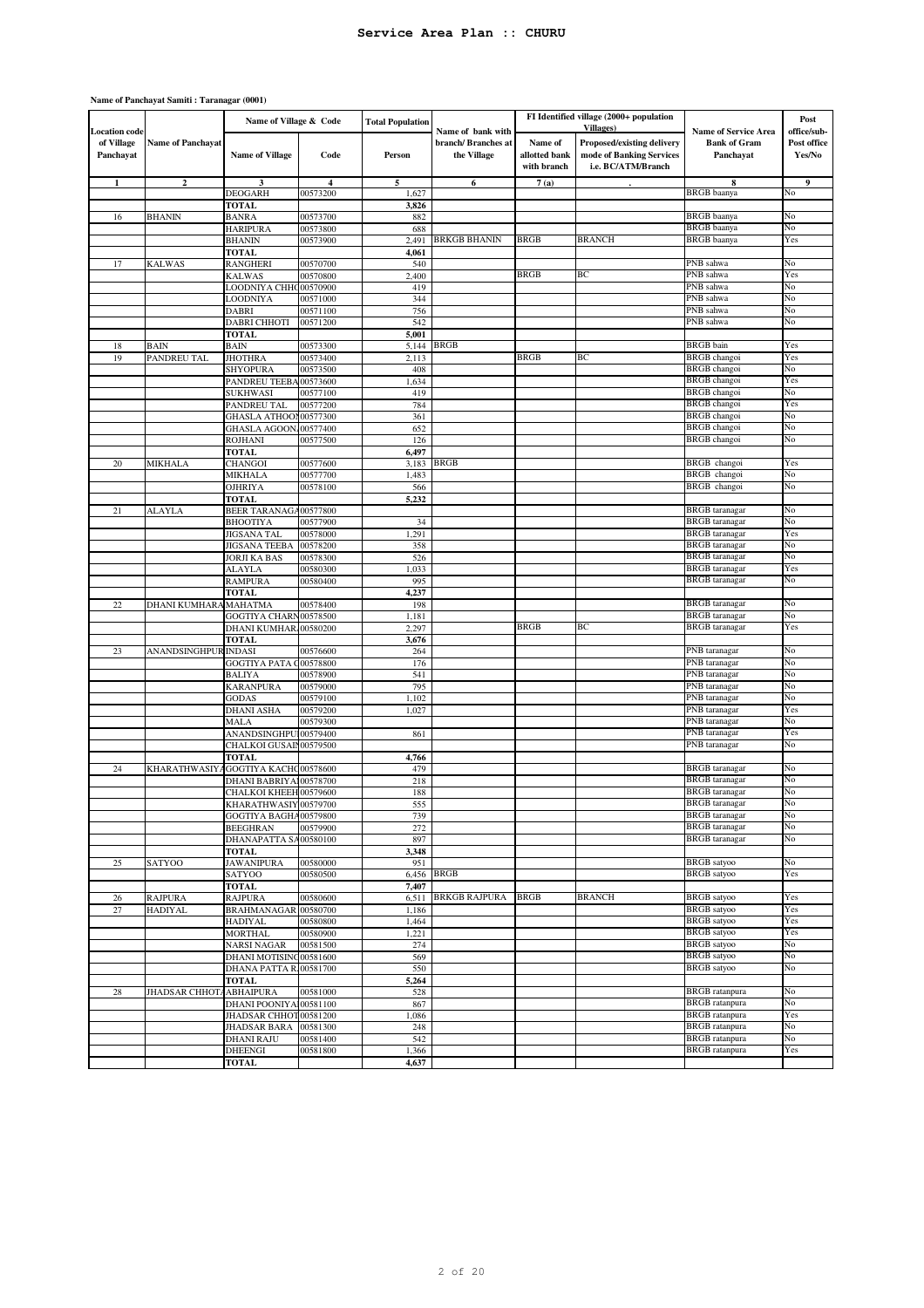| <b>Location</b> code    |                          | Name of Village & Code                 |                         | <b>Total Population</b> | Name of bank with                  |                                         | FI Identified village (2000+ population<br>Villages)                         | <b>Name of Service Area</b>                    | Post<br>office/sub-   |
|-------------------------|--------------------------|----------------------------------------|-------------------------|-------------------------|------------------------------------|-----------------------------------------|------------------------------------------------------------------------------|------------------------------------------------|-----------------------|
| of Village<br>Panchayat | <b>Name of Panchayat</b> | <b>Name of Village</b>                 | Code                    | Person                  | branch/ Branches at<br>the Village | Name of<br>allotted bank<br>with branch | Proposed/existing delivery<br>mode of Banking Services<br>i.e. BC/ATM/Branch | <b>Bank of Gram</b><br>Panchayat               | Post office<br>Yes/No |
| $\mathbf{1}$            | $\mathbf{2}$             | 3                                      | $\overline{\mathbf{4}}$ | 5                       | 6                                  | 7(a)                                    |                                                                              | 8                                              | 9                     |
|                         |                          | <b>DEOGARH</b><br><b>TOTAL</b>         | 00573200                | 1,627                   |                                    |                                         |                                                                              | <b>BRGB</b> baanya                             | No                    |
| 16                      | <b>BHANIN</b>            | BANRA                                  | 00573700                | 3,826<br>882            |                                    |                                         |                                                                              | <b>BRGB</b> baanya                             | No                    |
|                         |                          | <b>HARIPURA</b>                        | 00573800                | 688                     |                                    |                                         |                                                                              | <b>BRGB</b> baanya                             | No                    |
|                         |                          | <b>BHANIN</b>                          | 00573900                | 2,491                   | <b>BRKGB BHANIN</b>                | <b>BRGB</b>                             | BRANCH                                                                       | <b>BRGB</b> baanya                             | Yes                   |
|                         |                          | TOTAL                                  |                         | 4,061                   |                                    |                                         |                                                                              |                                                |                       |
| 17                      | <b>KALWAS</b>            | RANGHERI                               | 00570700                | 540                     |                                    |                                         |                                                                              | PNB sahwa                                      | No                    |
|                         |                          | <b>KALWAS</b>                          | 00570800                | 2,400                   |                                    | <b>BRGB</b>                             | ВC                                                                           | PNB sahwa<br>PNB sahwa                         | Yes                   |
|                         |                          | LOODNIYA CHHO00570900<br>LOODNIYA      | 00571000                | 419<br>344              |                                    |                                         |                                                                              | PNB sahwa                                      | No<br>No              |
|                         |                          | <b>DABRI</b>                           | 00571100                | 756                     |                                    |                                         |                                                                              | PNB sahwa                                      | No                    |
|                         |                          | DABRI CHHOTI                           | 00571200                | 542                     |                                    |                                         |                                                                              | PNB sahwa                                      | No                    |
|                         |                          | TOTAL                                  |                         | 5,001                   |                                    |                                         |                                                                              |                                                |                       |
| 18                      | <b>BAIN</b>              | <b>BAIN</b>                            | 00573300                | 5,144                   | <b>BRGB</b>                        |                                         |                                                                              | <b>BRGB</b> bain                               | Yes                   |
| 19                      | PANDREU TAL              | <b>JHOTHRA</b>                         | 00573400                | 2,113                   |                                    | <b>BRGB</b>                             | ВC                                                                           | <b>BRGB</b> changoi                            | Yes                   |
|                         |                          | SHYOPURA                               | 00573500                | 408                     |                                    |                                         |                                                                              | <b>BRGB</b> changoi                            | No                    |
|                         |                          | PANDREU TEEB/<br><b>SUKHWASI</b>       | 00573600<br>00577100    | 1,634<br>419            |                                    |                                         |                                                                              | <b>BRGB</b> changoi<br>BRGB changoi            | Yes<br>No             |
|                         |                          | PANDREU TAL                            | 00577200                | 784                     |                                    |                                         |                                                                              | <b>BRGB</b> changoi                            | Yes                   |
|                         |                          | GHASLA ATHOON00577300                  |                         | 361                     |                                    |                                         |                                                                              | <b>BRGB</b> changoi                            | No                    |
|                         |                          | <b>GHASLA AGOON</b>                    | 00577400                | 652                     |                                    |                                         |                                                                              | <b>BRGB</b> changoi                            | No                    |
|                         |                          | <b>ROJHANI</b>                         | 00577500                | 126                     |                                    |                                         |                                                                              | <b>BRGB</b> changoi                            | No                    |
|                         |                          | <b>TOTAL</b>                           |                         | 6,497                   |                                    |                                         |                                                                              |                                                |                       |
| 20                      | MIKHALA                  | <b>CHANGOI</b>                         | 00577600                | 3,183                   | <b>BRGB</b>                        |                                         |                                                                              | BRGB changoi                                   | Yes                   |
|                         |                          | MIKHALA<br><b>OJHRIYA</b>              | 00577700<br>00578100    | 1,483<br>566            |                                    |                                         |                                                                              | BRGB changoi<br>BRGB changoi                   | No<br>No              |
|                         |                          | TOTAL                                  |                         | 5,232                   |                                    |                                         |                                                                              |                                                |                       |
| 21                      | ALAYLA                   | <b>BEER TARANAGA</b>                   | 00577800                |                         |                                    |                                         |                                                                              | <b>BRGB</b> taranagar                          | No                    |
|                         |                          | <b>BHOOTIYA</b>                        | 00577900                | 34                      |                                    |                                         |                                                                              | <b>BRGB</b> taranagar                          | No                    |
|                         |                          | JIGSANA TAL                            | 00578000                | 1,291                   |                                    |                                         |                                                                              | <b>BRGB</b> taranagar                          | Yes                   |
|                         |                          | <b>JIGSANA TEEBA</b>                   | 00578200                | 358                     |                                    |                                         |                                                                              | <b>BRGB</b> taranagar                          | No                    |
|                         |                          | <b>JORJI KA BAS</b>                    | 00578300                | 526                     |                                    |                                         |                                                                              | <b>BRGB</b> taranagar                          | No                    |
|                         |                          | <b>ALAYLA</b><br><b>RAMPURA</b>        | 00580300<br>00580400    | 1,033<br>995            |                                    |                                         |                                                                              | <b>BRGB</b> taranagar<br><b>BRGB</b> taranagar | Yes<br>No             |
|                         |                          | <b>TOTAL</b>                           |                         | 4,237                   |                                    |                                         |                                                                              |                                                |                       |
| 22                      | <b>DHANI KUMHARA</b>     | <b>MAHATMA</b>                         | 00578400                | 198                     |                                    |                                         |                                                                              | <b>BRGB</b> taranagar                          | No                    |
|                         |                          | GOGTIYA CHARN00578500                  |                         | 1,181                   |                                    |                                         |                                                                              | <b>BRGB</b> taranagar                          | No                    |
|                         |                          | DHANI KUMHAR 00580200                  |                         | 2,297                   |                                    | <b>BRGB</b>                             | BС                                                                           | <b>BRGB</b> taranagar                          | Yes                   |
|                         |                          | <b>TOTAL</b>                           |                         | 3,676                   |                                    |                                         |                                                                              |                                                |                       |
| 23                      | ANANDSINGHPUR INDASI     |                                        | 00576600                | 264                     |                                    |                                         |                                                                              | PNB taranagar                                  | No                    |
|                         |                          | <b>GOGTIYA PATA C</b><br><b>BALIYA</b> | 00578800<br>00578900    | 176<br>541              |                                    |                                         |                                                                              | PNB taranagar<br>PNB taranagar                 | No<br>No              |
|                         |                          | <b>KARANPURA</b>                       | 00579000                | 795                     |                                    |                                         |                                                                              | PNB taranagar                                  | No                    |
|                         |                          | <b>GODAS</b>                           | 00579100                | 1,102                   |                                    |                                         |                                                                              | PNB taranagar                                  | No                    |
|                         |                          | <b>DHANI ASHA</b>                      | 00579200                | 1,027                   |                                    |                                         |                                                                              | PNB taranagar                                  | Yes                   |
|                         |                          | MALA                                   | 00579300                |                         |                                    |                                         |                                                                              | PNB taranagar                                  | No                    |
|                         |                          | ANANDSINGHPU100579400                  |                         | 861                     |                                    |                                         |                                                                              | PNB taranagar                                  | Yes                   |
|                         |                          | CHALKOI GUSAIN00579500<br><b>TOTAL</b> |                         |                         |                                    |                                         |                                                                              | PNB taranagar                                  | No                    |
| 24                      | KHARATHWASIY.            | GOGTIYA KACHC00578600                  |                         | 4,766<br>479            |                                    |                                         |                                                                              | <b>BRGB</b> taranagar                          | No                    |
|                         |                          | DHANI BABRIYAI00578700                 |                         | 218                     |                                    |                                         |                                                                              | <b>BRGB</b> taranagar                          | No                    |
|                         |                          | CHALKOI KHEEH 00579600                 |                         | 188                     |                                    |                                         |                                                                              | <b>BRGB</b> taranagar                          | No                    |
|                         |                          | KHARATHWASIY 00579700                  |                         | 555                     |                                    |                                         |                                                                              | <b>BRGB</b> taranagar                          | No                    |
|                         |                          | GOGTIYA BAGHA00579800                  |                         | 739                     |                                    |                                         |                                                                              | <b>BRGB</b> taranagar                          | No                    |
|                         |                          | <b>BEEGHRAN</b>                        | 00579900                | 272                     |                                    |                                         |                                                                              | <b>BRGB</b> taranagar<br><b>BRGB</b> taranagar | No<br>No              |
|                         |                          | DHANAPATTA SA00580100<br><b>TOTAL</b>  |                         | 897<br>3,348            |                                    |                                         |                                                                              |                                                |                       |
| 25                      | SATYOO                   | <b>JAWANIPURA</b>                      | 00580000                | 951                     |                                    |                                         |                                                                              | <b>BRGB</b> satyoo                             | No                    |
|                         |                          | SATYOO                                 | 00580500                | 6,456                   | <b>BRGB</b>                        |                                         |                                                                              | <b>BRGB</b> satyoo                             | Yes                   |
|                         |                          | <b>TOTAL</b>                           |                         | 7,407                   |                                    |                                         |                                                                              |                                                |                       |
| 26                      | <b>RAJPURA</b>           | <b>RAJPURA</b>                         | 00580600                | 6,511                   | <b>BRKGB RAJPURA</b>               | <b>BRGB</b>                             | <b>BRANCH</b>                                                                | <b>BRGB</b> satyoo                             | Yes                   |
| 27                      | <b>HADIYAL</b>           | BRAHMANAGAR 00580700                   |                         | 1,186                   |                                    |                                         |                                                                              | <b>BRGB</b> satyoo<br><b>BRGB</b> satyoo       | Yes                   |
|                         |                          | <b>HADIYAL</b><br><b>MORTHAL</b>       | 00580800<br>00580900    | 1,464<br>1,221          |                                    |                                         |                                                                              | <b>BRGB</b> satyoo                             | Yes<br>Yes            |
|                         |                          | <b>NARSI NAGAR</b>                     | 00581500                | 274                     |                                    |                                         |                                                                              | <b>BRGB</b> satyoo                             | No                    |
|                         |                          | DHANI MOTISINC00581600                 |                         | 569                     |                                    |                                         |                                                                              | <b>BRGB</b> satyoo                             | No                    |
|                         |                          | DHANA PATTA R.                         | 00581700                | 550                     |                                    |                                         |                                                                              | <b>BRGB</b> satyoo                             | No                    |
|                         |                          | TOTAL                                  |                         | 5,264                   |                                    |                                         |                                                                              |                                                |                       |
| 28                      | <b>JHADSAR CHHOT</b>     | <b>ABHAIPURA</b>                       | 00581000                | 528                     |                                    |                                         |                                                                              | <b>BRGB</b> ratanpura                          | No                    |
|                         |                          | DHANI POONIYA100581100                 |                         | 867                     |                                    |                                         |                                                                              | <b>BRGB</b> ratanpura                          | No                    |
|                         |                          | JHADSAR CHHOT00581200<br>JHADSAR BARA  | 00581300                | 1,086<br>248            |                                    |                                         |                                                                              | <b>BRGB</b> ratanpura<br><b>BRGB</b> ratanpura | Yes<br>No             |
|                         |                          | <b>DHANI RAJU</b>                      | 00581400                | 542                     |                                    |                                         |                                                                              | <b>BRGB</b> ratanpura                          | No                    |
|                         |                          | <b>DHEENGI</b>                         | 00581800                | 1,366                   |                                    |                                         |                                                                              | <b>BRGB</b> ratanpura                          | Yes                   |
|                         |                          | <b>TOTAL</b>                           |                         | 4,637                   |                                    |                                         |                                                                              |                                                |                       |

#### **Name of Panchayat Samiti : Taranagar (0001)**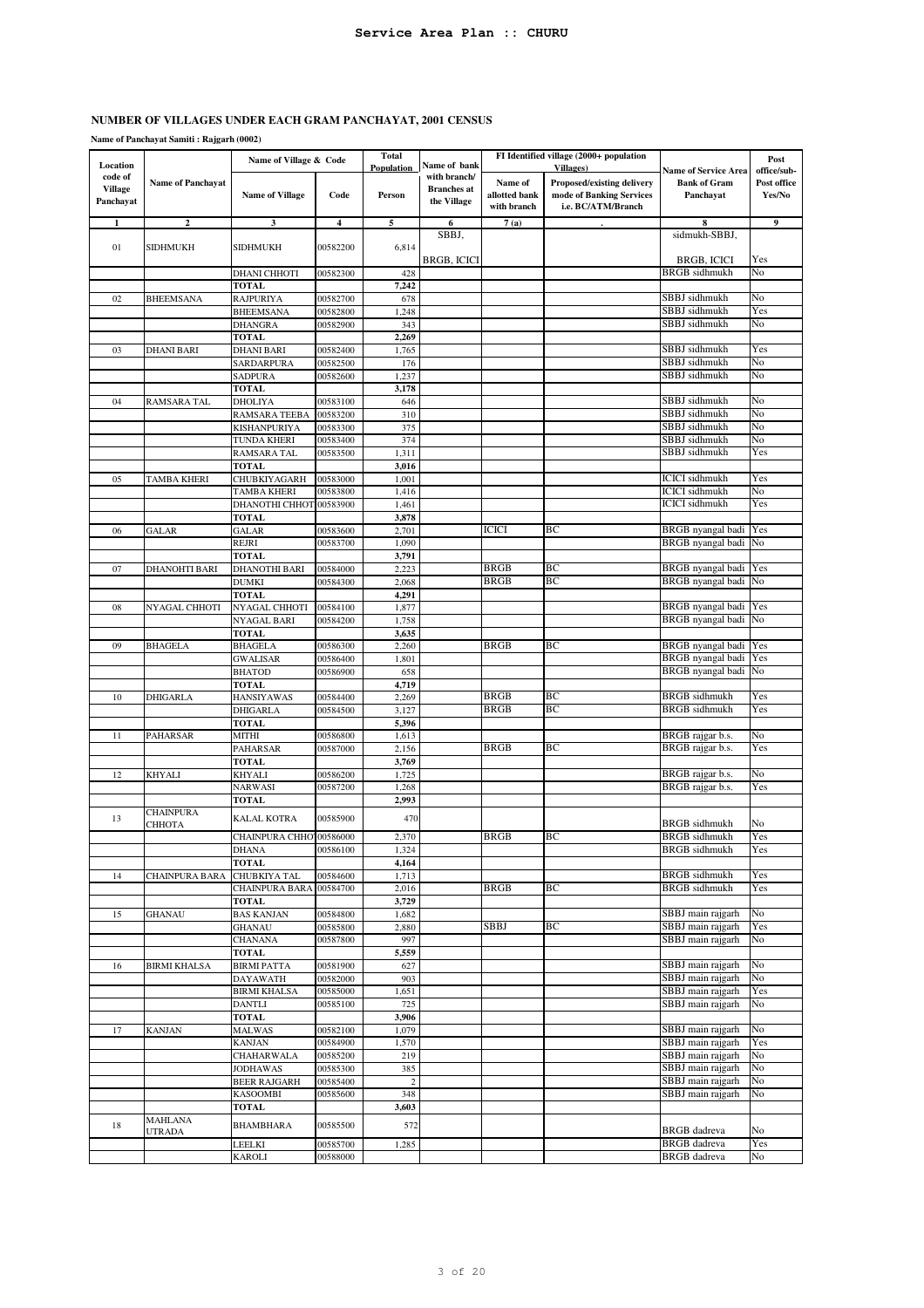# **NUMBER OF VILLAGES UNDER EACH GRAM PANCHAYAT, 2001 CENSUS**

**Name of Panchayat Samiti : Rajgarh (0002)**

|                           |                          | Name of Village & Code                 |                      | <b>Total</b>            |                                    |               | FI Identified village (2000+ population |                                                | Post        |
|---------------------------|--------------------------|----------------------------------------|----------------------|-------------------------|------------------------------------|---------------|-----------------------------------------|------------------------------------------------|-------------|
| Location                  |                          |                                        |                      | Population              | Name of bank                       |               | <b>Villages</b> )                       | <b>Name of Service Area</b>                    | office/sub- |
| code of<br><b>Village</b> | <b>Name of Panchayat</b> |                                        |                      |                         | with branch/<br><b>Branches</b> at | Name of       | Proposed/existing delivery              | <b>Bank of Gram</b>                            | Post office |
| Panchayat                 |                          | <b>Name of Village</b>                 | Code                 | Person                  | the Village                        | allotted bank | mode of Banking Services                | Panchayat                                      | Yes/No      |
|                           |                          |                                        |                      |                         |                                    | with branch   | i.e. BC/ATM/Branch                      |                                                |             |
| 1                         | $\mathbf{2}$             | 3                                      | $\overline{4}$       | 5                       | 6                                  | 7(a)          |                                         | 8                                              | 9           |
|                           |                          |                                        |                      |                         | SBBJ,                              |               |                                         | sidmukh-SBBJ,                                  |             |
| 01                        | <b>SIDHMUKH</b>          | SIDHMUKH                               | 00582200             | 6,814                   | BRGB, ICICI                        |               |                                         | BRGB, ICICI                                    | Yes         |
|                           |                          | DHANI CHHOTI                           | 00582300             | 428                     |                                    |               |                                         | <b>BRGB</b> sidhmukh                           | No          |
|                           |                          | TOTAL                                  |                      | 7,242                   |                                    |               |                                         |                                                |             |
| 02                        | <b>BHEEMSANA</b>         | <b>RAJPURIYA</b>                       | 00582700             | 678                     |                                    |               |                                         | SBBJ sidhmukh                                  | No          |
|                           |                          | <b>BHEEMSANA</b>                       | 00582800             | 1,248                   |                                    |               |                                         | SBBJ sidhmukh                                  | Yes         |
|                           |                          | DHANGRA                                | 00582900             | 343                     |                                    |               |                                         | SBBJ sidhmukh                                  | No          |
|                           |                          | <b>TOTAL</b>                           |                      | 2,269                   |                                    |               |                                         |                                                |             |
| 03                        | <b>DHANI BARI</b>        | <b>DHANI BARI</b>                      | 00582400             | 1,765                   |                                    |               |                                         | SBBJ sidhmukh                                  | Yes         |
|                           |                          | SARDARPURA<br><b>SADPURA</b>           | 00582500<br>00582600 | 176<br>1,237            |                                    |               |                                         | SBBJ sidhmukh<br>SBBJ sidhmukh                 | No<br>No    |
|                           |                          | <b>TOTAL</b>                           |                      | 3,178                   |                                    |               |                                         |                                                |             |
| 04                        | RAMSARA TAL              | DHOLIYA                                | 00583100             | 646                     |                                    |               |                                         | SBBJ sidhmukh                                  | No          |
|                           |                          | RAMSARA TEEBA                          | 00583200             | 310                     |                                    |               |                                         | SBBJ sidhmukh                                  | No          |
|                           |                          | KISHANPURIYA                           | 00583300             | 375                     |                                    |               |                                         | SBBJ sidhmukh                                  | No          |
|                           |                          | TUNDA KHERI                            | 00583400             | 374                     |                                    |               |                                         | SBBJ sidhmukh                                  | No          |
|                           |                          | RAMSARA TAL                            | 00583500             | 1,311                   |                                    |               |                                         | SBBJ sidhmukh                                  | Yes         |
|                           |                          | <b>TOTAL</b>                           |                      | 3,016                   |                                    |               |                                         |                                                |             |
| 05                        | <b>TAMBA KHERI</b>       | <b>CHUBKIYAGARH</b>                    | 00583000             | 1,001                   |                                    |               |                                         | <b>ICICI</b> sidhmukh                          | Yes         |
|                           |                          | TAMBA KHERI<br>DHANOTHI CHHOT          | 00583800<br>00583900 | 1,416<br>1,461          |                                    |               |                                         | <b>ICICI</b> sidhmukh<br><b>ICICI</b> sidhmukh | No<br>Yes   |
|                           |                          | <b>TOTAL</b>                           |                      | 3,878                   |                                    |               |                                         |                                                |             |
| 06                        | GALAR                    | <b>GALAR</b>                           | 00583600             | 2,701                   |                                    | ICICI         | ВC                                      | BRGB nyangal badi                              | Yes         |
|                           |                          | <b>REJRI</b>                           | 00583700             | 1,090                   |                                    |               |                                         | <b>BRGB</b> nyangal badi                       | No          |
|                           |                          | TOTAL                                  |                      | 3,791                   |                                    |               |                                         |                                                |             |
| 07                        | <b>DHANOHTI BARI</b>     | DHANOTHI BARI                          | 00584000             | 2,223                   |                                    | <b>BRGB</b>   | BC                                      | BRGB nyangal badi                              | Yes         |
|                           |                          | <b>DUMKI</b>                           | 00584300             | 2,068                   |                                    | <b>BRGB</b>   | BC                                      | <b>BRGB</b> nyangal badi                       | No          |
|                           |                          | <b>TOTAL</b>                           |                      | 4,291                   |                                    |               |                                         |                                                |             |
| 08                        | NYAGAL CHHOTI            | NYAGAL CHHOTI                          | 00584100             | 1,877                   |                                    |               |                                         | BRGB nyangal badi<br>BRGB nyangal badi         | Yes<br>No   |
|                           |                          | NYAGAL BARI<br><b>TOTAL</b>            | 00584200             | 1,758<br>3,635          |                                    |               |                                         |                                                |             |
| 09                        | <b>BHAGELA</b>           | <b>BHAGELA</b>                         | 00586300             | 2,260                   |                                    | BRGB          | ВC                                      | <b>BRGB</b> nyangal badi                       | Yes         |
|                           |                          | <b>GWALISAR</b>                        | 00586400             | 1,801                   |                                    |               |                                         | BRGB nyangal badi                              | Yes         |
|                           |                          | <b>BHATOD</b>                          | 00586900             | 658                     |                                    |               |                                         | BRGB nyangal badi                              | No          |
|                           |                          | <b>TOTAL</b>                           |                      | 4,719                   |                                    |               |                                         |                                                |             |
| 10                        | <b>DHIGARLA</b>          | <b>HANSIYAWAS</b>                      | 00584400             | 2,269                   |                                    | <b>BRGB</b>   | BC                                      | <b>BRGB</b> sidhmukh                           | Yes         |
|                           |                          | <b>DHIGARLA</b>                        | 00584500             | 3,127                   |                                    | <b>BRGB</b>   | BC                                      | <b>BRGB</b> sidhmukh                           | Yes         |
| 11                        | PAHARSAR                 | <b>TOTAL</b><br><b>MITHI</b>           | 00586800             | 5,396<br>1,613          |                                    |               |                                         | BRGB rajgar b.s.                               | No          |
|                           |                          | <b>PAHARSAR</b>                        | 00587000             | 2,156                   |                                    | BRGB          | BC                                      | BRGB rajgar b.s.                               | Yes         |
|                           |                          | <b>TOTAL</b>                           |                      | 3,769                   |                                    |               |                                         |                                                |             |
| 12                        | <b>KHYALI</b>            | KHYALI                                 | 00586200             | 1,725                   |                                    |               |                                         | BRGB rajgar b.s.                               | No          |
|                           |                          | <b>NARWASI</b>                         | 00587200             | 1,268                   |                                    |               |                                         | BRGB rajgar b.s.                               | Yes         |
|                           |                          | TOTAL                                  |                      | 2,993                   |                                    |               |                                         |                                                |             |
| 13                        | <b>CHAINPURA</b>         | KALAL KOTRA                            | 00585900             | 470                     |                                    |               |                                         |                                                |             |
|                           | СННОТА                   |                                        |                      |                         |                                    | <b>BRGB</b>   | BC                                      | <b>BRGB</b> sidhmukh<br><b>BRGB</b> sidhmukh   | No<br>Yes   |
|                           |                          | CHAINPURA CHHO' 00586000<br>DHANA      | 00586100             | 2,370<br>1,324          |                                    |               |                                         | <b>BRGB</b> sidhmukh                           | Yes         |
|                           |                          | <b>TOTAL</b>                           |                      | 4,164                   |                                    |               |                                         |                                                |             |
| 14                        | <b>CHAINPURA BARA</b>    | CHUBKIYA TAL                           | 00584600             | 1,713                   |                                    |               |                                         | <b>BRGB</b> sidhmukh                           | Yes         |
|                           |                          | <b>CHAINPURA BARA</b>                  | 00584700             | 2,016                   |                                    | <b>BRGB</b>   | BС                                      | <b>BRGB</b> sidhmukh                           | Yes         |
|                           |                          | <b>TOTAL</b>                           |                      | 3,729                   |                                    |               |                                         |                                                |             |
| 15                        | GHANAU                   | <b>BAS KANJAN</b>                      | 00584800             | 1,682                   |                                    |               |                                         | SBBJ main rajgarh                              | No          |
|                           |                          | <b>GHANAU</b>                          | 00585800             | 2,880                   |                                    | <b>SBBJ</b>   | BC                                      | SBBJ main rajgarh                              | Yes         |
|                           |                          | <b>CHANANA</b><br><b>TOTAL</b>         | 00587800             | 997<br>5,559            |                                    |               |                                         | SBBJ main rajgarh                              | No          |
| 16                        | <b>BIRMI KHALSA</b>      | <b>BIRMI PATTA</b>                     | 00581900             | 627                     |                                    |               |                                         | SBBJ main rajgarh                              | No          |
|                           |                          | <b>DAYAWATH</b>                        | 00582000             | 903                     |                                    |               |                                         | SBBJ main rajgarh                              | No          |
|                           |                          | <b>BIRMI KHALSA</b>                    | 00585000             | 1,651                   |                                    |               |                                         | SBBJ main rajgarh                              | Yes         |
|                           |                          | DANTLI                                 | 00585100             | 725                     |                                    |               |                                         | SBBJ main rajgarh                              | No          |
|                           |                          | <b>TOTAL</b>                           |                      | 3,906                   |                                    |               |                                         |                                                |             |
| 17                        | <b>KANJAN</b>            | <b>MALWAS</b>                          | 00582100             | 1,079                   |                                    |               |                                         | SBBJ main rajgarh                              | No          |
|                           |                          | KANJAN                                 | 00584900             | 1,570                   |                                    |               |                                         | SBBJ main rajgarh                              | Yes         |
|                           |                          | CHAHARWALA                             | 00585200             | 219                     |                                    |               |                                         | SBBJ main rajgarh<br>SBBJ main rajgarh         | No<br>No    |
|                           |                          | <b>JODHAWAS</b><br><b>BEER RAJGARH</b> | 00585300<br>00585400 | 385<br>$\boldsymbol{2}$ |                                    |               |                                         | SBBJ main rajgarh                              | No          |
|                           |                          | <b>KASOOMBI</b>                        | 00585600             | 348                     |                                    |               |                                         | SBBJ main rajgarh                              | No          |
|                           |                          | <b>TOTAL</b>                           |                      | 3,603                   |                                    |               |                                         |                                                |             |
|                           | <b>MAHLANA</b>           |                                        |                      |                         |                                    |               |                                         |                                                |             |
| 18                        | <b>UTRADA</b>            | BHAMBHARA                              | 00585500             | 572                     |                                    |               |                                         | <b>BRGB</b> dadreva                            | No          |
|                           |                          | LEELKI                                 | 00585700             | 1,285                   |                                    |               |                                         | <b>BRGB</b> dadreva                            | Yes         |
|                           |                          | KAROLI                                 | 00588000             |                         |                                    |               |                                         | <b>BRGB</b> dadreva                            | No          |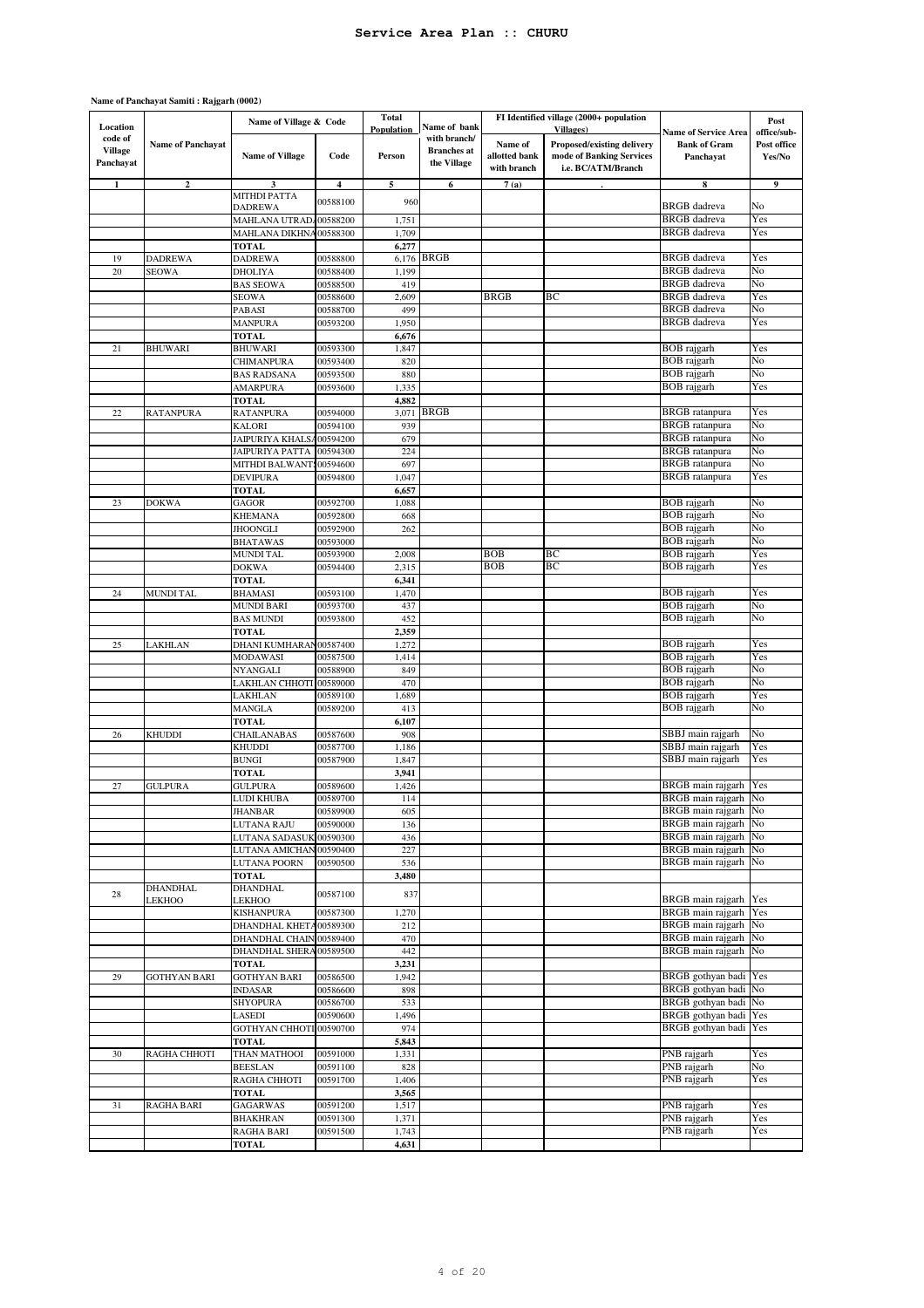#### **Name of Panchayat Samiti : Rajgarh (0002)**

| Location                               |                           | Name of Village & Code                    |                         | <b>Total</b><br>Population | Name of bank                                      |                                         | FI Identified village (2000+ population<br><b>Villages</b> )                 |                                                                 | Post                                 |
|----------------------------------------|---------------------------|-------------------------------------------|-------------------------|----------------------------|---------------------------------------------------|-----------------------------------------|------------------------------------------------------------------------------|-----------------------------------------------------------------|--------------------------------------|
| code of<br><b>Village</b><br>Panchayat | <b>Name of Panchayat</b>  | <b>Name of Village</b>                    | Code                    | Person                     | with branch/<br><b>Branches</b> at<br>the Village | Name of<br>allotted bank<br>with branch | Proposed/existing delivery<br>mode of Banking Services<br>i.e. BC/ATM/Branch | <b>Name of Service Area</b><br><b>Bank of Gram</b><br>Panchayat | office/sub-<br>Post office<br>Yes/No |
| $\mathbf{1}$                           | $\mathbf{2}$              | 3                                         | $\overline{\mathbf{4}}$ | 5                          | 6                                                 | 7(a)                                    |                                                                              | 8                                                               | 9                                    |
|                                        |                           | <b>MITHDI PATTA</b>                       | 00588100                | 960                        |                                                   |                                         |                                                                              | <b>BRGB</b> dadreva                                             | No                                   |
|                                        |                           | <b>DADREWA</b><br>MAHLANA UTRAD 400588200 |                         | 1,751                      |                                                   |                                         |                                                                              | <b>BRGB</b> dadreva                                             | Yes                                  |
|                                        |                           | MAHLANA DIKHNA 00588300                   |                         | 1,709                      |                                                   |                                         |                                                                              | <b>BRGB</b> dadreva                                             | Yes                                  |
|                                        |                           | <b>TOTAL</b>                              |                         | 6,277                      |                                                   |                                         |                                                                              |                                                                 |                                      |
| 19                                     | <b>DADREWA</b>            | <b>DADREWA</b>                            | 00588800                |                            | 6,176 BRGB                                        |                                         |                                                                              | <b>BRGB</b> dadreva                                             | Yes                                  |
| 20                                     | <b>SEOWA</b>              | <b>DHOLIYA</b>                            | 00588400                | 1,199                      |                                                   |                                         |                                                                              | <b>BRGB</b> dadreva                                             | No                                   |
|                                        |                           | <b>BAS SEOWA</b>                          | 00588500                | 419                        |                                                   |                                         |                                                                              | <b>BRGB</b> dadreva                                             | No                                   |
|                                        |                           | <b>SEOWA</b><br>PABASI                    | 00588600<br>00588700    | 2,609<br>499               |                                                   | <b>BRGB</b>                             | ВC                                                                           | <b>BRGB</b> dadreva<br><b>BRGB</b> dadreva                      | Yes<br>No                            |
|                                        |                           | <b>MANPURA</b>                            | 00593200                | 1,950                      |                                                   |                                         |                                                                              | <b>BRGB</b> dadreva                                             | Yes                                  |
|                                        |                           | <b>TOTAL</b>                              |                         | 6,676                      |                                                   |                                         |                                                                              |                                                                 |                                      |
| 21                                     | <b>BHUWARI</b>            | <b>BHUWARI</b>                            | 00593300                | 1,847                      |                                                   |                                         |                                                                              | <b>BOB</b> rajgarh                                              | Yes                                  |
|                                        |                           | <b>CHIMANPURA</b>                         | 00593400                | 820                        |                                                   |                                         |                                                                              | <b>BOB</b> rajgarh                                              | No                                   |
|                                        |                           | <b>BAS RADSANA</b>                        | 00593500                | 880                        |                                                   |                                         |                                                                              | <b>BOB</b> rajgarh                                              | No                                   |
|                                        |                           | <b>AMARPURA</b>                           | 00593600                | 1,335                      |                                                   |                                         |                                                                              | <b>BOB</b> rajgarh                                              | Yes                                  |
| $22\,$                                 | <b>RATANPURA</b>          | <b>TOTAL</b><br><b>RATANPURA</b>          | 00594000                | 4,882<br>3,071             | <b>BRGB</b>                                       |                                         |                                                                              | <b>BRGB</b> ratanpura                                           | Yes                                  |
|                                        |                           | <b>KALORI</b>                             | 00594100                | 939                        |                                                   |                                         |                                                                              | <b>BRGB</b> ratanpura                                           | No                                   |
|                                        |                           | JAIPURIYA KHALSA                          | 00594200                | 679                        |                                                   |                                         |                                                                              | <b>BRGB</b> ratanpura                                           | No                                   |
|                                        |                           | JAIPURIYA PATTA                           | 00594300                | 224                        |                                                   |                                         |                                                                              | <b>BRGB</b> ratanpura                                           | No                                   |
|                                        |                           | MITHDI BALWANT:                           | 00594600                | 697                        |                                                   |                                         |                                                                              | <b>BRGB</b> ratanpura                                           | No                                   |
|                                        |                           | <b>DEVIPURA</b>                           | 00594800                | 1,047                      |                                                   |                                         |                                                                              | <b>BRGB</b> ratanpura                                           | Yes                                  |
|                                        |                           | <b>TOTAL</b>                              |                         | 6,657                      |                                                   |                                         |                                                                              |                                                                 |                                      |
| 23                                     | <b>DOKWA</b>              | <b>GAGOR</b>                              | 00592700                | 1,088                      |                                                   |                                         |                                                                              | <b>BOB</b> rajgarh                                              | No<br>No                             |
|                                        |                           | KHEMANA<br><b>JHOONGLI</b>                | 00592800<br>00592900    | 668<br>262                 |                                                   |                                         |                                                                              | <b>BOB</b> rajgarh<br><b>BOB</b> rajgarh                        | No                                   |
|                                        |                           | <b>BHATAWAS</b>                           | 00593000                |                            |                                                   |                                         |                                                                              | <b>BOB</b> rajgarh                                              | No                                   |
|                                        |                           | <b>MUNDI TAL</b>                          | 00593900                | 2,008                      |                                                   | <b>BOB</b>                              | BC                                                                           | <b>BOB</b> rajgarh                                              | Yes                                  |
|                                        |                           | <b>DOKWA</b>                              | 00594400                | 2,315                      |                                                   | <b>BOB</b>                              | ВC                                                                           | <b>BOB</b> rajgarh                                              | Yes                                  |
|                                        |                           | <b>TOTAL</b>                              |                         | 6,341                      |                                                   |                                         |                                                                              |                                                                 |                                      |
| 24                                     | <b>MUNDI TAL</b>          | <b>BHAMASI</b>                            | 00593100                | 1,470                      |                                                   |                                         |                                                                              | <b>BOB</b> rajgarh                                              | Yes                                  |
|                                        |                           | <b>MUNDI BARI</b><br><b>BAS MUNDI</b>     | 00593700<br>00593800    | 437<br>452                 |                                                   |                                         |                                                                              | <b>BOB</b> rajgarh<br><b>BOB</b> rajgarh                        | No<br>No                             |
|                                        |                           | <b>TOTAL</b>                              |                         | 2,359                      |                                                   |                                         |                                                                              |                                                                 |                                      |
| 25                                     | LAKHLAN                   | DHANI KUMHARAN 00587400                   |                         | 1,272                      |                                                   |                                         |                                                                              | <b>BOB</b> rajgarh                                              | Yes                                  |
|                                        |                           | MODAWASI                                  | 00587500                | 1,414                      |                                                   |                                         |                                                                              | <b>BOB</b> rajgarh                                              | Yes                                  |
|                                        |                           | NYANGALI                                  | 00588900                | 849                        |                                                   |                                         |                                                                              | <b>BOB</b> rajgarh                                              | No                                   |
|                                        |                           | LAKHLAN CHHOTI                            | 00589000                | 470                        |                                                   |                                         |                                                                              | <b>BOB</b> rajgarh                                              | No                                   |
|                                        |                           | LAKHLAN                                   | 00589100                | 1,689                      |                                                   |                                         |                                                                              | <b>BOB</b> rajgarh                                              | Yes                                  |
|                                        |                           | <b>MANGLA</b><br><b>TOTAL</b>             | 00589200                | 413<br>6,107               |                                                   |                                         |                                                                              | <b>BOB</b> rajgarh                                              | No                                   |
| 26                                     | <b>KHUDDI</b>             | CHAILANABAS                               | 00587600                | 908                        |                                                   |                                         |                                                                              | SBBJ main rajgarh                                               | No                                   |
|                                        |                           | <b>KHUDDI</b>                             | 00587700                | 1,186                      |                                                   |                                         |                                                                              | SBBJ main rajgarh                                               | Yes                                  |
|                                        |                           | <b>BUNGI</b>                              | 00587900                | 1,847                      |                                                   |                                         |                                                                              | SBBJ main rajgarh                                               | Yes                                  |
|                                        |                           | <b>TOTAL</b>                              |                         | 3,941                      |                                                   |                                         |                                                                              |                                                                 |                                      |
| 27                                     | <b>GULPURA</b>            | <b>GULPURA</b>                            | 00589600                | 1,426                      |                                                   |                                         |                                                                              | BRGB main rajgarh                                               | Yes                                  |
|                                        |                           | <b>LUDI KHUBA</b><br>JHANBAR              | 00589700<br>00589900    | 114<br>605                 |                                                   |                                         |                                                                              | BRGB main rajgarh No<br>BRGB main rajgarh No                    |                                      |
|                                        |                           | LUTANA RAJU                               | 00590000                | 136                        |                                                   |                                         |                                                                              | BRGB main rajgarh No                                            |                                      |
|                                        |                           | LUTANA SADASUK                            | 00590300                | 436                        |                                                   |                                         |                                                                              | BRGB main rajgarh                                               | No                                   |
|                                        |                           | LUTANA AMICHAN 00590400                   |                         | 227                        |                                                   |                                         |                                                                              | BRGB main rajgarh No                                            |                                      |
|                                        |                           | LUTANA POORN                              | 00590500                | 536                        |                                                   |                                         |                                                                              | BRGB main rajgarh                                               | No                                   |
|                                        |                           | <b>TOTAL</b>                              |                         | 3,480                      |                                                   |                                         |                                                                              |                                                                 |                                      |
| 28                                     | <b>DHANDHAL</b><br>LEKHOO | <b>DHANDHAL</b><br>LEKHOO                 | 00587100                | 837                        |                                                   |                                         |                                                                              | BRGB main rajgarh                                               | Yes                                  |
|                                        |                           | <b>KISHANPURA</b>                         | 00587300                | 1,270                      |                                                   |                                         |                                                                              | BRGB main rajgarh                                               | Yes                                  |
|                                        |                           | DHANDHAL KHETA 00589300                   |                         | 212                        |                                                   |                                         |                                                                              | BRGB main rajgarh                                               | No                                   |
|                                        |                           | DHANDHAL CHAIN 00589400                   |                         | 470                        |                                                   |                                         |                                                                              | <b>BRGB</b> main rajgarh                                        | No                                   |
|                                        |                           | DHANDHAL SHERA 00589500                   |                         | 442                        |                                                   |                                         |                                                                              | BRGB main rajgarh No                                            |                                      |
|                                        |                           | <b>TOTAL</b>                              |                         | 3,231                      |                                                   |                                         |                                                                              |                                                                 |                                      |
| 29                                     | <b>GOTHYAN BARI</b>       | <b>GOTHYAN BARI</b><br><b>INDASAR</b>     | 00586500<br>00586600    | 1,942<br>898               |                                                   |                                         |                                                                              | BRGB gothyan badi<br>BRGB gothyan badi                          | Yes<br>No                            |
|                                        |                           | <b>SHYOPURA</b>                           | 00586700                | 533                        |                                                   |                                         |                                                                              | BRGB gothyan badi No                                            |                                      |
|                                        |                           | <b>LASEDI</b>                             | 00590600                | 1,496                      |                                                   |                                         |                                                                              | BRGB gothyan badi Yes                                           |                                      |
|                                        |                           | GOTHY AN CHHOTI 00590700                  |                         | 974                        |                                                   |                                         |                                                                              | BRGB gothyan badi                                               | Yes                                  |
|                                        |                           | <b>TOTAL</b>                              |                         | 5,843                      |                                                   |                                         |                                                                              |                                                                 |                                      |
| 30                                     | RAGHA CHHOTI              | THAN MATHOOI                              | 00591000                | 1,331                      |                                                   |                                         |                                                                              | PNB rajgarh                                                     | Yes                                  |
|                                        |                           | <b>BEESLAN</b>                            | 00591100                | 828                        |                                                   |                                         |                                                                              | PNB rajgarh                                                     | No                                   |
|                                        |                           | RAGHA CHHOTI<br><b>TOTAL</b>              | 00591700                | 1,406<br>3,565             |                                                   |                                         |                                                                              | PNB rajgarh                                                     | Yes                                  |
| 31                                     | <b>RAGHA BARI</b>         | <b>GAGARWAS</b>                           | 00591200                | 1,517                      |                                                   |                                         |                                                                              | PNB rajgarh                                                     | Yes                                  |
|                                        |                           | <b>BHAKHRAN</b>                           | 00591300                | 1,371                      |                                                   |                                         |                                                                              | PNB rajgarh                                                     | Yes                                  |
|                                        |                           | RAGHA BARI                                | 00591500                | 1,743                      |                                                   |                                         |                                                                              | PNB rajgarh                                                     | Yes                                  |
|                                        |                           | <b>TOTAL</b>                              |                         | 4,631                      |                                                   |                                         |                                                                              |                                                                 |                                      |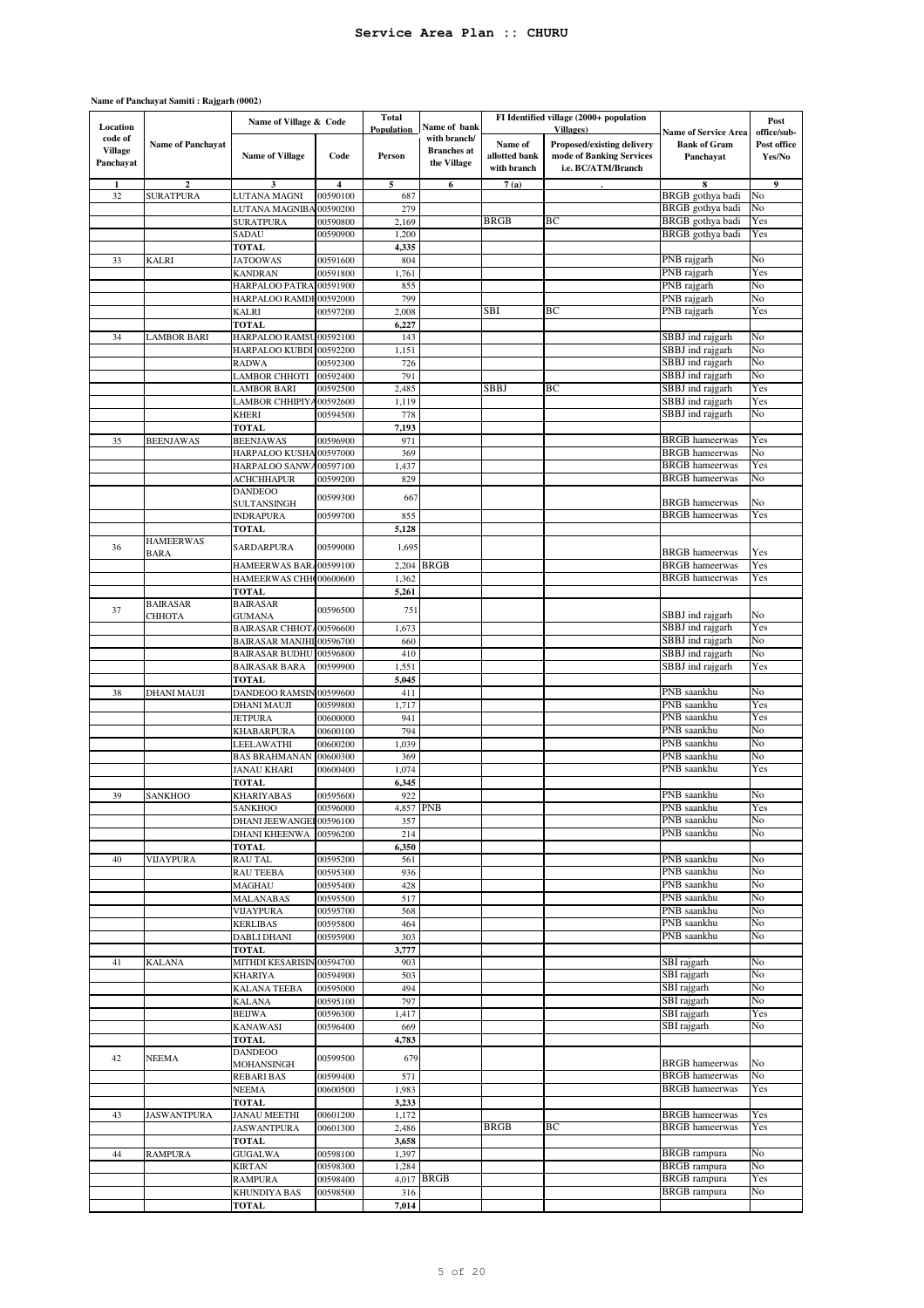#### **Name of Panchayat Samiti : Rajgarh (0002)**

| Location                               |                          | Name of Village & Code    |          | Total<br>Population | Name of bank                                      |                                         | FI Identified village (2000+ population<br><b>Villages</b> )                 | <b>Name of Service Area</b>      | Post<br>office/sub-   |
|----------------------------------------|--------------------------|---------------------------|----------|---------------------|---------------------------------------------------|-----------------------------------------|------------------------------------------------------------------------------|----------------------------------|-----------------------|
| code of<br><b>Village</b><br>Panchayat | <b>Name of Panchayat</b> | <b>Name of Village</b>    | Code     | Person              | with branch/<br><b>Branches</b> at<br>the Village | Name of<br>allotted bank<br>with branch | Proposed/existing delivery<br>mode of Banking Services<br>i.e. BC/ATM/Branch | <b>Bank of Gram</b><br>Panchayat | Post office<br>Yes/No |
|                                        | $\overline{2}$           | 3                         | 4        | 5                   | 6                                                 | 7(a)                                    |                                                                              | 8                                | 9                     |
| 32                                     | <b>SURATPURA</b>         | LUTANA MAGNI              | 00590100 | 687                 |                                                   |                                         |                                                                              | BRGB gothya badi                 | No                    |
|                                        |                          | LUTANA MAGNIBA            | 00590200 | 279                 |                                                   |                                         |                                                                              | BRGB gothya badi                 | No                    |
|                                        |                          | <b>SURATPURA</b>          | 00590800 | 2,169               |                                                   | <b>BRGB</b>                             | ВC                                                                           | BRGB gothya badi                 | Yes                   |
|                                        |                          | SADAU                     | 00590900 | 1,200               |                                                   |                                         |                                                                              | BRGB gothya badi                 | Yes                   |
|                                        |                          | <b>TOTAL</b>              |          | 4,335               |                                                   |                                         |                                                                              |                                  |                       |
| 33                                     | <b>KALRI</b>             | <b>JATOOWAS</b>           | 00591600 | 804                 |                                                   |                                         |                                                                              | PNB rajgarh                      | No                    |
|                                        |                          | <b>KANDRAN</b>            | 00591800 | 1,761               |                                                   |                                         |                                                                              | PNB rajgarh                      | Yes                   |
|                                        |                          | HARPALOO PATRA            | 00591900 | 855                 |                                                   |                                         |                                                                              | PNB rajgarh                      | No                    |
|                                        |                          | HARPALOO RAMDI            | 00592000 | 799                 |                                                   |                                         |                                                                              | PNB rajgarh                      | No                    |
|                                        |                          | <b>KALRI</b>              | 00597200 | 2,008               |                                                   | SBI                                     | BС                                                                           | PNB rajgarh                      | Yes                   |
|                                        |                          | <b>TOTAL</b>              |          | 6,227               |                                                   |                                         |                                                                              |                                  |                       |
| 34                                     | <b>LAMBOR BARI</b>       | HARPALOO RAMSU            | 00592100 | 143                 |                                                   |                                         |                                                                              | SBBJ ind rajgarh                 | No                    |
|                                        |                          | HARPALOO KUBDI            | 00592200 | 1,151               |                                                   |                                         |                                                                              | SBBJ ind rajgarh                 | No                    |
|                                        |                          | <b>RADWA</b>              | 00592300 | 726                 |                                                   |                                         |                                                                              | SBBJ ind rajgarh                 | No                    |
|                                        |                          | <b>LAMBOR CHHOTI</b>      | 00592400 | 791                 |                                                   |                                         |                                                                              | SBBJ ind rajgarh                 | No                    |
|                                        |                          | <b>LAMBOR BARI</b>        | 00592500 | 2,485               |                                                   | SBBJ                                    | ВC                                                                           | SBBJ ind rajgarh                 | Yes                   |
|                                        |                          | <b>LAMBOR CHHIPIY</b>     | 00592600 | 1,119               |                                                   |                                         |                                                                              | SBBJ ind rajgarh                 | Yes                   |
|                                        |                          | <b>KHERI</b>              | 00594500 | 778                 |                                                   |                                         |                                                                              | SBBJ ind rajgarh                 | No                    |
|                                        |                          | <b>TOTAL</b>              |          | 7,193               |                                                   |                                         |                                                                              |                                  |                       |
| 35                                     | <b>BEENJAWAS</b>         | <b>BEENJAWAS</b>          | 00596900 | 971                 |                                                   |                                         |                                                                              | <b>BRGB</b> hameerwas            | Yes                   |
|                                        |                          | HARPALOO KUSHA 00597000   |          | 369                 |                                                   |                                         |                                                                              | <b>BRGB</b> hameerwas            | No                    |
|                                        |                          | HARPALOO SANWA            | 00597100 | 1,437               |                                                   |                                         |                                                                              | <b>BRGB</b> hameerwas            | Yes                   |
|                                        |                          | <b>ACHCHHAPUR</b>         | 00599200 | 829                 |                                                   |                                         |                                                                              | <b>BRGB</b> hameerwas            | No                    |
|                                        |                          | <b>DANDEOO</b>            |          |                     |                                                   |                                         |                                                                              |                                  |                       |
|                                        |                          | <b>SULTANSINGH</b>        | 00599300 | 667                 |                                                   |                                         |                                                                              | <b>BRGB</b> hameerwas            | No                    |
|                                        |                          | <b>INDRAPURA</b>          | 00599700 | 855                 |                                                   |                                         |                                                                              | <b>BRGB</b> hameerwas            | Yes                   |
|                                        |                          | <b>TOTAL</b>              |          | 5,128               |                                                   |                                         |                                                                              |                                  |                       |
|                                        | <b>HAMEERWAS</b>         |                           |          |                     |                                                   |                                         |                                                                              |                                  |                       |
| 36                                     | BARA                     | <b>SARDARPURA</b>         | 00599000 | 1,695               |                                                   |                                         |                                                                              | <b>BRGB</b> hameerwas            | Yes                   |
|                                        |                          | HAMEERWAS BAR.            | 00599100 |                     | 2,204 BRGB                                        |                                         |                                                                              | <b>BRGB</b> hameerwas            | Yes                   |
|                                        |                          | HAMEERWAS CHH 00600600    |          | 1,362               |                                                   |                                         |                                                                              | <b>BRGB</b> hameerwas            | Yes                   |
|                                        |                          | TOTAL                     |          | 5,261               |                                                   |                                         |                                                                              |                                  |                       |
|                                        | <b>BAIRASAR</b>          | <b>BAIRASAR</b>           |          |                     |                                                   |                                         |                                                                              |                                  |                       |
| 37                                     | СННОТА                   | <b>GUMANA</b>             | 00596500 | 751                 |                                                   |                                         |                                                                              | SBBJ ind rajgarh                 | No                    |
|                                        |                          | BAIRASAR CHHOTA00596600   |          | 1,673               |                                                   |                                         |                                                                              | SBBJ ind rajgarh                 | Yes                   |
|                                        |                          | BAIRASAR MANJHI 00596700  |          | 660                 |                                                   |                                         |                                                                              | SBBJ ind rajgarh                 | No                    |
|                                        |                          | <b>BAIRASAR BUDHU</b>     | 00596800 | 410                 |                                                   |                                         |                                                                              | SBBJ ind rajgarh                 | No                    |
|                                        |                          | <b>BAIRASAR BARA</b>      | 00599900 | 1,551               |                                                   |                                         |                                                                              | SBBJ ind rajgarh                 | Yes                   |
|                                        |                          | <b>TOTAL</b>              |          | 5,045               |                                                   |                                         |                                                                              |                                  |                       |
| 38                                     | <b>DHANI MAUJI</b>       | <b>DANDEOO RAMSIN</b>     | 00599600 | 411                 |                                                   |                                         |                                                                              | PNB saankhu                      | No                    |
|                                        |                          | <b>DHANI MAUJI</b>        | 00599800 | 1,717               |                                                   |                                         |                                                                              | PNB saankhu                      | Yes                   |
|                                        |                          |                           |          |                     |                                                   |                                         |                                                                              |                                  |                       |
|                                        |                          |                           |          |                     |                                                   |                                         |                                                                              |                                  |                       |
|                                        |                          | <b>JETPURA</b>            | 00600000 | 941                 |                                                   |                                         |                                                                              | PNB saankhu                      | Yes                   |
|                                        |                          | <b>KHABARPURA</b>         | 00600100 | 794                 |                                                   |                                         |                                                                              | PNB saankhu                      | No                    |
|                                        |                          | LEELAWATHI                | 00600200 | 1,039               |                                                   |                                         |                                                                              | PNB saankhu                      | No                    |
|                                        |                          | <b>BAS BRAHMANAN</b>      | 00600300 | 369                 |                                                   |                                         |                                                                              | PNB saankhu                      | No                    |
|                                        |                          | JANAU KHARI               | 00600400 | 1,074               |                                                   |                                         |                                                                              | PNB saankhu                      | Yes                   |
|                                        |                          | <b>TOTAL</b>              |          | 6,345               |                                                   |                                         |                                                                              |                                  |                       |
| 39                                     | <b>SANKHOO</b>           | <b>KHARIYABAS</b>         | 00595600 | 922                 |                                                   |                                         |                                                                              | PNB saankhu                      | No                    |
|                                        |                          | <b>SANKHOO</b>            | 00596000 |                     | 4,857 PNB                                         |                                         |                                                                              | PNB saankhu                      | Yes                   |
|                                        |                          | DHANI JEEWANGEI 00596100  |          | 357                 |                                                   |                                         |                                                                              | PNB saankhu                      | No                    |
|                                        |                          | <b>DHANI KHEENWA</b>      | 00596200 | 214                 |                                                   |                                         |                                                                              | PNB saankhu                      | No                    |
|                                        |                          | <b>TOTAL</b>              |          | 6,350               |                                                   |                                         |                                                                              |                                  |                       |
| 40                                     | <b>VIJAYPURA</b>         | <b>RAU TAL</b>            | 00595200 | 561                 |                                                   |                                         |                                                                              | PNB saankhu                      | No                    |
|                                        |                          | <b>RAU TEEBA</b>          | 00595300 | 936                 |                                                   |                                         |                                                                              | PNB saankhu                      | No                    |
|                                        |                          | <b>MAGHAU</b>             | 00595400 | 428                 |                                                   |                                         |                                                                              | PNB saankhu                      | No                    |
|                                        |                          | <b>MALANABAS</b>          | 00595500 | 517                 |                                                   |                                         |                                                                              | PNB saankhu                      | No                    |
|                                        |                          | <b>VIJAYPURA</b>          | 00595700 | 568                 |                                                   |                                         |                                                                              | PNB saankhu                      | No                    |
|                                        |                          | <b>KERLIBAS</b>           | 00595800 | 464                 |                                                   |                                         |                                                                              | PNB saankhu                      | No                    |
|                                        |                          | <b>DABLI DHANI</b>        | 00595900 | 303                 |                                                   |                                         |                                                                              | PNB saankhu                      | No                    |
|                                        |                          | <b>TOTAL</b>              |          | 3,777               |                                                   |                                         |                                                                              |                                  |                       |
| 41                                     | <b>KALANA</b>            | MITHDI KESARISIN 00594700 |          | 903                 |                                                   |                                         |                                                                              | SBI rajgarh                      | No                    |
|                                        |                          | <b>KHARIYA</b>            | 00594900 | 503                 |                                                   |                                         |                                                                              | SBI rajgarh                      | No                    |
|                                        |                          | <b>KALANA TEEBA</b>       | 00595000 | 494                 |                                                   |                                         |                                                                              | SBI rajgarh                      | No                    |
|                                        |                          | <b>KALANA</b>             | 00595100 | 797                 |                                                   |                                         |                                                                              | SBI rajgarh                      | No                    |
|                                        |                          | <b>BEIJWA</b>             | 00596300 | 1,417               |                                                   |                                         |                                                                              | SBI rajgarh                      | Yes                   |
|                                        |                          | <b>KANAWASI</b>           | 00596400 | 669                 |                                                   |                                         |                                                                              | SBI rajgarh                      | No                    |
|                                        |                          | <b>TOTAL</b>              |          | 4,783               |                                                   |                                         |                                                                              |                                  |                       |
|                                        |                          | <b>DANDEOO</b>            |          |                     |                                                   |                                         |                                                                              |                                  |                       |
| 42                                     | <b>NEEMA</b>             | MOHANSINGH                | 00599500 | 679                 |                                                   |                                         |                                                                              | <b>BRGB</b> hameerwas            | No                    |
|                                        |                          | <b>REBARI BAS</b>         | 00599400 | 571                 |                                                   |                                         |                                                                              | <b>BRGB</b> hameerwas            | No                    |
|                                        |                          | <b>NEEMA</b>              | 00600500 | 1,983               |                                                   |                                         |                                                                              | <b>BRGB</b> hameerwas            | Yes                   |
|                                        |                          | <b>TOTAL</b>              |          | 3,233               |                                                   |                                         |                                                                              |                                  |                       |
| 43                                     | <b>JASWANTPURA</b>       | <b>JANAU MEETHI</b>       | 00601200 | 1,172               |                                                   |                                         |                                                                              | <b>BRGB</b> hameerwas            | Yes                   |
|                                        |                          | <b>JASWANTPURA</b>        | 00601300 | 2,486               |                                                   | <b>BRGB</b>                             | BС                                                                           | <b>BRGB</b> hameerwas            | Yes                   |
|                                        |                          | <b>TOTAL</b>              |          | 3,658               |                                                   |                                         |                                                                              |                                  |                       |
| 44                                     | <b>RAMPURA</b>           | <b>GUGALWA</b>            | 00598100 | 1,397               |                                                   |                                         |                                                                              | <b>BRGB</b> rampura              | No                    |
|                                        |                          | <b>KIRTAN</b>             | 00598300 | 1,284               |                                                   |                                         |                                                                              | <b>BRGB</b> rampura              | No                    |
|                                        |                          | <b>RAMPURA</b>            | 00598400 |                     | 4,017 BRGB                                        |                                         |                                                                              | <b>BRGB</b> rampura              | Yes                   |
|                                        |                          | KHUNDIYA BAS              | 00598500 | 316                 |                                                   |                                         |                                                                              | <b>BRGB</b> rampura              | No                    |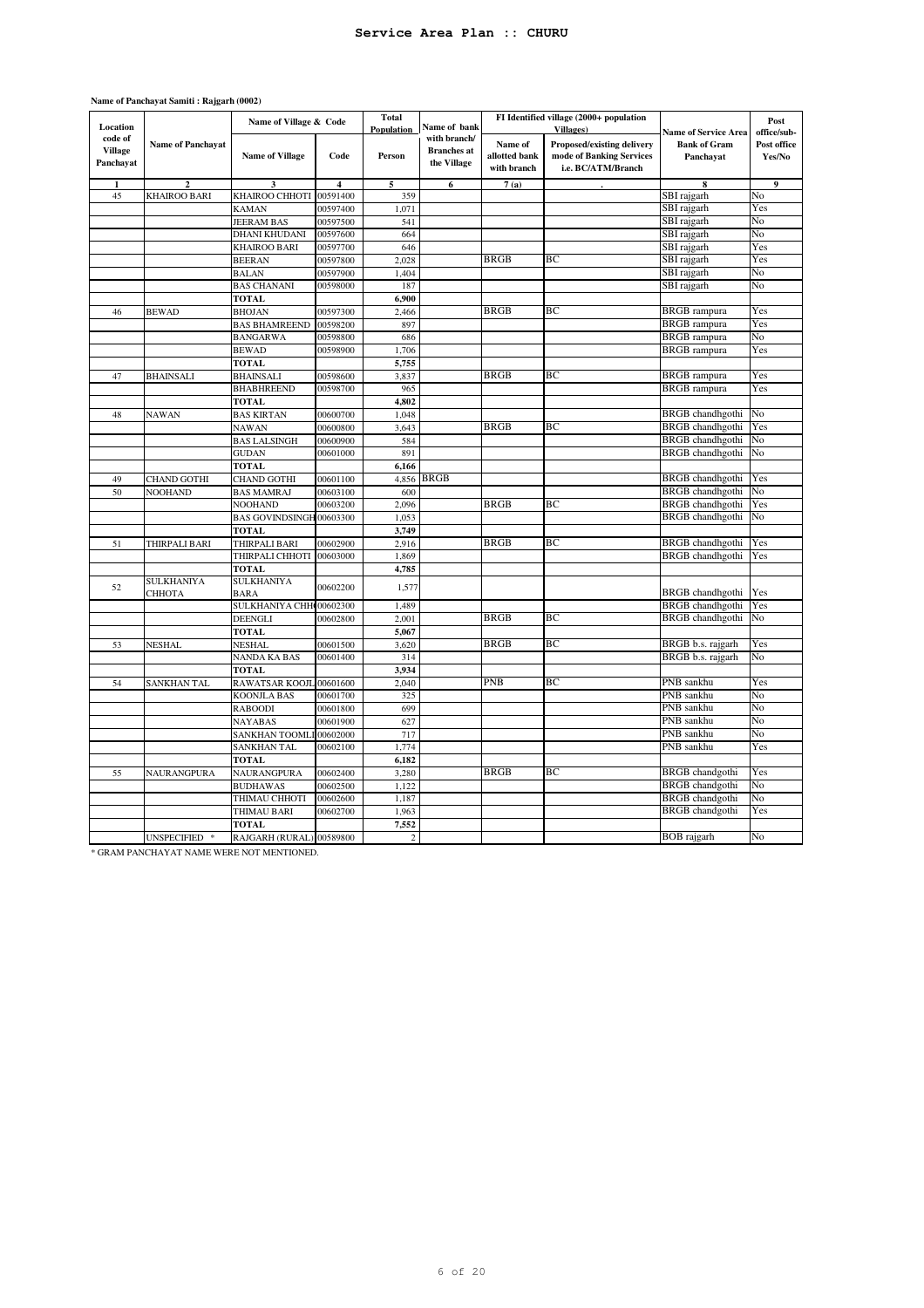| Location                               |                          | Name of Village & Code                   |                         | Total<br>Population | Name of bank                                      |                                         | FI Identified village (2000+ population<br>Villages)                         | <b>Name of Service Area</b>               | Post<br>office/sub-   |
|----------------------------------------|--------------------------|------------------------------------------|-------------------------|---------------------|---------------------------------------------------|-----------------------------------------|------------------------------------------------------------------------------|-------------------------------------------|-----------------------|
| code of<br><b>Village</b><br>Panchayat | <b>Name of Panchayat</b> | <b>Name of Village</b>                   | Code                    | Person              | with branch/<br><b>Branches</b> at<br>the Village | Name of<br>allotted bank<br>with branch | Proposed/existing delivery<br>mode of Banking Services<br>i.e. BC/ATM/Branch | <b>Bank of Gram</b><br>Panchayat          | Post office<br>Yes/No |
| 1                                      | $\overline{c}$           | 3                                        | $\overline{\mathbf{4}}$ | 5                   | 6                                                 | 7(a)                                    |                                                                              | 8                                         | 9                     |
| 45                                     | <b>KHAIROO BARI</b>      | KHAIROO CHHOTI                           | 00591400                | 359                 |                                                   |                                         |                                                                              | SBI rajgarh                               | No                    |
|                                        |                          | <b>KAMAN</b>                             | 00597400                | 1,071               |                                                   |                                         |                                                                              | SBI rajgarh                               | Yes                   |
|                                        |                          | <b>JEERAM BAS</b>                        | 00597500                | 541                 |                                                   |                                         |                                                                              | SBI rajgarh                               | No                    |
|                                        |                          | <b>DHANI KHUDANI</b>                     | 00597600                | 664                 |                                                   |                                         |                                                                              | SBI rajgarh                               | No                    |
|                                        |                          | <b>KHAIROO BARI</b>                      | 00597700                | 646                 |                                                   |                                         |                                                                              | SBI rajgarh                               | Yes                   |
|                                        |                          | <b>BEERAN</b>                            | 00597800                | 2,028               |                                                   | <b>BRGB</b>                             | BC                                                                           | SBI rajgarh                               | Yes                   |
|                                        |                          | <b>BALAN</b>                             | 00597900                | 1,404               |                                                   |                                         |                                                                              | SBI rajgarh                               | No                    |
|                                        |                          | <b>BAS CHANANI</b>                       | 00598000                | 187                 |                                                   |                                         |                                                                              | SBI rajgarh                               | No                    |
|                                        |                          | <b>TOTAL</b>                             |                         | 6,900               |                                                   |                                         |                                                                              |                                           |                       |
| 46                                     | <b>BEWAD</b>             | <b>BHOJAN</b>                            | 00597300                | 2,466               |                                                   | <b>BRGB</b>                             | BC                                                                           | <b>BRGB</b> rampura                       | Yes                   |
|                                        |                          | <b>BAS BHAMREEND</b>                     | 00598200                | 897                 |                                                   |                                         |                                                                              | <b>BRGB</b> rampura                       | Yes                   |
|                                        |                          | <b>BANGARWA</b>                          | 00598800                | 686                 |                                                   |                                         |                                                                              | <b>BRGB</b> rampura                       | No                    |
|                                        |                          | <b>BEWAD</b>                             | 00598900                | 1,706               |                                                   |                                         |                                                                              | <b>BRGB</b> rampura                       | Yes                   |
|                                        |                          | <b>TOTAL</b>                             |                         | 5,755               |                                                   |                                         |                                                                              |                                           |                       |
| 47                                     | <b>BHAINSALI</b>         | <b>BHAINSALI</b>                         | 00598600                | 3,837               |                                                   | <b>BRGB</b>                             | BC                                                                           | <b>BRGB</b> rampura                       | Yes                   |
|                                        |                          | <b>BHABHREEND</b>                        | 00598700                | 965                 |                                                   |                                         |                                                                              | <b>BRGB</b> rampura                       | Yes                   |
|                                        |                          | <b>TOTAL</b>                             |                         | 4,802               |                                                   |                                         |                                                                              |                                           |                       |
| 48                                     | <b>NAWAN</b>             | <b>BAS KIRTAN</b>                        | 00600700                | 1,048               |                                                   |                                         |                                                                              | BRGB chandhgothi                          | No                    |
|                                        |                          | <b>NAWAN</b>                             | 00600800                | 3,643               |                                                   | <b>BRGB</b>                             | BС                                                                           | <b>BRGB</b> chandhgothi                   | Yes                   |
|                                        |                          | <b>BAS LALSINGH</b>                      | 00600900                | 584                 |                                                   |                                         |                                                                              | <b>BRGB</b> chandhgothi                   | No                    |
|                                        |                          | <b>GUDAN</b>                             | 00601000                | 891                 |                                                   |                                         |                                                                              | <b>BRGB</b> chandhgothi                   | No                    |
|                                        |                          | <b>TOTAL</b>                             |                         | 6,166               |                                                   |                                         |                                                                              |                                           |                       |
| 49                                     | CHAND GOTHI              | <b>CHAND GOTHI</b>                       | 00601100                | 4,856               | <b>BRGB</b>                                       |                                         |                                                                              | <b>BRGB</b> chandhgothi                   | Yes                   |
| 50                                     | <b>NOOHAND</b>           | <b>BAS MAMRAJ</b>                        | 00603100                | 600                 |                                                   |                                         |                                                                              | <b>BRGB</b> chandhgothi                   | No                    |
|                                        |                          | <b>NOOHAND</b>                           | 00603200                | 2,096               |                                                   | <b>BRGB</b>                             | BC                                                                           | <b>BRGB</b> chandhgothi                   | Yes                   |
|                                        |                          | BAS GOVINDSINGH 00603300                 |                         | 1,053               |                                                   |                                         |                                                                              | <b>BRGB</b> chandhgothi                   | No                    |
|                                        |                          | <b>TOTAL</b>                             |                         | 3,749               |                                                   |                                         |                                                                              |                                           |                       |
| 51                                     | THIRPALI BARI            | THIRPALI BARI                            | 00602900                | 2,916               |                                                   | <b>BRGB</b>                             | BC                                                                           | <b>BRGB</b> chandhgothi                   | Yes                   |
|                                        |                          | THIRPALI CHHOTI                          | 00603000                | 1,869               |                                                   |                                         |                                                                              | <b>BRGB</b> chandhgothi                   | Yes                   |
|                                        |                          | <b>TOTAL</b>                             |                         | 4,785               |                                                   |                                         |                                                                              |                                           |                       |
| 52                                     | <b>SULKHANIYA</b>        | <b>SULKHANIYA</b>                        | 00602200                | 1,577               |                                                   |                                         |                                                                              |                                           |                       |
|                                        | СННОТА                   | <b>BARA</b>                              |                         |                     |                                                   |                                         |                                                                              | BRGB chandhgothi                          | Yes                   |
|                                        |                          | SULKHANIYA CHH 00602300                  |                         | 1,489               |                                                   |                                         |                                                                              | <b>BRGB</b> chandhgothi                   | Yes                   |
|                                        |                          | DEENGLI                                  | 00602800                | 2,001               |                                                   | <b>BRGB</b>                             | BC                                                                           | <b>BRGB</b> chandhgothi                   | No                    |
|                                        |                          | <b>TOTAL</b>                             |                         | 5,067               |                                                   |                                         |                                                                              |                                           |                       |
| 53                                     | <b>NESHAL</b>            | <b>NESHAL</b>                            | 00601500                | 3,620               |                                                   | <b>BRGB</b>                             | BC                                                                           | BRGB b.s. rajgarh                         | Yes                   |
|                                        |                          | NANDA KA BAS                             | 00601400                | 314                 |                                                   |                                         |                                                                              | BRGB b.s. rajgarh                         | No                    |
|                                        |                          | <b>TOTAL</b>                             |                         | 3,934               |                                                   |                                         |                                                                              |                                           |                       |
| 54                                     | SANKHAN TAL              | RAWATSAR KOOJL 00601600                  |                         | 2,040               |                                                   | PNB                                     | ВC                                                                           | PNB sankhu                                | Yes                   |
|                                        |                          | <b>KOONJLA BAS</b>                       | 00601700                | 325                 |                                                   |                                         |                                                                              | PNB sankhu                                | No                    |
|                                        |                          | <b>RABOODI</b>                           | 00601800                | 699                 |                                                   |                                         |                                                                              | PNB sankhu                                | No                    |
|                                        |                          | <b>NAYABAS</b>                           | 00601900                | 627                 |                                                   |                                         |                                                                              | PNB sankhu                                | No                    |
|                                        |                          | <b>SANKHAN TOOML</b>                     | 00602000                | 717                 |                                                   |                                         |                                                                              | PNB sankhu<br>PNB sankhu                  | No                    |
|                                        |                          | <b>SANKHAN TAL</b>                       | 00602100                | 1,774               |                                                   |                                         |                                                                              |                                           | Yes                   |
|                                        |                          | <b>TOTAL</b>                             |                         | 6,182               |                                                   | <b>BRGB</b>                             | BC                                                                           |                                           | Yes                   |
| 55                                     | NAURANGPURA              | NAURANGPURA                              | 00602400                | 3,280               |                                                   |                                         |                                                                              | BRGB chandgothi<br><b>BRGB</b> chandgothi | No                    |
|                                        |                          | <b>BUDHAWAS</b>                          | 00602500<br>00602600    | 1,122<br>1,187      |                                                   |                                         |                                                                              | <b>BRGB</b> chandgothi                    | No                    |
|                                        |                          | THIMAU CHHOTI                            |                         |                     |                                                   |                                         |                                                                              | <b>BRGB</b> chandgothi                    | Yes                   |
|                                        |                          | THIMAU BARI                              | 00602700                | 1,963<br>7,552      |                                                   |                                         |                                                                              |                                           |                       |
|                                        | UNSPECIFIED *            | <b>TOTAL</b><br>RAJGARH (RURAL) 00589800 |                         | $\overline{c}$      |                                                   |                                         |                                                                              | <b>BOB</b> rajgarh                        | No                    |
|                                        |                          |                                          |                         |                     |                                                   |                                         |                                                                              |                                           |                       |

#### **Name of Panchayat Samiti : Rajgarh (0002)**

\* GRAM PANCHAYAT NAME WERE NOT MENTIONED.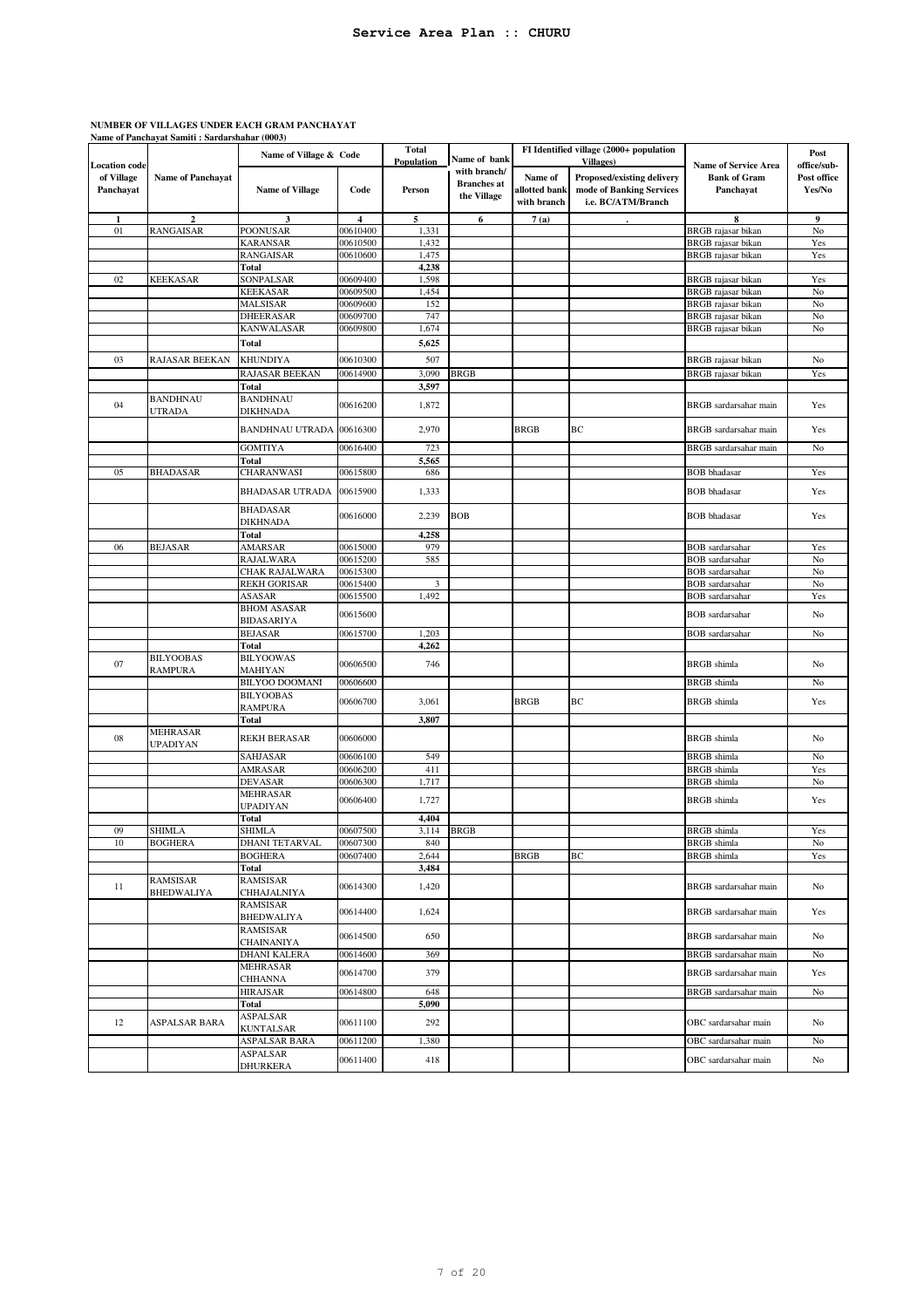# **NUMBER OF VILLAGES UNDER EACH GRAM PANCHAYAT Name of Panchayat Samiti : Sardarshahar (0003)**

|                         |                               | Name of Village & Code               |                | <b>Total</b><br><b>Population</b> | Name of bank       |                          | FI Identified village (2000+ population<br>Villages)   |                                  | Post                  |
|-------------------------|-------------------------------|--------------------------------------|----------------|-----------------------------------|--------------------|--------------------------|--------------------------------------------------------|----------------------------------|-----------------------|
| <b>Location</b> code    |                               |                                      |                |                                   | with branch/       |                          |                                                        | <b>Name of Service Area</b>      | office/sub-           |
| of Village<br>Panchayat | <b>Name of Panchayat</b>      | <b>Name of Village</b>               | Code           | Person                            | <b>Branches</b> at | Name of<br>allotted bank | Proposed/existing delivery<br>mode of Banking Services | <b>Bank of Gram</b><br>Panchayat | Post office<br>Yes/No |
|                         |                               |                                      |                |                                   | the Village        | with branch              | i.e. BC/ATM/Branch                                     |                                  |                       |
|                         |                               | 3                                    | $\overline{4}$ |                                   |                    |                          |                                                        |                                  | 9                     |
| 01                      | $\boldsymbol{2}$<br>RANGAISAR | <b>POONUSAR</b>                      | 00610400       | 5<br>1,331                        | 6                  | 7(a)                     |                                                        | 8<br>BRGB rajasar bikan          | No                    |
|                         |                               | <b>KARANSAR</b>                      | 00610500       | 1,432                             |                    |                          |                                                        | <b>BRGB</b> rajasar bikan        | Yes                   |
|                         |                               | <b>RANGAISAR</b>                     | 00610600       | 1,475                             |                    |                          |                                                        | BRGB rajasar bikan               | Yes                   |
|                         |                               | Total                                |                | 4,238                             |                    |                          |                                                        |                                  |                       |
| 02                      | <b>KEEKASAR</b>               | SONPALSAR                            | 00609400       | 1,598                             |                    |                          |                                                        | <b>BRGB</b> rajasar bikan        | Yes                   |
|                         |                               | <b>KEEKASAR</b>                      | 00609500       | 1,454                             |                    |                          |                                                        | BRGB rajasar bikan               | No                    |
|                         |                               | <b>MALSISAR</b>                      | 00609600       | 152                               |                    |                          |                                                        | BRGB rajasar bikan               | No                    |
|                         |                               | <b>DHEERASAR</b>                     | 00609700       | 747                               |                    |                          |                                                        | BRGB rajasar bikan               | $\rm No$              |
|                         |                               | <b>KANWALASAR</b>                    | 00609800       | 1,674                             |                    |                          |                                                        | BRGB rajasar bikan               | No                    |
|                         |                               | <b>Total</b>                         |                | 5,625                             |                    |                          |                                                        |                                  |                       |
| 03                      | RAJASAR BEEKAN                | <b>KHUNDIYA</b>                      | 00610300       | 507                               |                    |                          |                                                        | BRGB rajasar bikan               | No                    |
|                         |                               | RAJASAR BEEKAN                       | 00614900       | 3,090                             | <b>BRGB</b>        |                          |                                                        | BRGB rajasar bikan               | Yes                   |
|                         |                               | <b>Total</b>                         |                | 3,597                             |                    |                          |                                                        |                                  |                       |
|                         | <b>BANDHNAU</b>               | <b>BANDHNAU</b>                      |                |                                   |                    |                          |                                                        |                                  |                       |
| 04                      | <b>UTRADA</b>                 | <b>DIKHNADA</b>                      | 00616200       | 1,872                             |                    |                          |                                                        | BRGB sardarsahar main            | Yes                   |
|                         |                               |                                      |                |                                   |                    |                          |                                                        |                                  |                       |
|                         |                               | <b>BANDHNAU UTRADA</b>               | 00616300       | 2,970                             |                    | <b>BRGB</b>              | <b>BC</b>                                              | BRGB sardarsahar main            | Yes                   |
|                         |                               | <b>GOMTIYA</b>                       | 00616400       | 723                               |                    |                          |                                                        | BRGB sardarsahar main            | No                    |
|                         |                               | <b>Total</b>                         |                | 5,565                             |                    |                          |                                                        |                                  |                       |
| 05                      | <b>BHADASAR</b>               | CHARANWASI                           | 00615800       | 686                               |                    |                          |                                                        | <b>BOB</b> bhadasar              | Yes                   |
|                         |                               | <b>BHADASAR UTRADA</b>               | 00615900       | 1,333                             |                    |                          |                                                        | <b>BOB</b> bhadasar              | Yes                   |
|                         |                               | <b>BHADASAR</b>                      |                |                                   |                    |                          |                                                        |                                  |                       |
|                         |                               | <b>DIKHNADA</b>                      | 00616000       | 2,239                             | <b>BOB</b>         |                          |                                                        | <b>BOB</b> bhadasar              | Yes                   |
|                         |                               | <b>Total</b>                         |                | 4,258                             |                    |                          |                                                        |                                  |                       |
| 06                      | <b>BEJASAR</b>                | AMARSAR                              | 00615000       | 979                               |                    |                          |                                                        | <b>BOB</b> sardarsahar           | Yes                   |
|                         |                               | <b>RAJALWARA</b>                     | 00615200       | 585                               |                    |                          |                                                        | <b>BOB</b> sardarsahar           | No                    |
|                         |                               | CHAK RAJALWARA                       | 00615300       |                                   |                    |                          |                                                        | <b>BOB</b> sardarsahar           | No                    |
|                         |                               | <b>REKH GORISAR</b>                  | 00615400       | 3                                 |                    |                          |                                                        | <b>BOB</b> sardarsahar           | No                    |
|                         |                               | ASASAR                               | 00615500       | 1,492                             |                    |                          |                                                        | <b>BOB</b> sardarsahar           | Yes                   |
|                         |                               | <b>BHOM ASASAR</b>                   | 00615600       |                                   |                    |                          |                                                        | <b>BOB</b> sardarsahar           | No                    |
|                         |                               | <b>BIDASARIYA</b>                    |                |                                   |                    |                          |                                                        |                                  |                       |
|                         |                               | <b>BEJASAR</b>                       | 00615700       | 1,203                             |                    |                          |                                                        | <b>BOB</b> sardarsahar           | No                    |
|                         |                               | <b>Total</b>                         |                | 4,262                             |                    |                          |                                                        |                                  |                       |
| 07                      | <b>BILYOOBAS</b><br>RAMPURA   | <b>BILYOOWAS</b><br><b>MAHIYAN</b>   | 00606500       | 746                               |                    |                          |                                                        | <b>BRGB</b> shimla               | No                    |
|                         |                               | <b>BILYOO DOOMANI</b>                | 00606600       |                                   |                    |                          |                                                        | <b>BRGB</b> shimla               | No                    |
|                         |                               | <b>BILYOOBAS</b>                     |                |                                   |                    |                          |                                                        |                                  |                       |
|                         |                               | <b>RAMPURA</b>                       | 00606700       | 3,061                             |                    | <b>BRGB</b>              | BC                                                     | <b>BRGB</b> shimla               | Yes                   |
|                         |                               | <b>Total</b>                         |                | 3,807                             |                    |                          |                                                        |                                  |                       |
|                         | <b>MEHRASAR</b>               |                                      |                |                                   |                    |                          |                                                        |                                  |                       |
| 08                      | <b>UPADIYAN</b>               | <b>REKH BERASAR</b>                  | 00606000       |                                   |                    |                          |                                                        | <b>BRGB</b> shimla               | No                    |
|                         |                               | <b>SAHJASAR</b>                      | 00606100       | 549                               |                    |                          |                                                        | <b>BRGB</b> shimla               | No                    |
|                         |                               | AMRASAR                              | 00606200       | 411                               |                    |                          |                                                        | <b>BRGB</b> shimla               | Yes                   |
|                         |                               | <b>DEVASAR</b>                       | 00606300       | 1,717                             |                    |                          |                                                        | <b>BRGB</b> shimla               | No                    |
|                         |                               | MEHRASAR                             | 00606400       | 1,727                             |                    |                          |                                                        | <b>BRGB</b> shimla               | Yes                   |
|                         |                               | <b>UPADIYAN</b>                      |                | 4,404                             |                    |                          |                                                        |                                  |                       |
| 09                      | SHIMLA                        | Total<br><b>SHIMLA</b>               | 00607500       | 3,114                             | <b>BRGB</b>        |                          |                                                        | <b>BRGB</b> shimla               | Yes                   |
| 10                      | <b>BOGHERA</b>                | <b>DHANI TETARVAL</b>                | 00607300       | 840                               |                    |                          |                                                        | <b>BRGB</b> shimla               | No                    |
|                         |                               | <b>BOGHERA</b>                       | 00607400       | 2,644                             |                    | <b>BRGB</b>              | ВC                                                     | <b>BRGB</b> shimla               | Yes                   |
|                         |                               | Total                                |                | 3,484                             |                    |                          |                                                        |                                  |                       |
|                         | <b>RAMSISAR</b>               | <b>RAMSISAR</b>                      |                |                                   |                    |                          |                                                        |                                  |                       |
| 11                      | <b>BHEDWALIYA</b>             | <b>CHHAJALNIYA</b>                   | 00614300       | 1,420                             |                    |                          |                                                        | BRGB sardarsahar main            | No                    |
|                         |                               | <b>RAMSISAR</b>                      | 00614400       | 1,624                             |                    |                          |                                                        | BRGB sardarsahar main            | Yes                   |
|                         |                               | <b>BHEDWALIYA</b><br><b>RAMSISAR</b> | 00614500       | 650                               |                    |                          |                                                        | BRGB sardarsahar main            |                       |
|                         |                               | CHAINANIYA<br><b>DHANI KALERA</b>    | 00614600       | 369                               |                    |                          |                                                        | BRGB sardarsahar main            | No<br>No              |
|                         |                               | <b>MEHRASAR</b>                      |                |                                   |                    |                          |                                                        |                                  |                       |
|                         |                               | <b>CHHANNA</b>                       | 00614700       | 379                               |                    |                          |                                                        | BRGB sardarsahar main            | Yes                   |
|                         |                               | <b>HIRAJSAR</b>                      | 00614800       | 648                               |                    |                          |                                                        | BRGB sardarsahar main            | $\rm No$              |
|                         |                               | Total<br>ASPALSAR                    |                | 5,090                             |                    |                          |                                                        |                                  |                       |
| 12                      | ASPALSAR BARA                 | <b>KUNTALSAR</b>                     | 00611100       | 292                               |                    |                          |                                                        | OBC sardarsahar main             | No                    |
|                         |                               | ASPALSAR BARA                        | 00611200       | 1,380                             |                    |                          |                                                        | OBC sardarsahar main             | No                    |
|                         |                               | ASPALSAR<br><b>DHURKERA</b>          | 00611400       | 418                               |                    |                          |                                                        | OBC sardarsahar main             | No                    |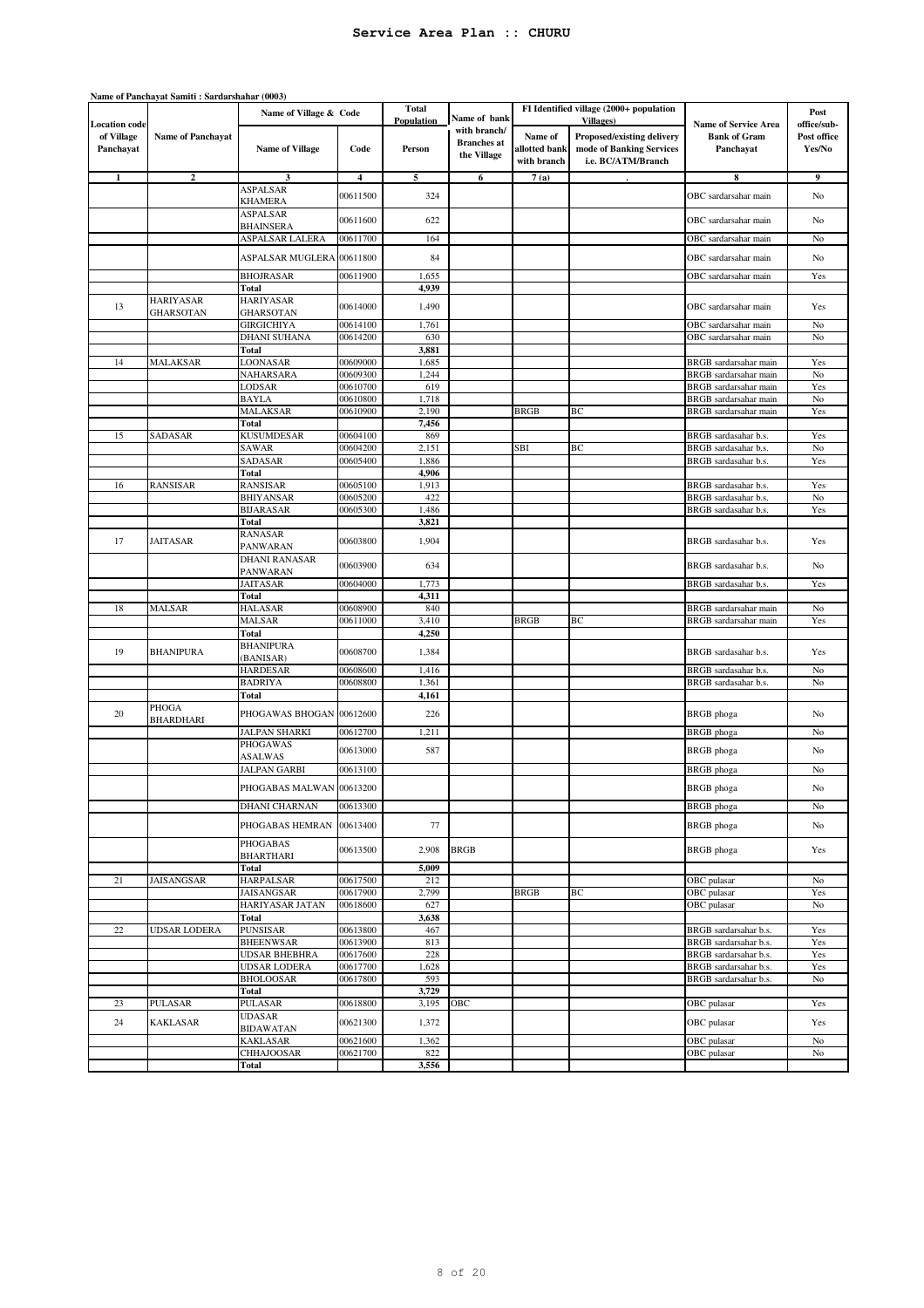|                         | Name of Panchayat Samiti : Sardarshahar (0003) |                                             |                      |                                   |                                                   |                                         |                                                                              |                                                |                       |
|-------------------------|------------------------------------------------|---------------------------------------------|----------------------|-----------------------------------|---------------------------------------------------|-----------------------------------------|------------------------------------------------------------------------------|------------------------------------------------|-----------------------|
| <b>Location</b> code    |                                                | Name of Village & Code                      |                      | <b>Total</b><br><b>Population</b> | Name of bank                                      |                                         | FI Identified village (2000+ population<br><b>Villages</b> )                 | <b>Name of Service Area</b>                    | Post<br>office/sub-   |
| of Village<br>Panchayat | <b>Name of Panchayat</b>                       | <b>Name of Village</b>                      | Code                 | Person                            | with branch/<br><b>Branches</b> at<br>the Village | Name of<br>allotted bank<br>with branch | Proposed/existing delivery<br>mode of Banking Services<br>i.e. BC/ATM/Branch | <b>Bank of Gram</b><br>Panchayat               | Post office<br>Yes/No |
| 1                       | $\boldsymbol{2}$                               | 3                                           | 4                    | 5                                 | 6                                                 | 7(a)                                    |                                                                              | 8                                              | 9                     |
|                         |                                                | ASPALSAR                                    | 00611500             | 324                               |                                                   |                                         |                                                                              | OBC sardarsahar main                           | No                    |
|                         |                                                | KHAMERA                                     |                      |                                   |                                                   |                                         |                                                                              |                                                |                       |
|                         |                                                | <b>ASPALSAR</b>                             | 00611600             | 622                               |                                                   |                                         |                                                                              | OBC sardarsahar main                           | No                    |
|                         |                                                | <b>BHAINSERA</b>                            |                      | 164                               |                                                   |                                         |                                                                              |                                                |                       |
|                         |                                                | ASPALSAR LALERA                             | 00611700             |                                   |                                                   |                                         |                                                                              | OBC sardarsahar main                           | No                    |
|                         |                                                | ASPALSAR MUGLERA 00611800                   |                      | 84                                |                                                   |                                         |                                                                              | OBC sardarsahar main                           | No                    |
|                         |                                                | <b>BHOJRASAR</b>                            | 00611900             | 1,655                             |                                                   |                                         |                                                                              | OBC sardarsahar main                           | Yes                   |
|                         |                                                | Total                                       |                      | 4,939                             |                                                   |                                         |                                                                              |                                                |                       |
| 13                      | <b>HARIYASAR</b>                               | <b>HARIYASAR</b>                            | 00614000             | 1,490                             |                                                   |                                         |                                                                              | OBC sardarsahar main                           | Yes                   |
|                         | <b>GHARSOTAN</b>                               | <b>GHARSOTAN</b>                            | 00614100             |                                   |                                                   |                                         |                                                                              |                                                |                       |
|                         |                                                | GIRGICHIYA<br><b>DHANI SUHANA</b>           | 00614200             | 1,761<br>630                      |                                                   |                                         |                                                                              | OBC sardarsahar main<br>OBC sardarsahar main   | No<br>No              |
|                         |                                                | Total                                       |                      | 3,881                             |                                                   |                                         |                                                                              |                                                |                       |
| 14                      | <b>MALAKSAR</b>                                | LOONASAR                                    | 00609000             | 1,685                             |                                                   |                                         |                                                                              | BRGB sardarsahar main                          | Yes                   |
|                         |                                                | NAHARSARA                                   | 00609300             | 1,244                             |                                                   |                                         |                                                                              | BRGB sardarsahar main                          | No                    |
|                         |                                                | LODSAR                                      | 00610700             | 619                               |                                                   |                                         |                                                                              | BRGB sardarsahar main                          | Yes                   |
|                         |                                                | <b>BAYLA</b>                                | 00610800             | 1,718                             |                                                   |                                         |                                                                              | BRGB sardarsahar main                          | $\rm No$              |
|                         |                                                | MALAKSAR                                    | 00610900             | 2,190                             |                                                   | <b>BRGB</b>                             | BC                                                                           | <b>BRGB</b> sardarsahar main                   | Yes                   |
| 15                      | SADASAR                                        | Total<br><b>KUSUMDESAR</b>                  | 00604100             | 7,456<br>869                      |                                                   |                                         |                                                                              | BRGB sardasahar b.s.                           | Yes                   |
|                         |                                                | SAWAR                                       | 00604200             | 2,151                             |                                                   | SBI                                     | BC                                                                           | BRGB sardasahar b.s.                           | No                    |
|                         |                                                | SADASAR                                     | 00605400             | 1,886                             |                                                   |                                         |                                                                              | BRGB sardasahar b.s.                           | Yes                   |
|                         |                                                | Total                                       |                      | 4,906                             |                                                   |                                         |                                                                              |                                                |                       |
| 16                      | <b>RANSISAR</b>                                | <b>RANSISAR</b>                             | 00605100             | 1,913                             |                                                   |                                         |                                                                              | BRGB sardasahar b.s.                           | Yes                   |
|                         |                                                | <b>BHIYANSAR</b>                            | 00605200             | 422                               |                                                   |                                         |                                                                              | BRGB sardasahar b.s.                           | No                    |
|                         |                                                | <b>BIJARASAR</b>                            | 00605300             | 1,486                             |                                                   |                                         |                                                                              | BRGB sardasahar b.s.                           | Yes                   |
|                         |                                                | Total<br><b>RANASAR</b>                     |                      | 3,821                             |                                                   |                                         |                                                                              |                                                |                       |
| 17                      | JAITASAR                                       | PANWARAN                                    | 00603800             | 1,904                             |                                                   |                                         |                                                                              | BRGB sardasahar b.s.                           | Yes                   |
|                         |                                                | <b>DHANI RANASAR</b>                        |                      |                                   |                                                   |                                         |                                                                              |                                                |                       |
|                         |                                                | PANWARAN                                    | 00603900             | 634                               |                                                   |                                         |                                                                              | BRGB sardasahar b.s.                           | No                    |
|                         |                                                | JAITASAR                                    | 00604000             | 1,773                             |                                                   |                                         |                                                                              | BRGB sardasahar b.s.                           | Yes                   |
|                         |                                                | Total                                       |                      | 4,311                             |                                                   |                                         |                                                                              |                                                |                       |
| 18                      | MALSAR                                         | <b>HALASAR</b><br>MALSAR                    | 00608900<br>00611000 | 840<br>3,410                      |                                                   | <b>BRGB</b>                             | BC                                                                           | BRGB sardarsahar main<br>BRGB sardarsahar main | No<br>Yes             |
|                         |                                                | Total                                       |                      | 4,250                             |                                                   |                                         |                                                                              |                                                |                       |
|                         |                                                | <b>BHANIPURA</b>                            |                      |                                   |                                                   |                                         |                                                                              |                                                |                       |
| 19                      | <b>BHANIPURA</b>                               | (BANISAR)                                   | 00608700             | 1,384                             |                                                   |                                         |                                                                              | BRGB sardasahar b.s.                           | Yes                   |
|                         |                                                | <b>HARDESAR</b>                             | 00608600             | 1,416                             |                                                   |                                         |                                                                              | BRGB sardasahar b.s.                           | No                    |
|                         |                                                | <b>BADRIYA</b>                              | 00608800             | 1,361                             |                                                   |                                         |                                                                              | BRGB sardasahar b.s.                           | No                    |
|                         | PHOGA                                          | Total                                       |                      | 4,161                             |                                                   |                                         |                                                                              |                                                |                       |
| 20                      | <b>BHARDHARI</b>                               | PHOGAWAS BHOGAN                             | 00612600             | 226                               |                                                   |                                         |                                                                              | <b>BRGB</b> phoga                              | No                    |
|                         |                                                | JALPAN SHARKI                               | 00612700             | 1,211                             |                                                   |                                         |                                                                              | <b>BRGB</b> phoga                              | No                    |
|                         |                                                | PHOGAWAS                                    | 00613000             | 587                               |                                                   |                                         |                                                                              | <b>BRGB</b> phoga                              | No                    |
|                         |                                                | <b>ASALWAS</b>                              |                      |                                   |                                                   |                                         |                                                                              |                                                |                       |
|                         |                                                | JALPAN GARBI                                | 00613100             |                                   |                                                   |                                         |                                                                              | <b>BRGB</b> phoga                              | No                    |
|                         |                                                | PHOGABAS MALWAN 00613200                    |                      |                                   |                                                   |                                         |                                                                              | BRGB phoga                                     | N <sub>0</sub>        |
|                         |                                                | DHANI CHARNAN                               | 00613300             |                                   |                                                   |                                         |                                                                              | BRGB phoga                                     | No                    |
|                         |                                                |                                             |                      |                                   |                                                   |                                         |                                                                              |                                                |                       |
|                         |                                                | PHOGABAS HEMRAN                             | 00613400             | 77                                |                                                   |                                         |                                                                              | <b>BRGB</b> phoga                              | No                    |
|                         |                                                | <b>PHOGABAS</b>                             | 00613500             | 2,908                             | <b>BRGB</b>                                       |                                         |                                                                              | <b>BRGB</b> phoga                              | Yes                   |
|                         |                                                | <b>BHARTHARI</b>                            |                      |                                   |                                                   |                                         |                                                                              |                                                |                       |
| 21                      | <b>JAISANGSAR</b>                              | Total<br><b>HARPALSAR</b>                   | 00617500             | 5,009<br>212                      |                                                   |                                         |                                                                              | OBC pulasar                                    | No                    |
|                         |                                                | JAISANGSAR                                  | 00617900             | 2,799                             |                                                   | <b>BRGB</b>                             | ВC                                                                           | OBC pulasar                                    | Yes                   |
|                         |                                                | HARIYASAR JATAN                             | 00618600             | 627                               |                                                   |                                         |                                                                              | OBC pulasar                                    | No                    |
|                         |                                                | Total                                       |                      | 3,638                             |                                                   |                                         |                                                                              |                                                |                       |
| 22                      | <b>UDSAR LODERA</b>                            | <b>PUNSISAR</b>                             | 00613800             | 467                               |                                                   |                                         |                                                                              | BRGB sardarsahar b.s.                          | Yes                   |
|                         |                                                | <b>BHEENWSAR</b>                            | 00613900             | 813                               |                                                   |                                         |                                                                              | BRGB sardarsahar b.s.                          | Yes                   |
|                         |                                                | <b>UDSAR BHEBHRA</b><br><b>UDSAR LODERA</b> | 00617600<br>00617700 | 228<br>1,628                      |                                                   |                                         |                                                                              | BRGB sardarsahar b.s.<br>BRGB sardarsahar b.s. | Yes<br>Yes            |
|                         |                                                | <b>BHOLOOSAR</b>                            | 00617800             | 593                               |                                                   |                                         |                                                                              | BRGB sardarsahar b.s.                          | No                    |
|                         |                                                | Total                                       |                      | 3,729                             |                                                   |                                         |                                                                              |                                                |                       |
| 23                      | <b>PULASAR</b>                                 | PULASAR                                     | 00618800             | 3,195                             | ОВС                                               |                                         |                                                                              | OBC pulasar                                    | Yes                   |
| 24                      | <b>KAKLASAR</b>                                | <b>UDASAR</b>                               | 00621300             | 1,372                             |                                                   |                                         |                                                                              | OBC pulasar                                    | Yes                   |
|                         |                                                | <b>BIDAWATAN</b>                            |                      |                                   |                                                   |                                         |                                                                              |                                                |                       |
|                         |                                                | KAKLASAR<br><b>CHHAJOOSAR</b>               | 00621600<br>00621700 | 1,362<br>822                      |                                                   |                                         |                                                                              | OBC pulasar<br>OBC pulasar                     | No<br>No              |
|                         |                                                | Total                                       |                      | 3,556                             |                                                   |                                         |                                                                              |                                                |                       |
|                         |                                                |                                             |                      |                                   |                                                   |                                         |                                                                              |                                                |                       |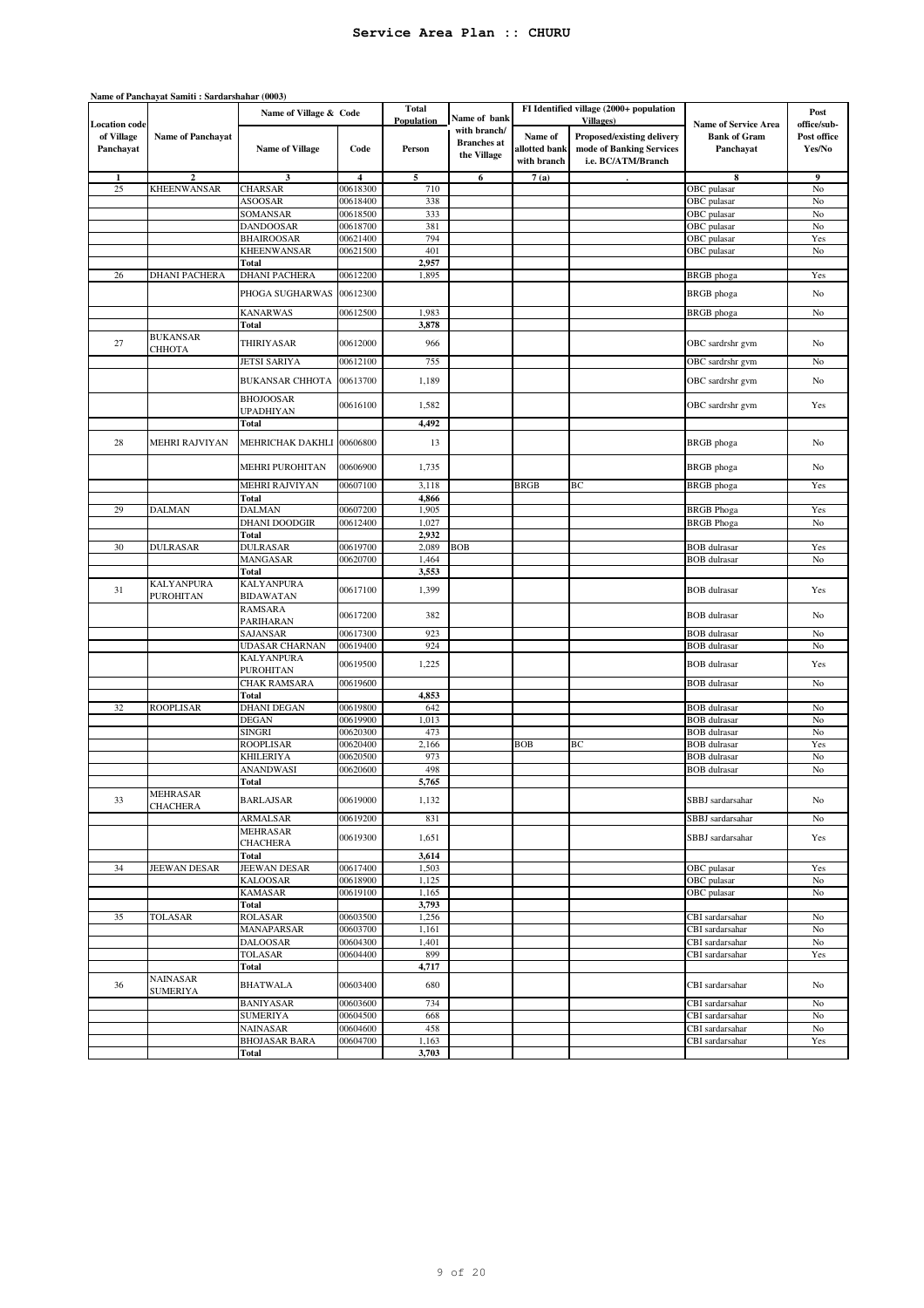|                         | Name of Panchayat Samiti: Sardarshahar (0003) |                                       |                      |                            |                                                   |                                         |                                                                              |                                            |                       |
|-------------------------|-----------------------------------------------|---------------------------------------|----------------------|----------------------------|---------------------------------------------------|-----------------------------------------|------------------------------------------------------------------------------|--------------------------------------------|-----------------------|
| <b>Location</b> code    |                                               | Name of Village & Code                |                      | <b>Total</b><br>Population | Name of bank                                      |                                         | FI Identified village (2000+ population<br><b>Villages</b> )                 | <b>Name of Service Area</b>                | Post<br>office/sub-   |
| of Village<br>Panchayat | <b>Name of Panchayat</b>                      | <b>Name of Village</b>                | Code                 | Person                     | with branch/<br><b>Branches</b> at<br>the Village | Name of<br>allotted bank<br>with branch | Proposed/existing delivery<br>mode of Banking Services<br>i.e. BC/ATM/Branch | <b>Bank of Gram</b><br>Panchayat           | Post office<br>Yes/No |
| -1                      | $\overline{2}$                                | 3                                     | $\overline{4}$       | 5                          | 6                                                 | 7(a)                                    |                                                                              | 8                                          | 9                     |
| 25                      | <b>KHEENWANSAR</b>                            | <b>CHARSAR</b>                        | 00618300             | 710                        |                                                   |                                         |                                                                              | OBC pulasar                                | No                    |
|                         |                                               | <b>ASOOSAR</b>                        | 00618400             | 338                        |                                                   |                                         |                                                                              | OBC pulasar                                | No                    |
|                         |                                               | SOMANSAR                              | 00618500             | 333                        |                                                   |                                         |                                                                              | OBC pulasar                                | No                    |
|                         |                                               | <b>DANDOOSAR</b>                      | 00618700             | 381                        |                                                   |                                         |                                                                              | OBC pulasar                                | No                    |
|                         |                                               | <b>BHAIROOSAR</b>                     | 00621400             | 794                        |                                                   |                                         |                                                                              | OBC pulasar                                | Yes                   |
|                         |                                               | <b>KHEENWANSAR</b>                    | 00621500             | 401                        |                                                   |                                         |                                                                              | OBC pulasar                                | No                    |
|                         |                                               | Total                                 |                      | 2,957                      |                                                   |                                         |                                                                              |                                            |                       |
| 26                      | <b>DHANI PACHERA</b>                          | <b>DHANI PACHERA</b>                  | 00612200             | 1,895                      |                                                   |                                         |                                                                              | <b>BRGB</b> phoga                          | Yes                   |
|                         |                                               | PHOGA SUGHARWAS                       | 00612300             |                            |                                                   |                                         |                                                                              | <b>BRGB</b> phoga                          | No                    |
|                         |                                               | <b>KANARWAS</b>                       | 00612500             | 1,983                      |                                                   |                                         |                                                                              | <b>BRGB</b> phoga                          | No                    |
|                         |                                               | Total                                 |                      | 3,878                      |                                                   |                                         |                                                                              |                                            |                       |
| 27                      | <b>BUKANSAR</b><br>СННОТА                     | THIRIYASAR                            | 00612000             | 966                        |                                                   |                                         |                                                                              | OBC sardrshr gvm                           | N <sub>o</sub>        |
|                         |                                               | <b>JETSI SARIYA</b>                   | 00612100             | 755                        |                                                   |                                         |                                                                              | OBC sardrshr gvm                           | No                    |
|                         |                                               | <b>BUKANSAR CHHOTA</b>                | 00613700             | 1,189                      |                                                   |                                         |                                                                              | OBC sardrshr gvm                           | N <sub>o</sub>        |
|                         |                                               | <b>BHOJOOSAR</b><br>UPADHIYAN         | 00616100             | 1,582                      |                                                   |                                         |                                                                              | OBC sardrshr gvm                           | Yes                   |
|                         |                                               | <b>Total</b>                          |                      | 4,492                      |                                                   |                                         |                                                                              |                                            |                       |
| 28                      | <b>MEHRI RAJVIYAN</b>                         | MEHRICHAK DAKHLI                      | 00606800             | 13                         |                                                   |                                         |                                                                              | <b>BRGB</b> phoga                          | No                    |
|                         |                                               | MEHRI PUROHITAN                       | 00606900             | 1,735                      |                                                   |                                         |                                                                              | <b>BRGB</b> phoga                          | No                    |
|                         |                                               | MEHRI RAJVIYAN                        | 00607100             | 3,118                      |                                                   | <b>BRGB</b>                             | BC                                                                           | <b>BRGB</b> phoga                          | Yes                   |
|                         |                                               | <b>Total</b>                          |                      | 4,866                      |                                                   |                                         |                                                                              |                                            |                       |
| 29                      | <b>DALMAN</b>                                 | <b>DALMAN</b>                         | 00607200             | 1,905                      |                                                   |                                         |                                                                              | <b>BRGB</b> Phoga                          | Yes                   |
|                         |                                               | <b>DHANI DOODGIR</b>                  | 00612400             | 1,027                      |                                                   |                                         |                                                                              | <b>BRGB</b> Phoga                          | No                    |
|                         |                                               | Total                                 |                      | 2,932                      |                                                   |                                         |                                                                              |                                            |                       |
| 30                      | <b>DULRASAR</b>                               | <b>DULRASAR</b>                       | 00619700             | 2,089                      | <b>BOB</b>                                        |                                         |                                                                              | <b>BOB</b> dulrasar                        | Yes                   |
|                         |                                               | MANGASAR                              | 00620700             | 1,464                      |                                                   |                                         |                                                                              | <b>BOB</b> dulrasar                        | No                    |
|                         |                                               | Total                                 |                      | 3,553                      |                                                   |                                         |                                                                              |                                            |                       |
| 31                      | <b>KALYANPURA</b><br><b>PUROHITAN</b>         | <b>KALYANPURA</b><br><b>BIDAWATAN</b> | 00617100             | 1,399                      |                                                   |                                         |                                                                              | <b>BOB</b> dulrasar                        | Yes                   |
|                         |                                               | RAMSARA<br>PARIHARAN                  | 00617200             | 382                        |                                                   |                                         |                                                                              | <b>BOB</b> dulrasar                        | No                    |
|                         |                                               | SAJANSAR                              | 00617300             | 923                        |                                                   |                                         |                                                                              | <b>BOB</b> dulrasar                        | No                    |
|                         |                                               | UDASAR CHARNAN                        | 00619400             | 924                        |                                                   |                                         |                                                                              | <b>BOB</b> dulrasar                        | No                    |
|                         |                                               | <b>KALYANPURA</b>                     | 00619500             | 1,225                      |                                                   |                                         |                                                                              | <b>BOB</b> dulrasar                        | Yes                   |
|                         |                                               | PUROHITAN                             |                      |                            |                                                   |                                         |                                                                              |                                            |                       |
|                         |                                               | <b>CHAK RAMSARA</b>                   | 00619600             |                            |                                                   |                                         |                                                                              | <b>BOB</b> dulrasar                        | No                    |
|                         |                                               | <b>Total</b>                          |                      | 4,853                      |                                                   |                                         |                                                                              |                                            |                       |
| 32                      | <b>ROOPLISAR</b>                              | <b>DHANI DEGAN</b>                    | 00619800             | 642                        |                                                   |                                         |                                                                              | <b>BOB</b> dulrasar                        | No                    |
|                         |                                               | DEGAN<br><b>SINGRI</b>                | 00619900             | 1,013<br>473               |                                                   |                                         |                                                                              | <b>BOB</b> dulrasar<br><b>BOB</b> dulrasar | No                    |
|                         |                                               | <b>ROOPLISAR</b>                      | 00620300<br>00620400 | 2,166                      |                                                   | <b>BOB</b>                              | ВC                                                                           |                                            | No                    |
|                         |                                               | KHILERIYA                             | 00620500             | 973                        |                                                   |                                         |                                                                              | <b>BOB</b> dulrasar<br><b>BOB</b> dulrasar | Yes<br>No             |
|                         |                                               | ANANDWASI                             | 00620600             | 498                        |                                                   |                                         |                                                                              | <b>BOB</b> dulrasar                        | No                    |
|                         |                                               | Total                                 |                      | 5,765                      |                                                   |                                         |                                                                              |                                            |                       |
| 33                      | <b>MEHRASAR</b>                               | <b>BARLAJSAR</b>                      | 00619000             | 1,132                      |                                                   |                                         |                                                                              | SBBJ sardarsahar                           | No                    |
|                         | <b>CHACHERA</b>                               | ARMALSAR                              | 00619200             | 831                        |                                                   |                                         |                                                                              | SBBJ sardarsahar                           | No                    |
|                         |                                               | <b>MEHRASAR</b><br><b>CHACHERA</b>    | 00619300             | 1,651                      |                                                   |                                         |                                                                              | SBBJ sardarsahar                           | Yes                   |
|                         |                                               | Total                                 |                      | 3,614                      |                                                   |                                         |                                                                              |                                            |                       |
| 34                      | <b>JEEWAN DESAR</b>                           | JEEWAN DESAR                          | 00617400             | 1,503                      |                                                   |                                         |                                                                              | OBC pulasar                                | Yes                   |
|                         |                                               | <b>KALOOSAR</b>                       | 00618900             | 1,125                      |                                                   |                                         |                                                                              | OBC pulasar                                | No                    |
|                         |                                               | <b>KAMASAR</b>                        | 00619100             | 1,165                      |                                                   |                                         |                                                                              | OBC pulasar                                | No                    |
|                         |                                               | Total                                 |                      | 3,793                      |                                                   |                                         |                                                                              |                                            |                       |
| 35                      | <b>TOLASAR</b>                                | <b>ROLASAR</b>                        | 00603500             | 1,256                      |                                                   |                                         |                                                                              | CBI sardarsahar                            | No                    |
|                         |                                               | MANAPARSAR                            | 00603700             | 1,161                      |                                                   |                                         |                                                                              | CBI sardarsahar                            | No                    |
|                         |                                               | <b>DALOOSAR</b>                       | 00604300             | 1,401                      |                                                   |                                         |                                                                              | CBI sardarsahar                            | No                    |
|                         |                                               | <b>TOLASAR</b>                        | 00604400             | 899                        |                                                   |                                         |                                                                              | CBI sardarsahar                            | Yes                   |
|                         |                                               | <b>Total</b>                          |                      | 4,717                      |                                                   |                                         |                                                                              |                                            |                       |
| 36                      | <b>NAINASAR</b><br><b>SUMERIYA</b>            | <b>BHATWALA</b>                       | 00603400             | 680                        |                                                   |                                         |                                                                              | CBI sardarsahar                            | No                    |
|                         |                                               | <b>BANIYASAR</b>                      | 00603600             | 734                        |                                                   |                                         |                                                                              | CBI sardarsahar                            | No                    |
|                         |                                               | <b>SUMERIYA</b>                       | 00604500             | 668                        |                                                   |                                         |                                                                              | CBI sardarsahar                            | No                    |
|                         |                                               | <b>NAINASAR</b>                       | 00604600             | 458                        |                                                   |                                         |                                                                              | CBI sardarsahar                            | No                    |
|                         |                                               | <b>BHOJASAR BARA</b>                  | 00604700             | 1,163                      |                                                   |                                         |                                                                              | CBI sardarsahar                            | Yes                   |
|                         |                                               | Total                                 |                      | 3,703                      |                                                   |                                         |                                                                              |                                            |                       |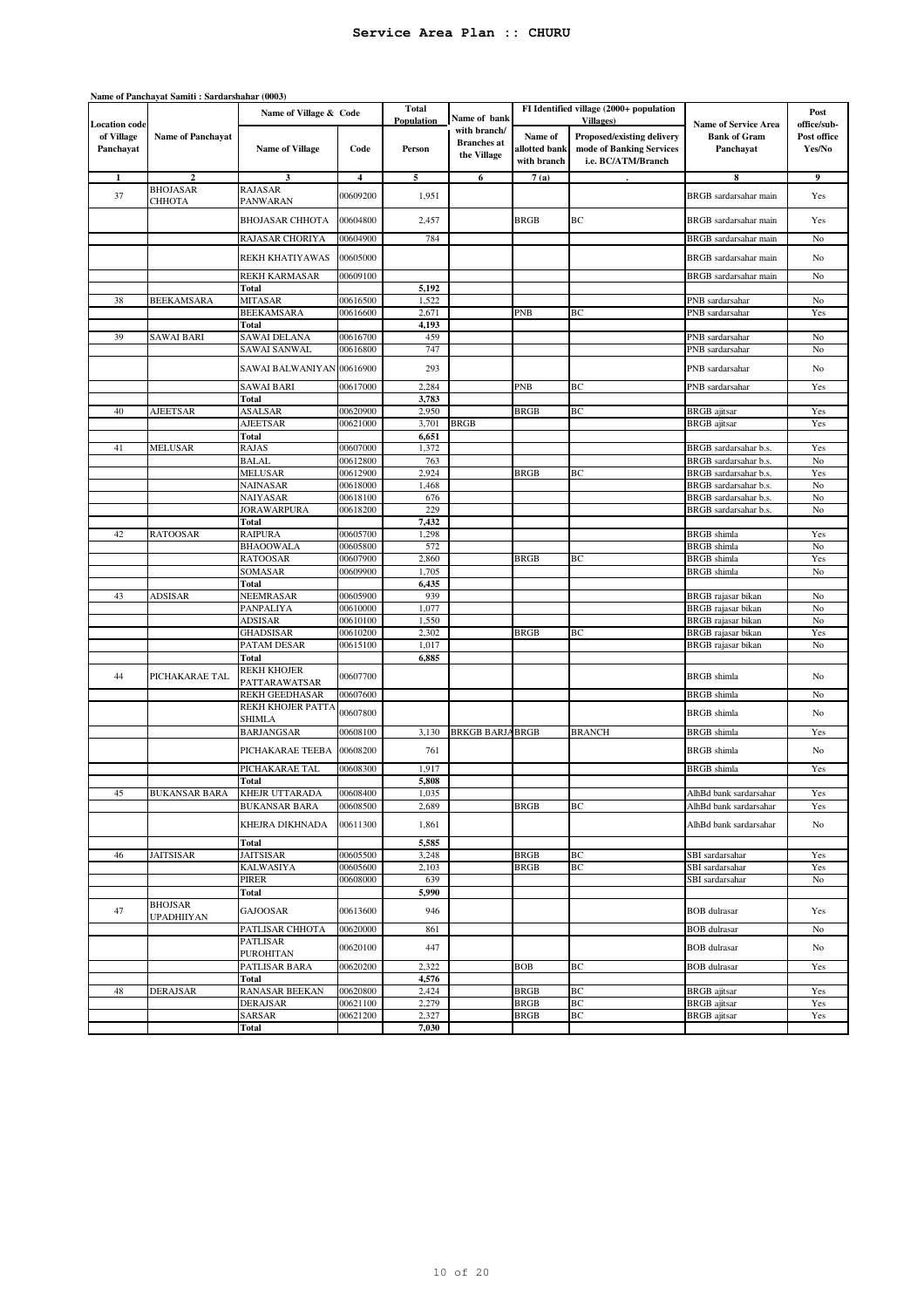|                         | Name of Panchayat Samiti: Sardarshahar (0003) |                               |                      |                                   |                                                   |                                         |                                                                              |                                                |                       |
|-------------------------|-----------------------------------------------|-------------------------------|----------------------|-----------------------------------|---------------------------------------------------|-----------------------------------------|------------------------------------------------------------------------------|------------------------------------------------|-----------------------|
| <b>Location</b> code    |                                               | Name of Village & Code        |                      | <b>Total</b><br><b>Population</b> | Name of bank                                      |                                         | FI Identified village (2000+ population<br><b>Villages</b> )                 | <b>Name of Service Area</b>                    | Post<br>office/sub-   |
| of Village<br>Panchayat | <b>Name of Panchayat</b>                      | <b>Name of Village</b>        | Code                 | Person                            | with branch/<br><b>Branches</b> at<br>the Village | Name of<br>allotted bank<br>with branch | Proposed/existing delivery<br>mode of Banking Services<br>i.e. BC/ATM/Branch | <b>Bank of Gram</b><br>Panchayat               | Post office<br>Yes/No |
|                         | $\overline{\mathbf{2}}$                       | 3                             | 4                    | 5                                 | 6                                                 | 7(a)                                    |                                                                              | 8                                              | 9                     |
| 37                      | <b>BHOJASAR</b><br>СННОТА                     | <b>RAJASAR</b><br>PANWARAN    | 00609200             | 1,951                             |                                                   |                                         |                                                                              | BRGB sardarsahar main                          | Yes                   |
|                         |                                               | <b>BHOJASAR CHHOTA</b>        | 00604800             | 2,457                             |                                                   | <b>BRGB</b>                             | ВC                                                                           | BRGB sardarsahar main                          | Yes                   |
|                         |                                               | RAJASAR CHORIYA               | 00604900             | 784                               |                                                   |                                         |                                                                              | BRGB sardarsahar main                          | No                    |
|                         |                                               | REKH KHATIYAWAS               | 00605000             |                                   |                                                   |                                         |                                                                              | BRGB sardarsahar main                          | No                    |
|                         |                                               | <b>REKH KARMASAR</b><br>Total | 00609100             | 5,192                             |                                                   |                                         |                                                                              | BRGB sardarsahar main                          | No                    |
| 38                      | <b>BEEKAMSARA</b>                             | <b>MITASAR</b>                | 00616500             | 1,522                             |                                                   |                                         |                                                                              | PNB sardarsahar                                | No                    |
|                         |                                               | <b>BEEKAMSARA</b>             | 00616600             | 2,671                             |                                                   | PNB                                     | BС                                                                           | PNB sardarsahar                                | Yes                   |
|                         |                                               | Total                         |                      | 4,193                             |                                                   |                                         |                                                                              |                                                |                       |
| 39                      | <b>SAWAI BARI</b>                             | SAWAI DELANA                  | 00616700             | 459                               |                                                   |                                         |                                                                              | PNB sardarsahar                                | No                    |
|                         |                                               | SAWAI SANWAL                  | 00616800             | 747                               |                                                   |                                         |                                                                              | PNB sardarsahar                                | No                    |
|                         |                                               | SAWAI BALWANIYAN              | 00616900             | 293                               |                                                   |                                         |                                                                              | PNB sardarsahar                                | No                    |
|                         |                                               | <b>SAWAI BARI</b><br>Total    | 00617000             | 2,284<br>3,783                    |                                                   | PNB                                     | ВC                                                                           | PNB sardarsahar                                | Yes                   |
|                         |                                               |                               |                      |                                   |                                                   | <b>BRGB</b>                             | ВC                                                                           |                                                |                       |
| 40                      | <b>AJEETSAR</b>                               | ASALSAR<br>AJEETSAR           | 00620900<br>00621000 | 2,950<br>3,701                    | <b>BRGB</b>                                       |                                         |                                                                              | <b>BRGB</b> ajitsar<br><b>BRGB</b> ajitsar     | Yes<br>Yes            |
|                         |                                               | Total                         |                      |                                   |                                                   |                                         |                                                                              |                                                |                       |
|                         | MELUSAR                                       |                               | 00607000             | 6,651<br>1,372                    |                                                   |                                         |                                                                              |                                                | Yes                   |
| 41                      |                                               | RAJAS<br><b>BALAL</b>         | 00612800             | 763                               |                                                   |                                         |                                                                              | BRGB sardarsahar b.s.                          | No                    |
|                         |                                               | <b>MELUSAR</b>                |                      |                                   |                                                   | <b>BRGB</b>                             | BC                                                                           | BRGB sardarsahar b.s.<br>BRGB sardarsahar b.s. |                       |
|                         |                                               | <b>NAINASAR</b>               | 00612900             | 2,924                             |                                                   |                                         |                                                                              |                                                | Yes                   |
|                         |                                               |                               | 00618000             | 1,468                             |                                                   |                                         |                                                                              | BRGB sardarsahar b.s.                          | No                    |
|                         |                                               | NAIYASAR                      | 00618100             | 676<br>229                        |                                                   |                                         |                                                                              | BRGB sardarsahar b.s.                          | No                    |
|                         |                                               | JORAWARPURA                   | 00618200             |                                   |                                                   |                                         |                                                                              | BRGB sardarsahar b.s.                          | No                    |
| 42                      | <b>RATOOSAR</b>                               | Total                         |                      | 7,432                             |                                                   |                                         |                                                                              |                                                | Yes                   |
|                         |                                               | <b>RAIPURA</b>                | 00605700             | 1,298                             |                                                   |                                         |                                                                              | <b>BRGB</b> shimla                             |                       |
|                         |                                               | BHAOOWALA                     | 00605800             | 572                               |                                                   |                                         |                                                                              | <b>BRGB</b> shimla                             | No                    |
|                         |                                               | <b>RATOOSAR</b>               | 00607900             | 2,860                             |                                                   | <b>BRGB</b>                             | ВC                                                                           | <b>BRGB</b> shimla                             | Yes                   |
|                         |                                               | SOMASAR                       | 00609900             | 1,705<br>6,435                    |                                                   |                                         |                                                                              | <b>BRGB</b> shimla                             | No                    |
| 43                      | ADSISAR                                       | Total<br>NEEMRASAR            | 00605900             | 939                               |                                                   |                                         |                                                                              | BRGB rajasar bikan                             | No                    |
|                         |                                               | PANPALIYA                     | 00610000             | 1,077                             |                                                   |                                         |                                                                              | <b>BRGB</b> rajasar bikan                      | No                    |
|                         |                                               | ADSISAR                       | 00610100             | 1,550                             |                                                   |                                         |                                                                              | BRGB rajasar bikan                             | No                    |
|                         |                                               | GHADSISAR                     | 00610200             | 2,302                             |                                                   | <b>BRGB</b>                             | BC                                                                           | BRGB rajasar bikan                             | Yes                   |
|                         |                                               | PATAM DESAR                   | 00615100             | 1,017                             |                                                   |                                         |                                                                              | <b>BRGB</b> rajasar bikan                      | No                    |
|                         |                                               | Total                         |                      | 6,885                             |                                                   |                                         |                                                                              |                                                |                       |
| 44                      | PICHAKARAE TAL                                | REKH KHOJER<br>PATTARAWATSAR  | 00607700             |                                   |                                                   |                                         |                                                                              | <b>BRGB</b> shimla                             | No                    |
|                         |                                               | REKH GEEDHASAR                | 00607600             |                                   |                                                   |                                         |                                                                              | <b>BRGB</b> shimla                             | No                    |
|                         |                                               | REKH KHOJER PATTA             | 00607800             |                                   |                                                   |                                         |                                                                              | <b>BRGB</b> shimla                             | No                    |
|                         |                                               | SHIMLA                        |                      |                                   |                                                   |                                         |                                                                              |                                                |                       |
|                         |                                               | <b>BARJANGSAR</b>             | 00608100             | 3,130                             | <b>BRKGB BARJABRGB</b>                            |                                         | <b>BRANCH</b>                                                                | <b>BRGB</b> shimla                             | Yes                   |
|                         |                                               | PICHAKARAE TEEBA              | 00608200             | 761                               |                                                   |                                         |                                                                              | <b>BRGB</b> shimla                             | No                    |
|                         |                                               | PICHAKARAE TAL                | 00608300             | 1,917                             |                                                   |                                         |                                                                              | <b>BRGB</b> shimla                             | Yes                   |
|                         |                                               | Total                         |                      | 5,808                             |                                                   |                                         |                                                                              |                                                |                       |
| 45                      | BUKANSAR BARA                                 | KHEJR UTTARADA                | 00608400             | 1,035                             |                                                   |                                         |                                                                              | AlhBd bank sardarsahar                         | Yes                   |
|                         |                                               | <b>BUKANSAR BARA</b>          | 00608500             | 2,689                             |                                                   | <b>BRGB</b>                             | ВC                                                                           | AlhBd bank sardarsahar                         | Yes                   |
|                         |                                               | KHEJRA DIKHNADA               | 00611300             | 1,861                             |                                                   |                                         |                                                                              | AlhBd bank sardarsahar                         | No                    |
| 46                      | <b>JAITSISAR</b>                              | Total<br><b>JAITSISAR</b>     | 00605500             | 5,585<br>3,248                    |                                                   | <b>BRGB</b>                             | ВC                                                                           | SBI sardarsahar                                | Yes                   |
|                         |                                               | KALWASIYA                     | 00605600             | 2,103                             |                                                   | <b>BRGB</b>                             | ВC                                                                           | SBI sardarsahar                                | Yes                   |
|                         |                                               | PIRER                         | 00608000             | 639                               |                                                   |                                         |                                                                              | SBI sardarsahar                                | No                    |
|                         |                                               | Total                         |                      | 5,990                             |                                                   |                                         |                                                                              |                                                |                       |
| 47                      | <b>BHOJSAR</b><br><b>UPADHIIYAN</b>           | GAJOOSAR                      | 00613600             | 946                               |                                                   |                                         |                                                                              | <b>BOB</b> dulrasar                            | Yes                   |
|                         |                                               | PATLISAR CHHOTA               | 00620000             | 861                               |                                                   |                                         |                                                                              | <b>BOB</b> dulrasar                            | No                    |
|                         |                                               | PATLISAR<br><b>PUROHITAN</b>  | 00620100             | 447                               |                                                   |                                         |                                                                              | <b>BOB</b> dulrasar                            | No                    |
|                         |                                               | PATLISAR BARA                 | 00620200             | 2,322                             |                                                   | <b>BOB</b>                              | ВC                                                                           | <b>BOB</b> dulrasar                            | Yes                   |
|                         |                                               | Total                         |                      | 4,576                             |                                                   |                                         |                                                                              |                                                |                       |
| 48                      | <b>DERAJSAR</b>                               | <b>RANASAR BEEKAN</b>         | 00620800             | 2,424                             |                                                   | <b>BRGB</b>                             | ВC                                                                           | <b>BRGB</b> ajitsar                            | Yes                   |
|                         |                                               | <b>DERAJSAR</b>               | 00621100             | 2,279                             |                                                   | <b>BRGB</b>                             | BС                                                                           | <b>BRGB</b> ajitsar                            | Yes                   |
|                         |                                               | SARSAR                        | 00621200             | 2,327                             |                                                   | <b>BRGB</b>                             | BС                                                                           | <b>BRGB</b> ajitsar                            | Yes                   |
|                         |                                               | Total                         |                      | 7,030                             |                                                   |                                         |                                                                              |                                                |                       |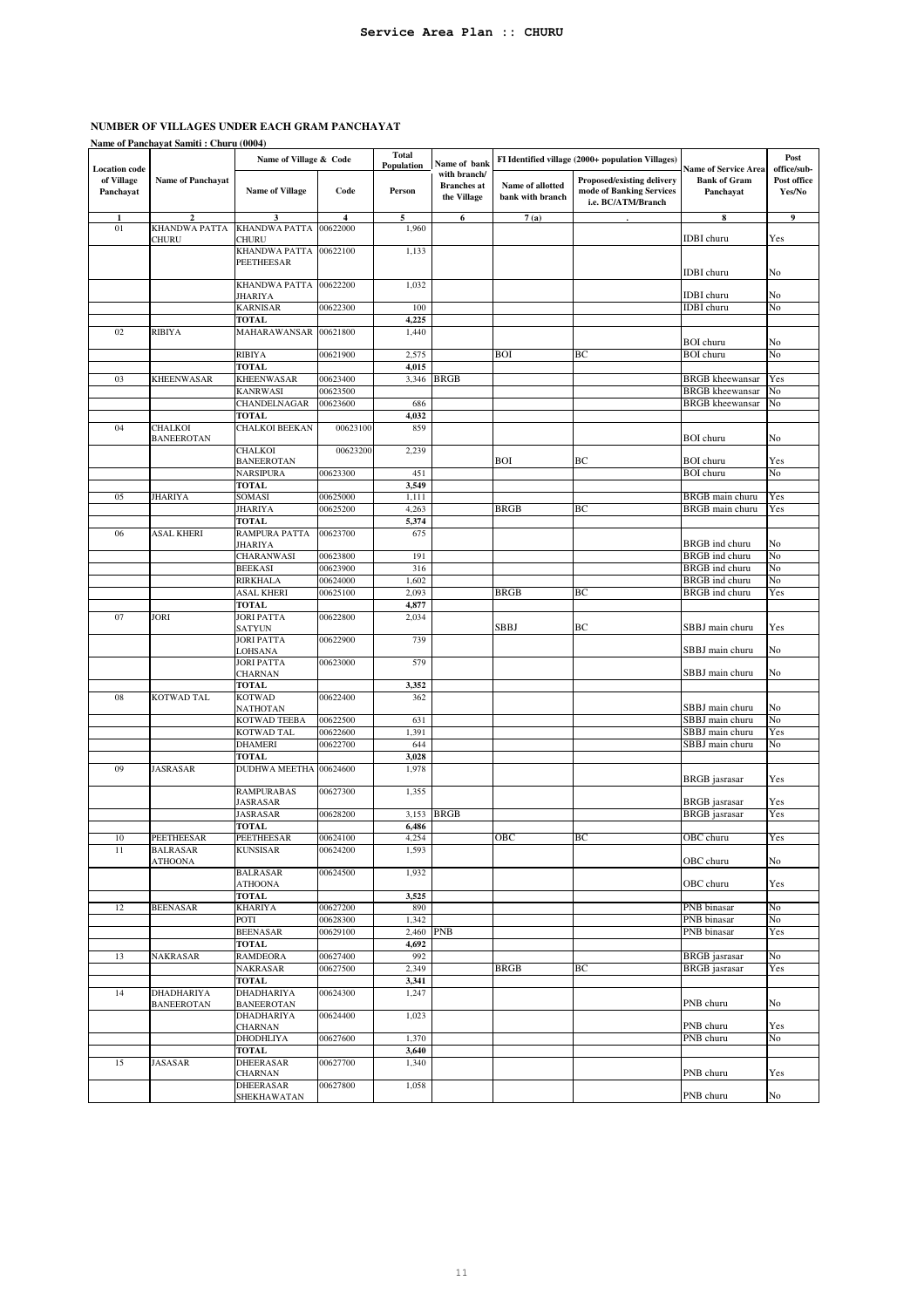|                         | Name of Panchayat Samiti: Churu (0004) |                                            |                      |                            |                                                   |                                      |                                                                                     |                                                                 |                       |
|-------------------------|----------------------------------------|--------------------------------------------|----------------------|----------------------------|---------------------------------------------------|--------------------------------------|-------------------------------------------------------------------------------------|-----------------------------------------------------------------|-----------------------|
| <b>Location</b> code    |                                        | Name of Village & Code                     |                      | <b>Total</b><br>Population | Name of bank                                      |                                      | FI Identified village (2000+ population Villages)                                   |                                                                 | Post<br>office/sub-   |
| of Village<br>Panchayat | <b>Name of Panchayat</b>               | <b>Name of Village</b>                     | Code                 | Person                     | with branch/<br><b>Branches</b> at<br>the Village | Name of allotted<br>bank with branch | <b>Proposed/existing delivery</b><br>mode of Banking Services<br>i.e. BC/ATM/Branch | <b>Name of Service Area</b><br><b>Bank of Gram</b><br>Panchayat | Post office<br>Yes/No |
|                         | $\overline{2}$                         | 3                                          | 4                    | 5                          | 6                                                 | 7(a)                                 |                                                                                     | 8                                                               | 9                     |
| 01                      | KHANDWA PATTA<br>CHURU                 | <b>KHANDWA PATTA</b><br>CHURU              | 00622000             | 1,960                      |                                                   |                                      |                                                                                     | <b>IDBI</b> churu                                               | Yes                   |
|                         |                                        | <b>KHANDWA PATTA</b>                       | 00622100             | 1,133                      |                                                   |                                      |                                                                                     |                                                                 |                       |
|                         |                                        | PEETHEESAR                                 |                      |                            |                                                   |                                      |                                                                                     | <b>IDBI</b> churu                                               | No                    |
|                         |                                        | KHANDWA PATTA                              | 00622200             | 1,032                      |                                                   |                                      |                                                                                     | <b>IDBI</b> churu                                               | No                    |
|                         |                                        | JHARIYA<br><b>KARNISAR</b>                 | 00622300             | 100                        |                                                   |                                      |                                                                                     | <b>IDBI</b> churu                                               | No                    |
|                         |                                        | <b>TOTAL</b>                               |                      | 4,225                      |                                                   |                                      |                                                                                     |                                                                 |                       |
| 02                      | <b>RIBIYA</b>                          | MAHARAWANSAR                               | 00621800             | 1,440                      |                                                   |                                      |                                                                                     |                                                                 |                       |
|                         |                                        |                                            |                      |                            |                                                   |                                      |                                                                                     | <b>BOI</b> churu                                                | No                    |
|                         |                                        | <b>RIBIYA</b><br><b>TOTAL</b>              | 00621900             | 2,575<br>4,015             |                                                   | BOI                                  | ВC                                                                                  | <b>BOI</b> churu                                                | No                    |
| 03                      | <b>KHEENWASAR</b>                      | <b>KHEENWASAR</b>                          | 00623400             | 3,346                      | <b>BRGB</b>                                       |                                      |                                                                                     | <b>BRGB</b> kheewansar                                          | Yes                   |
|                         |                                        | KANRWASI                                   | 00623500             |                            |                                                   |                                      |                                                                                     | <b>BRGB</b> kheewansar                                          | No                    |
|                         |                                        | CHANDELNAGAR                               | 00623600             | 686                        |                                                   |                                      |                                                                                     | <b>BRGB</b> kheewansar                                          | No                    |
|                         |                                        | <b>TOTAL</b>                               |                      | 4,032                      |                                                   |                                      |                                                                                     |                                                                 |                       |
| 04                      | CHALKOI<br><b>BANEEROTAN</b>           | <b>CHALKOI BEEKAN</b>                      | 00623100             | 859                        |                                                   |                                      |                                                                                     | <b>BOI</b> churu                                                | No                    |
|                         |                                        | CHALKOI<br><b>BANEEROTAN</b>               | 00623200             | 2,239                      |                                                   | BOI                                  | ВC                                                                                  | <b>BOI</b> churu                                                | Yes                   |
|                         |                                        | NARSIPURA                                  | 00623300             | 451                        |                                                   |                                      |                                                                                     | <b>BOI</b> churu                                                | No                    |
|                         |                                        | <b>TOTAL</b>                               |                      | 3,549                      |                                                   |                                      |                                                                                     |                                                                 |                       |
| 05                      | JHARIYA                                | SOMASI                                     | 00625000             | 1,111                      |                                                   |                                      |                                                                                     | BRGB main churu                                                 | Yes                   |
|                         |                                        | <b>JHARIYA</b>                             | 00625200             | 4,263                      |                                                   | <b>BRGB</b>                          | BС                                                                                  | <b>BRGB</b> main churu                                          | Yes                   |
| 06                      | ASAL KHERI                             | <b>TOTAL</b><br>RAMPURA PATTA              | 00623700             | 5,374<br>675               |                                                   |                                      |                                                                                     |                                                                 |                       |
|                         |                                        | JHARIYA                                    |                      |                            |                                                   |                                      |                                                                                     | <b>BRGB</b> ind churu                                           | No                    |
|                         |                                        | CHARANWASI                                 | 00623800             | 191                        |                                                   |                                      |                                                                                     | <b>BRGB</b> ind churu                                           | No                    |
|                         |                                        | <b>BEEKASI</b>                             | 00623900             | 316                        |                                                   |                                      |                                                                                     | BRGB ind churu                                                  | No                    |
|                         |                                        | <b>RIRKHALA</b>                            | 00624000             | 1,602                      |                                                   |                                      |                                                                                     | BRGB ind churu                                                  | No                    |
|                         |                                        | <b>ASAL KHERI</b>                          | 00625100             | 2,093                      |                                                   | <b>BRGB</b>                          | ВC                                                                                  | BRGB ind churu                                                  | Yes                   |
| 07                      | <b>JORI</b>                            | <b>TOTAL</b><br><b>JORI PATTA</b>          | 00622800             | 4,877<br>2,034             |                                                   |                                      |                                                                                     |                                                                 |                       |
|                         |                                        | <b>SATYUN</b>                              |                      |                            |                                                   | SBBJ                                 | ВC                                                                                  | SBBJ main churu                                                 | Yes                   |
|                         |                                        | <b>JORI PATTA</b><br>LOHSANA               | 00622900             | 739                        |                                                   |                                      |                                                                                     | SBBJ main churu                                                 | No                    |
|                         |                                        | JORI PATTA<br><b>CHARNAN</b>               | 00623000             | 579                        |                                                   |                                      |                                                                                     | SBBJ main churu                                                 | No                    |
|                         |                                        | <b>TOTAL</b>                               |                      | 3,352                      |                                                   |                                      |                                                                                     |                                                                 |                       |
| 08                      | <b>KOTWAD TAL</b>                      | <b>KOTWAD</b>                              | 00622400             | 362                        |                                                   |                                      |                                                                                     | SBBJ main churu                                                 | No                    |
|                         |                                        | NATHOTAN<br>KOTWAD TEEBA                   | 00622500             | 631                        |                                                   |                                      |                                                                                     | SBBJ main churu                                                 | No                    |
|                         |                                        | KOTWAD TAL                                 | 00622600             | 1,391                      |                                                   |                                      |                                                                                     | SBBJ main churu                                                 | Yes                   |
|                         |                                        | <b>DHAMERI</b>                             | 00622700             | 644                        |                                                   |                                      |                                                                                     | SBBJ main churu                                                 | No                    |
|                         |                                        | <b>TOTAL</b>                               |                      | 3,028                      |                                                   |                                      |                                                                                     |                                                                 |                       |
| 09                      | <b>JASRASAR</b>                        | DUDHWA MEETHA 00624600                     |                      | 1,978                      |                                                   |                                      |                                                                                     | <b>BRGB</b> jasrasar                                            | Yes                   |
|                         |                                        | <b>RAMPURABAS</b><br>JASRASAR              | 00627300             | 1,355                      |                                                   |                                      |                                                                                     | BRGB jasrasar                                                   | Yes                   |
|                         |                                        | <b>JASRASAR</b>                            | 00628200             | 3,153                      | <b>BRGB</b>                                       |                                      |                                                                                     | <b>BRGB</b> jasrasar                                            | Yes                   |
|                         |                                        | <b>TOTAL</b>                               |                      | 6,486                      |                                                   |                                      |                                                                                     |                                                                 |                       |
| 10                      | PEETHEESAR                             | PEETHEESAR                                 | 00624100             | 4,254                      |                                                   | овс                                  | BС                                                                                  | OBC churu                                                       | Yes                   |
| 11                      | <b>BALRASAR</b><br><b>ATHOONA</b>      | <b>KUNSISAR</b><br><b>BALRASAR</b>         | 00624200<br>00624500 | 1,593<br>1,932             |                                                   |                                      |                                                                                     | OBC churu                                                       | No                    |
|                         |                                        | <b>ATHOONA</b>                             |                      |                            |                                                   |                                      |                                                                                     | OBC churu                                                       | Yes                   |
| $12\,$                  | <b>BEENASAR</b>                        | TOTAL<br><b>KHARIYA</b>                    | 00627200             | 3,525<br>890               |                                                   |                                      |                                                                                     | PNB binasar                                                     | No                    |
|                         |                                        | POTI                                       | 00628300             | 1,342                      |                                                   |                                      |                                                                                     | PNB binasar                                                     | No                    |
|                         |                                        | <b>BEENASAR</b>                            | 00629100             | 2,460 PNB                  |                                                   |                                      |                                                                                     | PNB binasar                                                     | Yes                   |
|                         |                                        | <b>TOTAL</b>                               |                      | 4,692                      |                                                   |                                      |                                                                                     |                                                                 |                       |
| 13                      | NAKRASAR                               | <b>RAMDEORA</b>                            | 00627400             | 992                        |                                                   |                                      |                                                                                     | <b>BRGB</b> jasrasar                                            | No                    |
|                         |                                        | NAKRASAR                                   | 00627500             | 2,349                      |                                                   | <b>BRGB</b>                          | ВC                                                                                  | <b>BRGB</b> jasrasar                                            | Yes                   |
| 14                      | DHADHARIYA                             | <b>TOTAL</b><br><b>DHADHARIYA</b>          | 00624300             | 3,341<br>1,247             |                                                   |                                      |                                                                                     |                                                                 |                       |
|                         | <b>BANEEROTAN</b>                      | <b>BANEEROTAN</b>                          |                      |                            |                                                   |                                      |                                                                                     | PNB churu                                                       | No                    |
|                         |                                        | DHADHARIYA<br><b>CHARNAN</b>               | 00624400             | 1,023                      |                                                   |                                      |                                                                                     | PNB churu                                                       | Yes                   |
|                         |                                        | DHODHLIYA                                  | 00627600             | 1,370                      |                                                   |                                      |                                                                                     | PNB churu                                                       | No                    |
|                         |                                        | <b>TOTAL</b>                               |                      | 3,640                      |                                                   |                                      |                                                                                     |                                                                 |                       |
| 15                      | JASASAR                                | <b>DHEERASAR</b>                           | 00627700             | 1,340                      |                                                   |                                      |                                                                                     |                                                                 |                       |
|                         |                                        | CHARNAN<br><b>DHEERASAR</b><br>SHEKHAWATAN | 00627800             | 1,058                      |                                                   |                                      |                                                                                     | PNB churu<br>PNB churu                                          | Yes<br>No             |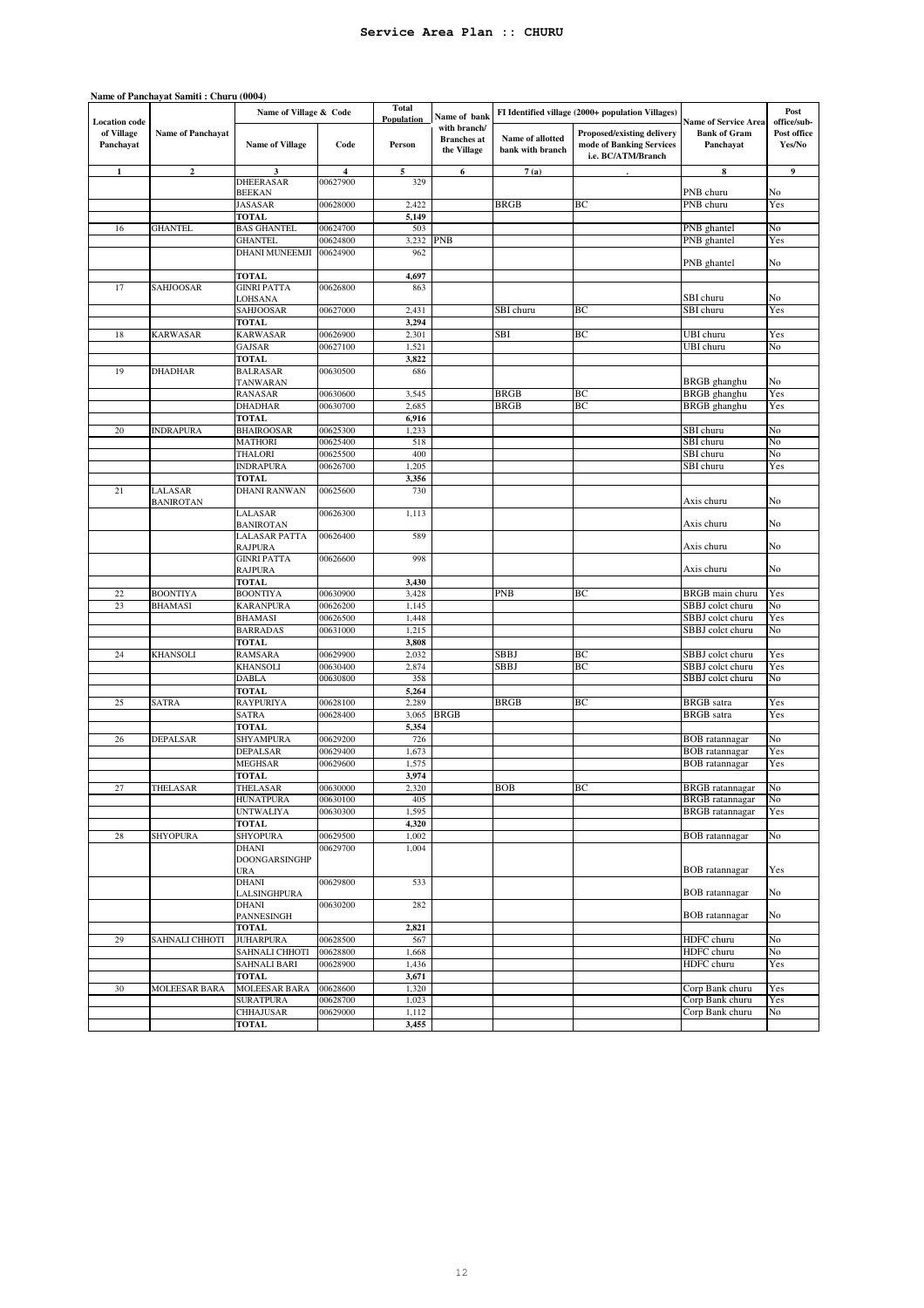| <b>Location</b> code    |                             | Name of Village & Code                                       |                      | <b>Total</b><br><b>Population</b> | Name of bank                                      |                                      | FI Identified village (2000+ population Villages)                            | <b>Name of Service Area</b>                    | Post<br>office/sub-   |
|-------------------------|-----------------------------|--------------------------------------------------------------|----------------------|-----------------------------------|---------------------------------------------------|--------------------------------------|------------------------------------------------------------------------------|------------------------------------------------|-----------------------|
| of Village<br>Panchayat | <b>Name of Panchayat</b>    | <b>Name of Village</b>                                       | Code                 | Person                            | with branch/<br><b>Branches</b> at<br>the Village | Name of allotted<br>bank with branch | Proposed/existing delivery<br>mode of Banking Services<br>i.e. BC/ATM/Branch | <b>Bank of Gram</b><br>Panchayat               | Post office<br>Yes/No |
| $\mathbf{1}$            | $\mathbf{2}$                | 3                                                            | 4                    | 5                                 | 6                                                 | 7(a)                                 |                                                                              | 8                                              | 9                     |
|                         |                             | DHEERASAR<br><b>BEEKAN</b>                                   | 00627900             | 329                               |                                                   |                                      |                                                                              | PNB churu                                      | No                    |
|                         |                             | JASASAR                                                      | 00628000             | 2,422                             |                                                   | <b>BRGB</b>                          | BC                                                                           | PNB churu                                      | Yes                   |
|                         |                             | <b>TOTAL</b>                                                 |                      | 5,149                             |                                                   |                                      |                                                                              |                                                |                       |
| 16                      | <b>GHANTEL</b>              | <b>BAS GHANTEL</b>                                           | 00624700             | 503                               |                                                   |                                      |                                                                              | PNB ghantel                                    | No                    |
|                         |                             | <b>GHANTEL</b>                                               | 00624800             | 3,232                             | <b>PNB</b>                                        |                                      |                                                                              | PNB ghantel                                    | Yes                   |
|                         |                             | DHANI MUNEEMJI                                               | 00624900             | 962                               |                                                   |                                      |                                                                              | PNB ghantel                                    | No                    |
| 17                      | SAHJOOSAR                   | <b>TOTAL</b><br><b>GINRI PATTA</b>                           | 00626800             | 4,697<br>863                      |                                                   |                                      |                                                                              |                                                |                       |
|                         |                             | LOHSANA                                                      |                      |                                   |                                                   |                                      |                                                                              | SBI churu                                      | No                    |
|                         |                             | SAHJOOSAR                                                    | 00627000             | 2,431                             |                                                   | SBI churu                            | BС                                                                           | SBI churu                                      | Yes                   |
|                         |                             | <b>TOTAL</b>                                                 |                      | 3,294                             |                                                   |                                      |                                                                              |                                                |                       |
| 18                      | <b>KARWASAR</b>             | <b>KARWASAR</b>                                              | 00626900             | 2,301                             |                                                   | SBI                                  | ВC                                                                           | UBI churu                                      | Yes                   |
|                         |                             | GAJSAR<br><b>TOTAL</b>                                       | 00627100             | 1,521<br>3,822                    |                                                   |                                      |                                                                              | UBI churu                                      | No                    |
| 19                      | <b>DHADHAR</b>              | <b>BALRASAR</b>                                              | 00630500             | 686                               |                                                   |                                      |                                                                              |                                                |                       |
|                         |                             | TANWARAN                                                     |                      |                                   |                                                   |                                      |                                                                              | BRGB ghanghu                                   | No                    |
|                         |                             | <b>RANASAR</b>                                               | 00630600             | 3,545                             |                                                   | <b>BRGB</b>                          | BC                                                                           | BRGB ghanghu                                   | Yes                   |
|                         |                             | <b>DHADHAR</b>                                               | 00630700             | 2,685                             |                                                   | <b>BRGB</b>                          | BC                                                                           | BRGB ghanghu                                   | Yes                   |
| 20                      |                             | <b>TOTAL</b>                                                 |                      | 6,916                             |                                                   |                                      |                                                                              |                                                |                       |
|                         | <b>INDRAPURA</b>            | <b>BHAIROOSAR</b><br><b>MATHORI</b>                          | 00625300<br>00625400 | 1,233<br>518                      |                                                   |                                      |                                                                              | SBI churu<br>SBI churu                         | No<br>No              |
|                         |                             | THALORI                                                      | 00625500             | 400                               |                                                   |                                      |                                                                              | SBI churu                                      | No                    |
|                         |                             | <b>INDRAPURA</b>                                             | 00626700             | 1,205                             |                                                   |                                      |                                                                              | SBI churu                                      | Yes                   |
|                         |                             | <b>TOTAL</b>                                                 |                      | 3,356                             |                                                   |                                      |                                                                              |                                                |                       |
| 21                      | LALASAR<br><b>BANIROTAN</b> | DHANI RANWAN                                                 | 00625600             | 730                               |                                                   |                                      |                                                                              | Axis churu                                     | No                    |
|                         |                             | LALASAR<br><b>BANIROTAN</b>                                  | 00626300             | 1,113                             |                                                   |                                      |                                                                              | Axis churu                                     | No                    |
|                         |                             | <b>LALASAR PATTA</b><br><b>RAJPURA</b><br><b>GINRI PATTA</b> | 00626400<br>00626600 | 589<br>998                        |                                                   |                                      |                                                                              | Axis churu                                     | No                    |
|                         |                             | <b>RAJPURA</b><br><b>TOTAL</b>                               |                      | 3,430                             |                                                   |                                      |                                                                              | Axis churu                                     | No                    |
| 22                      | <b>BOONTIYA</b>             | <b>BOONTIYA</b>                                              | 00630900             | 3,428                             |                                                   | <b>PNB</b>                           | BC                                                                           | BRGB main churu                                | Yes                   |
| 23                      | <b>BHAMASI</b>              | <b>KARANPURA</b>                                             | 00626200             | 1,145                             |                                                   |                                      |                                                                              | SBBJ colct churu                               | No                    |
|                         |                             | <b>BHAMASI</b>                                               | 00626500             | 1,448                             |                                                   |                                      |                                                                              | SBBJ colct churu                               | Yes                   |
|                         |                             | <b>BARRADAS</b>                                              | 00631000             | 1,215                             |                                                   |                                      |                                                                              | SBBJ colct churu                               | No                    |
| 24                      | KHANSOLI                    | <b>TOTAL</b><br><b>RAMSARA</b>                               |                      | 3,808<br>2,032                    |                                                   | SBBJ                                 | ВC                                                                           | SBBJ colct churu                               | Yes                   |
|                         |                             | <b>KHANSOLI</b>                                              | 00629900<br>00630400 | 2,874                             |                                                   | SBBJ                                 | BC                                                                           | SBBJ colct churu                               | Yes                   |
|                         |                             | <b>DABLA</b>                                                 | 00630800             | 358                               |                                                   |                                      |                                                                              | SBBJ colct churu                               | No                    |
|                         |                             | <b>TOTAL</b>                                                 |                      | 5,264                             |                                                   |                                      |                                                                              |                                                |                       |
| 25                      | <b>SATRA</b>                | RAYPURIYA                                                    | 00628100             | 2,289                             |                                                   | <b>BRGB</b>                          | ВC                                                                           | <b>BRGB</b> satra                              | Yes                   |
|                         |                             | <b>SATRA</b>                                                 | 00628400             | 3,065                             | <b>BRGB</b>                                       |                                      |                                                                              | <b>BRGB</b> satra                              | Yes                   |
|                         |                             | <b>TOTAL</b>                                                 |                      | 5,354                             |                                                   |                                      |                                                                              |                                                |                       |
| 26                      | DEPALSAR                    | SHYAMPURA<br>DEPALSAR                                        | 00629200<br>00629400 | 726<br>1,673                      |                                                   |                                      |                                                                              | <b>BOB</b> ratannagar<br><b>BOB</b> ratannagar | No<br>Yes             |
|                         |                             | <b>MEGHSAR</b>                                               | 00629600             | 1,575                             |                                                   |                                      |                                                                              | <b>BOB</b> ratannagar                          | Yes                   |
|                         |                             | <b>TOTAL</b>                                                 |                      | 3,974                             |                                                   |                                      |                                                                              |                                                |                       |
| 27                      | THELASAR                    | THELASAR                                                     | 00630000             | 2,320                             |                                                   | <b>BOB</b>                           | ВC                                                                           | <b>BRGB</b> ratannagar                         | No                    |
|                         |                             | <b>HUNATPURA</b>                                             | 00630100             | 405                               |                                                   |                                      |                                                                              | <b>BRGB</b> ratannagar                         | No                    |
|                         |                             | <b>UNTWALIYA</b>                                             | 00630300             | 1,595                             |                                                   |                                      |                                                                              | <b>BRGB</b> ratannagar                         | Yes                   |
|                         | <b>SHYOPURA</b>             | <b>TOTAL</b><br>SHYOPURA                                     | 00629500             | 4,320<br>1,002                    |                                                   |                                      |                                                                              | <b>BOB</b> ratannagar                          | No                    |
| 28                      |                             | DHANI<br>DOONGARSINGHP                                       | 00629700             | 1,004                             |                                                   |                                      |                                                                              |                                                |                       |
|                         |                             | <b>URA</b><br><b>DHANI</b>                                   | 00629800             | 533                               |                                                   |                                      |                                                                              | <b>BOB</b> ratannagar                          | Yes                   |
|                         |                             | LALSINGHPURA<br>DHANI                                        | 00630200             | 282                               |                                                   |                                      |                                                                              | <b>BOB</b> ratannagar                          | No                    |
|                         |                             | PANNESINGH<br><b>TOTAL</b>                                   |                      | 2,821                             |                                                   |                                      |                                                                              | <b>BOB</b> ratannagar                          | No                    |
| 29                      | SAHNALI CHHOTI              | <b>JUHARPURA</b>                                             | 00628500             | 567                               |                                                   |                                      |                                                                              | HDFC churu                                     | No                    |
|                         |                             | SAHNALI CHHOTI                                               | 00628800             | 1,668                             |                                                   |                                      |                                                                              | HDFC churu                                     | No                    |
|                         |                             | <b>SAHNALI BARI</b>                                          | 00628900             | 1,436                             |                                                   |                                      |                                                                              | HDFC churu                                     | Yes                   |
|                         |                             | <b>TOTAL</b>                                                 |                      | 3,671                             |                                                   |                                      |                                                                              |                                                |                       |
| 30                      | MOLEESAR BARA               | MOLEESAR BARA                                                | 00628600             | 1,320                             |                                                   |                                      |                                                                              | Corp Bank churu                                | Yes                   |
|                         |                             | <b>SURATPURA</b><br><b>CHHAJUSAR</b>                         | 00628700<br>00629000 | 1,023<br>1,112                    |                                                   |                                      |                                                                              | Corp Bank churu<br>Corp Bank churu             | Yes<br>No             |
|                         |                             | TOTAL                                                        |                      | 3,455                             |                                                   |                                      |                                                                              |                                                |                       |

12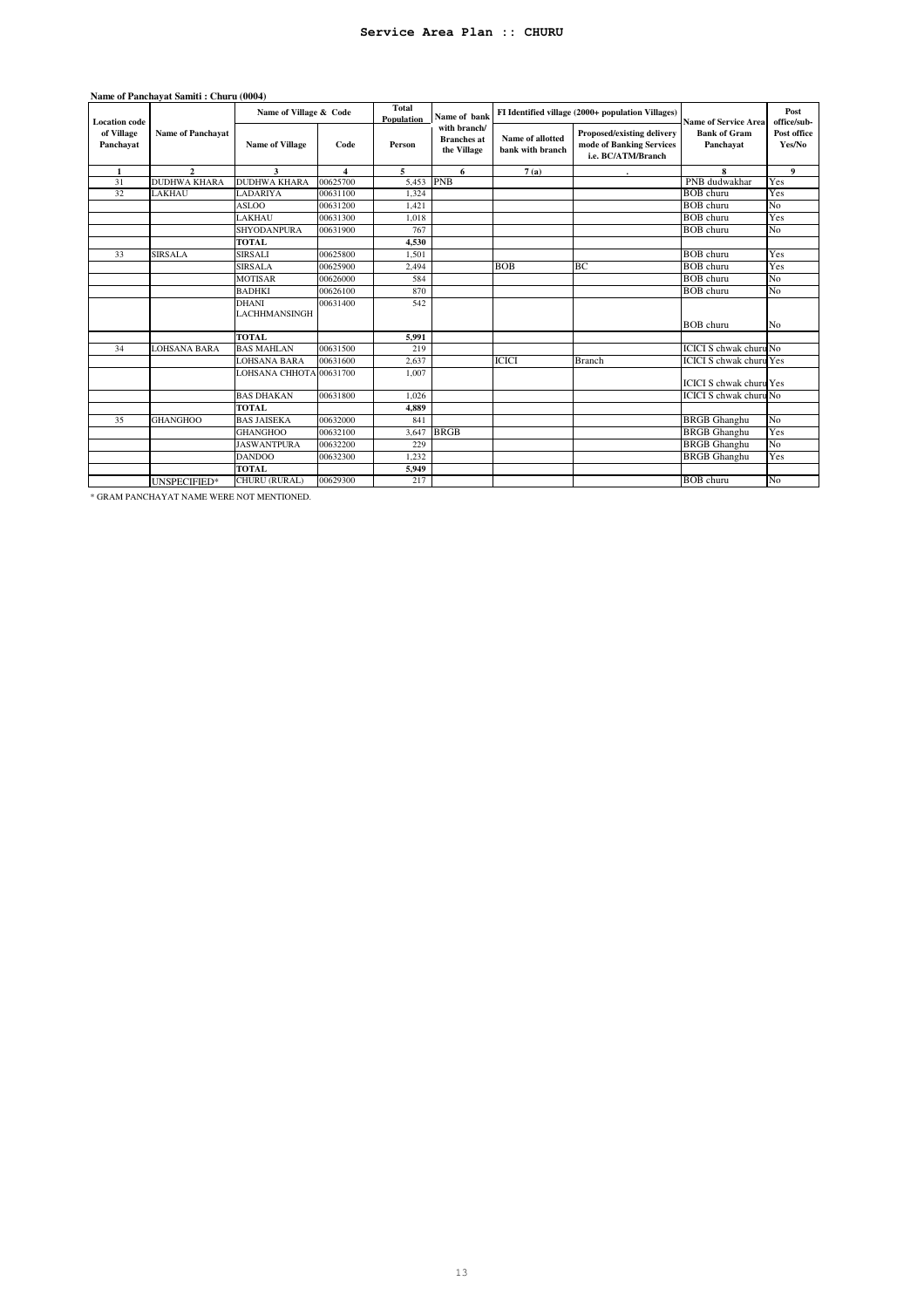|                         | Name of Panchavat Samiti: Churu (0004) |                                      |                  |                            |                                                   |                                      |                                                                                     |                                  |                       |
|-------------------------|----------------------------------------|--------------------------------------|------------------|----------------------------|---------------------------------------------------|--------------------------------------|-------------------------------------------------------------------------------------|----------------------------------|-----------------------|
| <b>Location</b> code    | <b>Name of Panchayat</b>               | Name of Village & Code               |                  | <b>Total</b><br>Population | Name of bank                                      |                                      | FI Identified village (2000+ population Villages)                                   | <b>Name of Service Area</b>      | Post<br>office/sub-   |
| of Village<br>Panchayat |                                        | <b>Name of Village</b>               | Code             | Person                     | with branch/<br><b>Branches</b> at<br>the Village | Name of allotted<br>bank with branch | <b>Proposed/existing delivery</b><br>mode of Banking Services<br>i.e. BC/ATM/Branch | <b>Bank of Gram</b><br>Panchayat | Post office<br>Yes/No |
| $\mathbf{1}$            | $\mathcal{L}$                          | 3                                    | $\blacktriangle$ | 5                          | 6                                                 | 7(a)                                 |                                                                                     | 8                                | 9                     |
| 31                      | <b>DUDHWA KHARA</b>                    | <b>DUDHWA KHARA</b>                  | 00625700         | 5.453                      | <b>PNB</b>                                        |                                      |                                                                                     | PNB dudwakhar                    | Yes                   |
| 32                      | LAKHAU                                 | LADARIYA                             | 00631100         | 1.324                      |                                                   |                                      |                                                                                     | <b>BOB</b> churu                 | Yes                   |
|                         |                                        | <b>ASLOO</b>                         | 00631200         | 1,421                      |                                                   |                                      |                                                                                     | <b>BOB</b> churu                 | No                    |
|                         |                                        | LAKHAU                               | 00631300         | 1.018                      |                                                   |                                      |                                                                                     | <b>BOB</b> churu                 | Yes                   |
|                         |                                        | SHYODANPURA                          | 00631900         | 767                        |                                                   |                                      |                                                                                     | <b>BOB</b> churu                 | No                    |
|                         |                                        | <b>TOTAL</b>                         |                  | 4,530                      |                                                   |                                      |                                                                                     |                                  |                       |
| 33                      | <b>SIRSALA</b>                         | <b>SIRSALI</b>                       | 00625800         | 1,501                      |                                                   |                                      |                                                                                     | <b>BOB</b> churu                 | Yes                   |
|                         |                                        | <b>SIRSALA</b>                       | 00625900         | 2,494                      |                                                   | <b>BOB</b>                           | BC                                                                                  | <b>BOB</b> churu                 | Yes                   |
|                         |                                        | <b>MOTISAR</b>                       | 00626000         | 584                        |                                                   |                                      |                                                                                     | <b>BOB</b> churu                 | No                    |
|                         |                                        | <b>BADHKI</b>                        | 00626100         | 870                        |                                                   |                                      |                                                                                     | <b>BOB</b> churu                 | No                    |
|                         |                                        | <b>DHANI</b><br><b>LACHHMANSINGH</b> | 00631400         | 542                        |                                                   |                                      |                                                                                     | <b>BOB</b> churu                 | No                    |
|                         |                                        | <b>TOTAL</b>                         |                  | 5.991                      |                                                   |                                      |                                                                                     |                                  |                       |
| 34                      | LOHSANA BARA                           | <b>BAS MAHLAN</b>                    | 00631500         | 219                        |                                                   |                                      |                                                                                     | <b>ICICI S</b> chwak churu No    |                       |
|                         |                                        | LOHSANA BARA                         | 00631600         | 2.637                      |                                                   | <b>ICICI</b>                         | <b>Branch</b>                                                                       | <b>ICICI S chwak churu Yes</b>   |                       |
|                         |                                        | LOHSANA CHHOTA 00631700              |                  | 1.007                      |                                                   |                                      |                                                                                     | <b>ICICI S chwak churu Yes</b>   |                       |
|                         |                                        | <b>BAS DHAKAN</b>                    | 00631800         | 1.026                      |                                                   |                                      |                                                                                     | <b>ICICI S</b> chwak churu No    |                       |
|                         |                                        | <b>TOTAL</b>                         |                  | 4,889                      |                                                   |                                      |                                                                                     |                                  |                       |
| 35                      | <b>GHANGHOO</b>                        | <b>BAS JAISEKA</b>                   | 00632000         | 841                        |                                                   |                                      |                                                                                     | <b>BRGB</b> Ghanghu              | No                    |
|                         |                                        | <b>GHANGHOO</b>                      | 00632100         | 3,647                      | <b>BRGB</b>                                       |                                      |                                                                                     | <b>BRGB</b> Ghanghu              | Yes                   |
|                         |                                        | <b>JASWANTPURA</b>                   | 00632200         | 229                        |                                                   |                                      |                                                                                     | <b>BRGB</b> Ghanghu              | No                    |
|                         |                                        | <b>DANDOO</b>                        | 00632300         | 1,232                      |                                                   |                                      |                                                                                     | <b>BRGB</b> Ghanghu              | Yes                   |
|                         |                                        | <b>TOTAL</b>                         |                  | 5,949                      |                                                   |                                      |                                                                                     |                                  |                       |
|                         | UNSPECIFIED*                           | CHURU (RURAL)                        | 00629300         | 217                        |                                                   |                                      |                                                                                     | <b>BOB</b> churu                 | No                    |

\* GRAM PANCHAYAT NAME WERE NOT MENTIONED.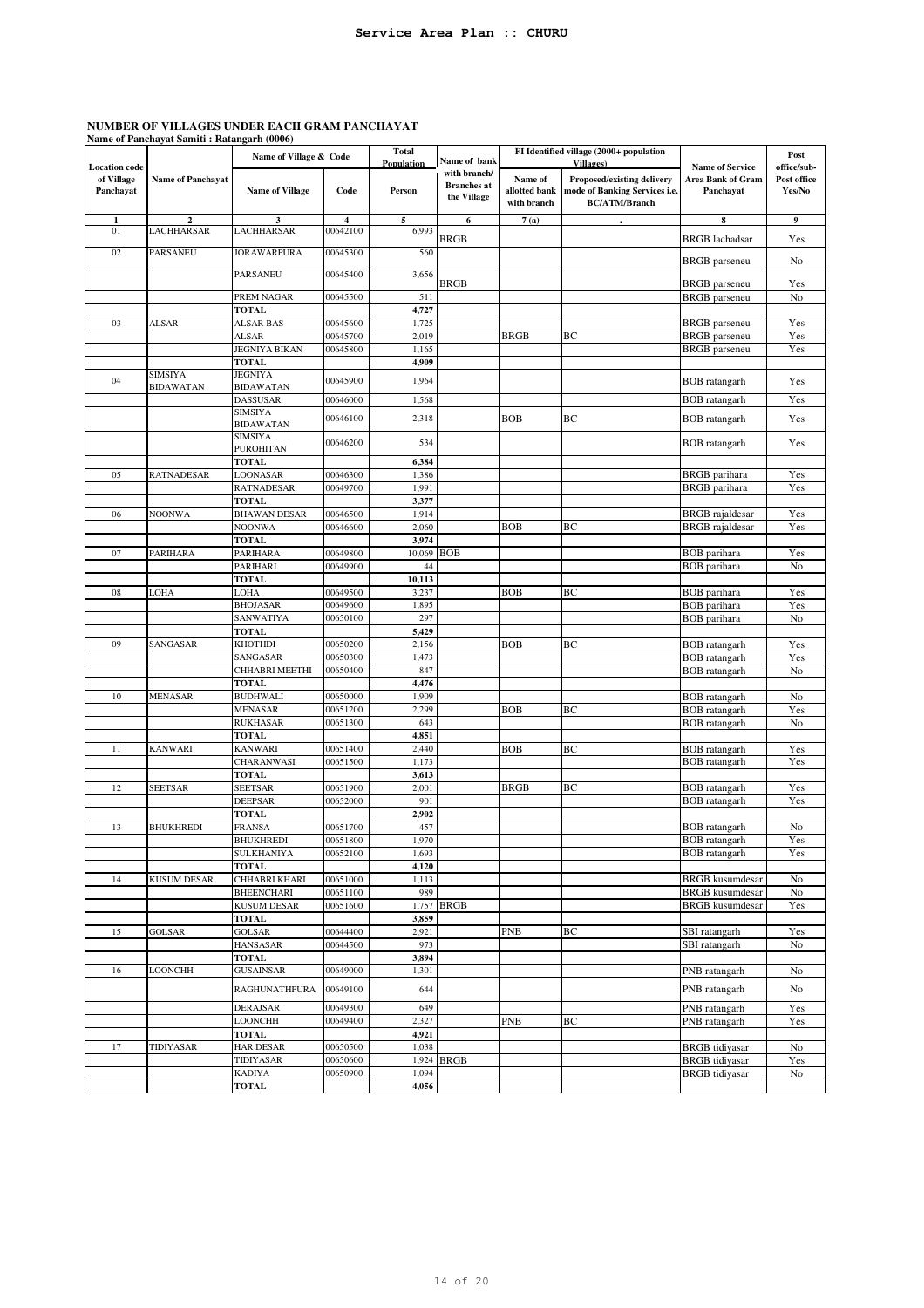|                      | Name of Panchayat Samiti : Ratangarh (0006) |                                       |                         |                            |                    |                              |                                                       |                                              |             |
|----------------------|---------------------------------------------|---------------------------------------|-------------------------|----------------------------|--------------------|------------------------------|-------------------------------------------------------|----------------------------------------------|-------------|
|                      |                                             | Name of Village & Code                |                         | <b>Total</b><br>Population | Name of bank       |                              | FI Identified village (2000+ population<br>Villages)  |                                              | Post        |
| <b>Location</b> code |                                             |                                       |                         |                            | with branch/       |                              |                                                       | <b>Name of Service</b>                       | office/sub- |
| of Village           | <b>Name of Panchayat</b>                    |                                       |                         |                            | <b>Branches</b> at | Name of                      | <b>Proposed/existing delivery</b>                     | <b>Area Bank of Gram</b>                     | Post office |
| Panchayat            |                                             | <b>Name of Village</b>                | Code                    | Person                     | the Village        | allotted bank<br>with branch | mode of Banking Services i.e.<br><b>BC/ATM/Branch</b> | Panchayat                                    | Yes/No      |
|                      |                                             |                                       |                         |                            |                    |                              |                                                       |                                              |             |
| 1                    | $\mathbf{2}$                                | 3                                     | $\overline{\mathbf{4}}$ | 5                          | 6                  | 7(a)                         |                                                       | 8                                            | 9           |
| 01                   | LACHHARSAR                                  | LACHHARSAR                            | 00642100                | 6,993                      | BRGB               |                              |                                                       | <b>BRGB</b> lachadsar                        | Yes         |
| 02                   | <b>PARSANEU</b>                             | <b>JORAWARPURA</b>                    | 00645300                | 560                        |                    |                              |                                                       |                                              |             |
|                      |                                             |                                       |                         |                            |                    |                              |                                                       | <b>BRGB</b> parseneu                         | No          |
|                      |                                             | <b>PARSANEU</b>                       | 00645400                | 3,656                      | BRGB               |                              |                                                       | <b>BRGB</b> parseneu                         | Yes         |
|                      |                                             | PREM NAGAR                            | 00645500                | 511                        |                    |                              |                                                       | <b>BRGB</b> parseneu                         | No          |
|                      |                                             | <b>TOTAL</b>                          |                         | 4,727                      |                    |                              |                                                       |                                              |             |
| 03                   | ALSAR                                       | ALSAR BAS                             | 00645600                | 1,725                      |                    |                              |                                                       | <b>BRGB</b> parseneu                         | Yes         |
|                      |                                             | <b>ALSAR</b>                          | 00645700                | 2,019                      |                    | <b>BRGB</b>                  | BС                                                    | <b>BRGB</b> parseneu                         | Yes         |
|                      |                                             | <b>JEGNIYA BIKAN</b>                  | 00645800                | 1,165                      |                    |                              |                                                       | <b>BRGB</b> parseneu                         | Yes         |
|                      |                                             | <b>TOTAL</b>                          |                         | 4,909                      |                    |                              |                                                       |                                              |             |
| 04                   | <b>SIMSIYA</b>                              | <b>JEGNIYA</b>                        | 00645900                | 1,964                      |                    |                              |                                                       | <b>BOB</b> ratangarh                         | Yes         |
|                      | BIDAWATAN                                   | <b>BIDAWATAN</b>                      |                         |                            |                    |                              |                                                       |                                              |             |
|                      |                                             | <b>DASSUSAR</b>                       | 00646000                | 1,568                      |                    |                              |                                                       | <b>BOB</b> ratangarh                         | Yes         |
|                      |                                             | <b>SIMSIYA</b><br><b>BIDAWATAN</b>    | 00646100                | 2,318                      |                    | <b>BOB</b>                   | BC                                                    | <b>BOB</b> ratangarh                         | Yes         |
|                      |                                             | <b>SIMSIYA</b>                        |                         |                            |                    |                              |                                                       |                                              |             |
|                      |                                             | <b>PUROHITAN</b>                      | 00646200                | 534                        |                    |                              |                                                       | <b>BOB</b> ratangarh                         | Yes         |
|                      |                                             | <b>TOTAL</b>                          |                         | 6,384                      |                    |                              |                                                       |                                              |             |
| 05                   | RATNADESAR                                  | LOONASAR                              | 00646300                | 1,386                      |                    |                              |                                                       | <b>BRGB</b> parihara                         | Yes         |
|                      |                                             | <b>RATNADESAR</b>                     | 00649700                | 1,991                      |                    |                              |                                                       | <b>BRGB</b> parihara                         | Yes         |
|                      |                                             | <b>TOTAL</b>                          |                         | 3,377                      |                    |                              |                                                       |                                              |             |
| 06                   | NOONWA                                      | <b>BHAWAN DESAR</b>                   | 00646500                | 1,914                      |                    |                              |                                                       | <b>BRGB</b> rajaldesar                       | Yes         |
|                      |                                             | <b>NOONWA</b><br><b>TOTAL</b>         | 00646600                | 2,060                      |                    | <b>BOB</b>                   | ВC                                                    | <b>BRGB</b> rajaldesar                       | Yes         |
| 07                   | PARIHARA                                    | PARIHARA                              | 00649800                | 3,974<br>10,069            | <b>BOB</b>         |                              |                                                       | <b>BOB</b> parihara                          | Yes         |
|                      |                                             | PARIHARI                              | 00649900                | 44                         |                    |                              |                                                       | <b>BOB</b> parihara                          | No          |
|                      |                                             | <b>TOTAL</b>                          |                         | 10,113                     |                    |                              |                                                       |                                              |             |
| 08                   | LOHA                                        | LOHA                                  | 00649500                | 3,237                      |                    | <b>BOB</b>                   | BC                                                    | <b>BOB</b> parihara                          | Yes         |
|                      |                                             | <b>BHOJASAR</b>                       | 00649600                | 1,895                      |                    |                              |                                                       | <b>BOB</b> parihara                          | Yes         |
|                      |                                             | <b>SANWATIYA</b>                      | 00650100                | 297                        |                    |                              |                                                       | <b>BOB</b> parihara                          | No          |
|                      |                                             | <b>TOTAL</b>                          |                         | 5,429                      |                    |                              |                                                       |                                              |             |
| 09                   | SANGASAR                                    | <b>KHOTHDI</b>                        | 00650200                | 2,156                      |                    | <b>BOB</b>                   | BC                                                    | <b>BOB</b> ratangarh                         | Yes         |
|                      |                                             | SANGASAR                              | 00650300                | 1,473                      |                    |                              |                                                       | <b>BOB</b> ratangarh                         | Yes         |
|                      |                                             | CHHABRI MEETHI                        | 00650400                | 847                        |                    |                              |                                                       | <b>BOB</b> ratangarh                         | No          |
| 10                   | <b>MENASAR</b>                              | <b>TOTAL</b><br><b>BUDHWALI</b>       | 00650000                | 4,476<br>1,909             |                    |                              |                                                       | <b>BOB</b> ratangarh                         | No          |
|                      |                                             | <b>MENASAR</b>                        | 00651200                | 2,299                      |                    | <b>BOB</b>                   | BC                                                    | <b>BOB</b> ratangarh                         | Yes         |
|                      |                                             | <b>RUKHASAR</b>                       | 00651300                | 643                        |                    |                              |                                                       | <b>BOB</b> ratangarh                         | No          |
|                      |                                             | <b>TOTAL</b>                          |                         | 4,851                      |                    |                              |                                                       |                                              |             |
| 11                   | KANWARI                                     | <b>KANWARI</b>                        | 00651400                | 2,440                      |                    | <b>BOB</b>                   | BC                                                    | <b>BOB</b> ratangarh                         | Yes         |
|                      |                                             | CHARANWASI                            | 00651500                | 1,173                      |                    |                              |                                                       | <b>BOB</b> ratangarh                         | Yes         |
|                      |                                             | <b>TOTAL</b>                          |                         | 3,613                      |                    |                              |                                                       |                                              |             |
| 12                   | <b>SEETSAR</b>                              | <b>SEETSAR</b>                        | 00651900                | 2,001                      |                    | <b>BRGB</b>                  | BC                                                    | <b>BOB</b> ratangarh                         | Yes         |
|                      |                                             | <b>DEEPSAR</b>                        | 00652000                | 901                        |                    |                              |                                                       | <b>BOB</b> ratangarh                         | Yes         |
|                      |                                             | <b>TOTAL</b>                          |                         | 2,902                      |                    |                              |                                                       |                                              |             |
| 13                   | <b>BHUKHREDI</b>                            | <b>FRANSA</b>                         | 00651700                | 457                        |                    |                              |                                                       | <b>BOB</b> ratangarh                         | No          |
|                      |                                             | <b>BHUKHREDI</b><br><b>SULKHANIYA</b> | 00651800<br>00652100    | 1,970<br>1,693             |                    |                              |                                                       | <b>BOB</b> ratangarh<br><b>BOB</b> ratangarh | Yes<br>Yes  |
|                      |                                             | <b>TOTAL</b>                          |                         | 4,120                      |                    |                              |                                                       |                                              |             |
| 14                   | <b>KUSUM DESAR</b>                          | CHHABRI KHARI                         | 00651000                | 1,113                      |                    |                              |                                                       | <b>BRGB</b> kusumdesar                       | No          |
|                      |                                             | <b>BHEENCHARI</b>                     | 00651100                | 989                        |                    |                              |                                                       | <b>BRGB</b> kusumdesar                       | No          |
|                      |                                             | <b>KUSUM DESAR</b>                    | 00651600                |                            | 1,757 BRGB         |                              |                                                       | <b>BRGB</b> kusumdesar                       | Yes         |
|                      |                                             | <b>TOTAL</b>                          |                         | 3,859                      |                    |                              |                                                       |                                              |             |
| 15                   | <b>GOLSAR</b>                               | <b>GOLSAR</b>                         | 00644400                | 2,921                      |                    | PNB                          | ВC                                                    | SBI ratangarh                                | Yes         |
|                      |                                             | <b>HANSASAR</b>                       | 00644500                | 973                        |                    |                              |                                                       | SBI ratangarh                                | No          |
|                      |                                             | <b>TOTAL</b>                          |                         | 3,894                      |                    |                              |                                                       |                                              |             |
| 16                   | LOONCHH                                     | <b>GUSAINSAR</b>                      | 00649000                | 1,301                      |                    |                              |                                                       | PNB ratangarh                                | No          |
|                      |                                             | <b>RAGHUNATHPURA</b>                  | 00649100                | 644                        |                    |                              |                                                       | PNB ratangarh                                | No          |
|                      |                                             | <b>DERAJSAR</b>                       | 00649300                | 649                        |                    |                              |                                                       | PNB ratangarh                                | Yes         |
|                      |                                             | LOONCHH                               | 00649400                | 2,327                      |                    | <b>PNB</b>                   | BC                                                    | PNB ratangarh                                | Yes         |
|                      |                                             | <b>TOTAL</b>                          |                         | 4,921                      |                    |                              |                                                       |                                              |             |
| 17                   | TIDIYASAR                                   | <b>HAR DESAR</b>                      | 00650500                | 1,038                      |                    |                              |                                                       | <b>BRGB</b> tidiyasar                        | No          |
|                      |                                             | TIDIYASAR                             | 00650600                |                            | 1,924 BRGB         |                              |                                                       | <b>BRGB</b> tidiyasar                        | Yes         |
|                      |                                             | KADIYA                                | 00650900                | 1,094                      |                    |                              |                                                       | <b>BRGB</b> tidiyasar                        | No          |
|                      |                                             | <b>TOTAL</b>                          |                         | 4,056                      |                    |                              |                                                       |                                              |             |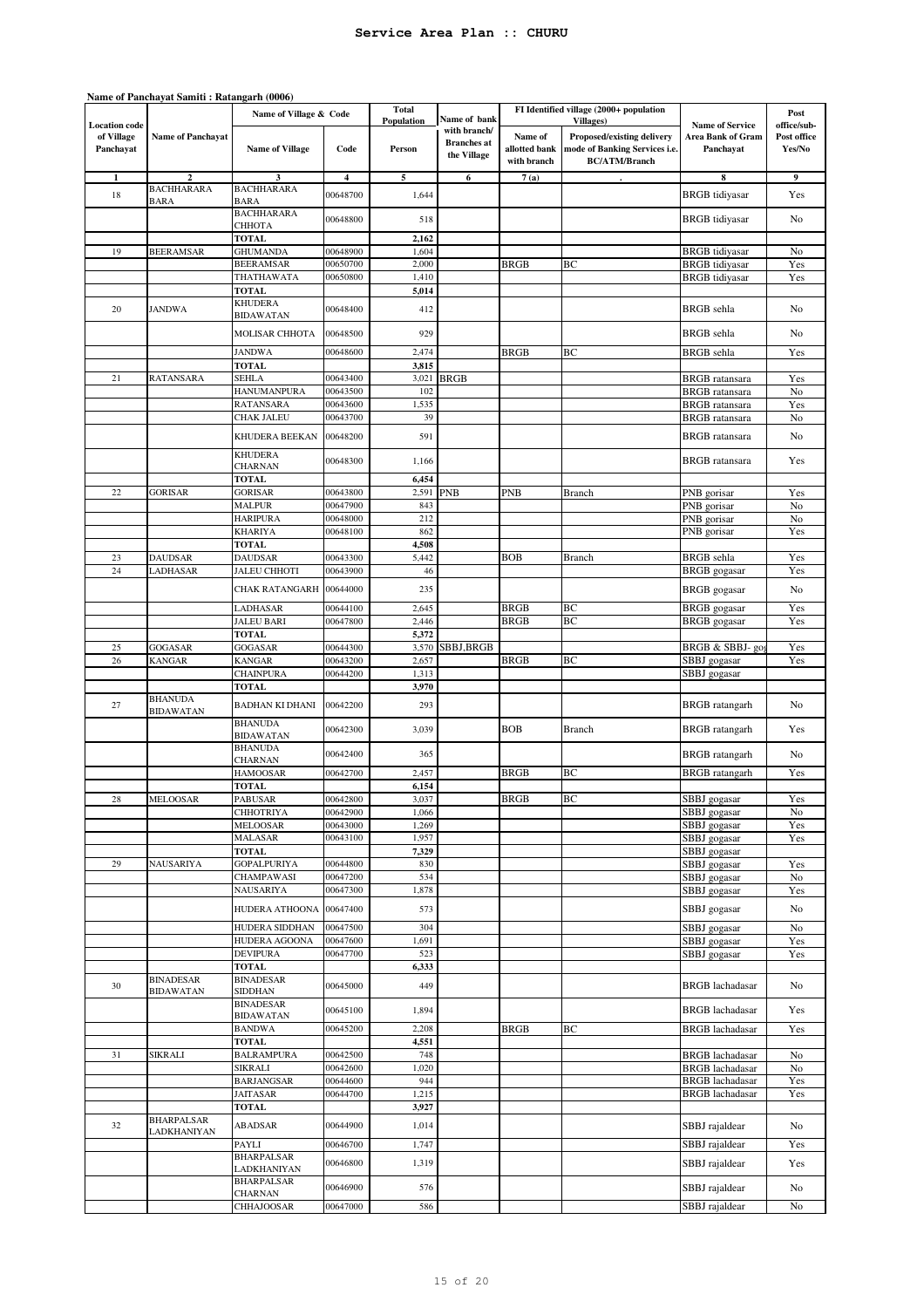|                                                 | Name of Panchayat Samiti: Ratangarh (0006) |                                    |                         |                      |                                                   |                                         |                                                                                                          |                                                          |                                      |
|-------------------------------------------------|--------------------------------------------|------------------------------------|-------------------------|----------------------|---------------------------------------------------|-----------------------------------------|----------------------------------------------------------------------------------------------------------|----------------------------------------------------------|--------------------------------------|
|                                                 |                                            | Name of Village & Code             |                         | <b>Total</b>         | Name of bank                                      |                                         | FI Identified village (2000+ population                                                                  |                                                          | Post                                 |
| <b>Location</b> code<br>of Village<br>Panchayat | <b>Name of Panchayat</b>                   | <b>Name of Village</b>             | Code                    | Population<br>Person | with branch/<br><b>Branches</b> at<br>the Village | Name of<br>allotted bank<br>with branch | <b>Villages</b> )<br>Proposed/existing delivery<br>mode of Banking Services i.e.<br><b>BC/ATM/Branch</b> | <b>Name of Service</b><br>Area Bank of Gram<br>Panchayat | office/sub-<br>Post office<br>Yes/No |
| 1                                               | $\overline{2}$                             | $\mathbf{3}$                       | $\overline{\mathbf{4}}$ | 5                    | 6                                                 | 7(a)                                    |                                                                                                          | 8                                                        | 9                                    |
| 18                                              | <b>BACHHARARA</b>                          | <b>BACHHARARA</b>                  | 00648700                | 1,644                |                                                   |                                         |                                                                                                          | <b>BRGB</b> tidiyasar                                    | Yes                                  |
|                                                 | <b>BARA</b>                                | <b>BARA</b><br><b>BACHHARARA</b>   | 00648800                | 518                  |                                                   |                                         |                                                                                                          | <b>BRGB</b> tidiyasar                                    | No                                   |
|                                                 |                                            | СННОТА<br><b>TOTAL</b>             |                         | 2,162                |                                                   |                                         |                                                                                                          |                                                          |                                      |
| 19                                              | <b>BEERAMSAR</b>                           | <b>GHUMANDA</b>                    | 00648900                | 1,604                |                                                   |                                         |                                                                                                          | <b>BRGB</b> tidiyasar                                    | No                                   |
|                                                 |                                            | <b>BEERAMSAR</b>                   | 00650700                | 2,000                |                                                   | <b>BRGB</b>                             | BС                                                                                                       | <b>BRGB</b> tidiyasar                                    | Yes                                  |
|                                                 |                                            | THATHAWATA                         | 00650800                | 1,410                |                                                   |                                         |                                                                                                          | <b>BRGB</b> tidiyasar                                    | Yes                                  |
|                                                 |                                            | <b>TOTAL</b><br><b>KHUDERA</b>     |                         | 5,014                |                                                   |                                         |                                                                                                          |                                                          |                                      |
| 20                                              | <b>JANDWA</b>                              | <b>BIDAWATAN</b>                   | 00648400                | 412                  |                                                   |                                         |                                                                                                          | <b>BRGB</b> sehla                                        | No                                   |
|                                                 |                                            | MOLISAR CHHOTA                     | 00648500                | 929                  |                                                   |                                         |                                                                                                          | <b>BRGB</b> sehla                                        | No                                   |
|                                                 |                                            | <b>JANDWA</b><br><b>TOTAL</b>      | 00648600                | 2,474<br>3,815       |                                                   | <b>BRGB</b>                             | ВC                                                                                                       | <b>BRGB</b> sehla                                        | Yes                                  |
| 21                                              | <b>RATANSARA</b>                           | <b>SEHLA</b>                       | 00643400                | 3,021                | <b>BRGB</b>                                       |                                         |                                                                                                          | <b>BRGB</b> ratansara                                    | Yes                                  |
|                                                 |                                            | HANUMANPURA                        | 00643500                | 102                  |                                                   |                                         |                                                                                                          | <b>BRGB</b> ratansara                                    | No                                   |
|                                                 |                                            | <b>RATANSARA</b>                   | 00643600                | 1,535                |                                                   |                                         |                                                                                                          | <b>BRGB</b> ratansara                                    | Yes                                  |
|                                                 |                                            | CHAK JALEU                         | 00643700                | 39                   |                                                   |                                         |                                                                                                          | <b>BRGB</b> ratansara                                    | No                                   |
|                                                 |                                            | KHUDERA BEEKAN                     | 00648200                | 591                  |                                                   |                                         |                                                                                                          | <b>BRGB</b> ratansara                                    | No                                   |
|                                                 |                                            | <b>KHUDERA</b><br><b>CHARNAN</b>   | 00648300                | 1,166                |                                                   |                                         |                                                                                                          | <b>BRGB</b> ratansara                                    | Yes                                  |
|                                                 |                                            | TOTAL                              |                         | 6,454                |                                                   |                                         |                                                                                                          |                                                          |                                      |
| $22\,$                                          | <b>GORISAR</b>                             | <b>GORISAR</b><br><b>MALPUR</b>    | 00643800                | 2,591<br>843         | <b>PNB</b>                                        | PNB                                     | <b>Branch</b>                                                                                            | PNB gorisar<br>PNB gorisar                               | Yes<br>No                            |
|                                                 |                                            | <b>HARIPURA</b>                    | 00647900<br>00648000    | 212                  |                                                   |                                         |                                                                                                          | PNB gorisar                                              | No                                   |
|                                                 |                                            | <b>KHARIYA</b>                     | 00648100                | 862                  |                                                   |                                         |                                                                                                          | PNB gorisar                                              | Yes                                  |
|                                                 |                                            | TOTAL                              |                         | 4,508                |                                                   |                                         |                                                                                                          |                                                          |                                      |
| 23                                              | <b>DAUDSAR</b>                             | <b>DAUDSAR</b>                     | 00643300                | 5,442                |                                                   | <b>BOB</b>                              | Branch                                                                                                   | <b>BRGB</b> sehla                                        | Yes                                  |
| 24                                              | LADHASAR                                   | <b>JALEU CHHOTI</b>                | 00643900                | 46                   |                                                   |                                         |                                                                                                          | <b>BRGB</b> gogasar                                      | Yes                                  |
|                                                 |                                            | CHAK RATANGARH                     | 00644000                | 235                  |                                                   |                                         |                                                                                                          | <b>BRGB</b> gogasar                                      | No                                   |
|                                                 |                                            | LADHASAR                           | 00644100                | 2,645                |                                                   | <b>BRGB</b>                             | ВC                                                                                                       | <b>BRGB</b> gogasar                                      | Yes                                  |
|                                                 |                                            | <b>JALEU BARI</b>                  | 00647800                | 2,446                |                                                   | <b>BRGB</b>                             | BC                                                                                                       | <b>BRGB</b> gogasar                                      | Yes                                  |
|                                                 |                                            | <b>TOTAL</b>                       |                         | 5,372                |                                                   |                                         |                                                                                                          |                                                          |                                      |
| 25                                              | GOGASAR                                    | GOGASAR                            | 00644300                | 3,570                | SBBJ,BRGB                                         |                                         |                                                                                                          | BRGB & SBBJ- go                                          | Yes                                  |
| 26                                              | <b>KANGAR</b>                              | <b>KANGAR</b>                      | 00643200                | 2,657                |                                                   | <b>BRGB</b>                             | BС                                                                                                       | SBBJ gogasar                                             | Yes                                  |
|                                                 |                                            | CHAINPURA<br><b>TOTAL</b>          | 00644200                | 1,313<br>3,970       |                                                   |                                         |                                                                                                          | SBBJ gogasar                                             |                                      |
| 27                                              | <b>BHANUDA</b><br><b>BIDAWATAN</b>         | BADHAN KI DHANI                    | 00642200                | 293                  |                                                   |                                         |                                                                                                          | <b>BRGB</b> ratangarh                                    | No                                   |
|                                                 |                                            | <b>BHANUDA</b><br><b>BIDAWATAN</b> | 00642300                | 3,039                |                                                   | <b>BOB</b>                              | <b>Branch</b>                                                                                            | <b>BRGB</b> ratangarh                                    | Yes                                  |
|                                                 |                                            | <b>BHANUDA</b><br><b>CHARNAN</b>   | 00642400                | 365                  |                                                   |                                         |                                                                                                          | <b>BRGB</b> ratangarh                                    | No                                   |
|                                                 |                                            | HAMOOSAR                           | 00642700                | 2,457                |                                                   | <b>BRGB</b>                             | BС                                                                                                       | <b>BRGB</b> ratangarh                                    | Yes                                  |
|                                                 |                                            | TOTAL                              |                         | 6,154                |                                                   |                                         |                                                                                                          |                                                          |                                      |
| 28                                              | MELOOSAR                                   | <b>PABUSAR</b>                     | 00642800                | 3,037                |                                                   | BRGB                                    | ВC                                                                                                       | SBBJ gogasar                                             | Yes                                  |
|                                                 |                                            | <b>CHHOTRIYA</b>                   | 00642900                | 1,066                |                                                   |                                         |                                                                                                          | SBBJ gogasar                                             | No                                   |
|                                                 |                                            | <b>MELOOSAR</b>                    | 00643000                | 1,269<br>1,957       |                                                   |                                         |                                                                                                          | SBBJ gogasar<br>SBBJ gogasar                             | Yes                                  |
|                                                 |                                            | MALASAR<br><b>TOTAL</b>            | 00643100                | 7,329                |                                                   |                                         |                                                                                                          | SBBJ gogasar                                             | Yes                                  |
| 29                                              | NAUSARIYA                                  | <b>GOPALPURIYA</b>                 | 00644800                | 830                  |                                                   |                                         |                                                                                                          | SBBJ gogasar                                             | Yes                                  |
|                                                 |                                            | <b>CHAMPAWASI</b>                  | 00647200                | 534                  |                                                   |                                         |                                                                                                          | SBBJ gogasar                                             | No                                   |
|                                                 |                                            | NAUSARIYA                          | 00647300                | 1,878                |                                                   |                                         |                                                                                                          | SBBJ gogasar                                             | Yes                                  |
|                                                 |                                            | HUDERA ATHOONA                     | 00647400                | 573                  |                                                   |                                         |                                                                                                          | SBBJ gogasar                                             | No                                   |
|                                                 |                                            | <b>HUDERA SIDDHAN</b>              | 00647500                | 304                  |                                                   |                                         |                                                                                                          | SBBJ gogasar                                             | No                                   |
|                                                 |                                            | HUDERA AGOONA<br><b>DEVIPURA</b>   | 00647600<br>00647700    | 1,691<br>523         |                                                   |                                         |                                                                                                          | SBBJ gogasar<br>SBBJ gogasar                             | Yes<br>Yes                           |
|                                                 |                                            | <b>TOTAL</b>                       |                         | 6,333                |                                                   |                                         |                                                                                                          |                                                          |                                      |
| 30                                              | <b>BINADESAR</b>                           | <b>BINADESAR</b>                   | 00645000                | 449                  |                                                   |                                         |                                                                                                          | <b>BRGB</b> lachadasar                                   | No                                   |
|                                                 | <b>BIDAWATAN</b>                           | <b>SIDDHAN</b><br>BINADESAR        |                         |                      |                                                   |                                         |                                                                                                          |                                                          |                                      |
|                                                 |                                            | <b>BIDAWATAN</b>                   | 00645100                | 1,894                |                                                   |                                         |                                                                                                          | <b>BRGB</b> lachadasar                                   | Yes                                  |
|                                                 |                                            | <b>BANDWA</b>                      | 00645200                | 2,208                |                                                   | BRGB                                    | ВC                                                                                                       | <b>BRGB</b> lachadasar                                   | Yes                                  |
| 31                                              | SIKRALI                                    | <b>TOTAL</b><br><b>BALRAMPURA</b>  | 00642500                | 4,551<br>748         |                                                   |                                         |                                                                                                          | <b>BRGB</b> lachadasar                                   | No                                   |
|                                                 |                                            | <b>SIKRALI</b>                     | 00642600                | 1,020                |                                                   |                                         |                                                                                                          | <b>BRGB</b> lachadasar                                   | No                                   |
|                                                 |                                            | <b>BARJANGSAR</b>                  | 00644600                | 944                  |                                                   |                                         |                                                                                                          | <b>BRGB</b> lachadasar                                   | Yes                                  |
|                                                 |                                            | JAITASAR                           | 00644700                | 1,215                |                                                   |                                         |                                                                                                          | <b>BRGB</b> lachadasar                                   | Yes                                  |
|                                                 |                                            | <b>TOTAL</b>                       |                         | 3,927                |                                                   |                                         |                                                                                                          |                                                          |                                      |
| 32                                              | <b>BHARPALSAR</b><br>LADKHANIYAN           | ABADSAR                            | 00644900                | 1,014                |                                                   |                                         |                                                                                                          | SBBJ rajaldear                                           | No                                   |
|                                                 |                                            | PAYLI                              | 00646700                | 1,747                |                                                   |                                         |                                                                                                          | SBBJ rajaldear                                           | Yes                                  |
|                                                 |                                            | <b>BHARPALSAR</b><br>LADKHANIYAN   | 00646800                | 1,319                |                                                   |                                         |                                                                                                          | SBBJ rajaldear                                           | Yes                                  |
|                                                 |                                            | <b>BHARPALSAR</b><br>CHARNAN       | 00646900                | 576                  |                                                   |                                         |                                                                                                          | SBBJ rajaldear                                           | No                                   |
|                                                 |                                            | CHHAJOOSAR                         | 00647000                | 586                  |                                                   |                                         |                                                                                                          | SBBJ rajaldear                                           | No                                   |

# 15 of 20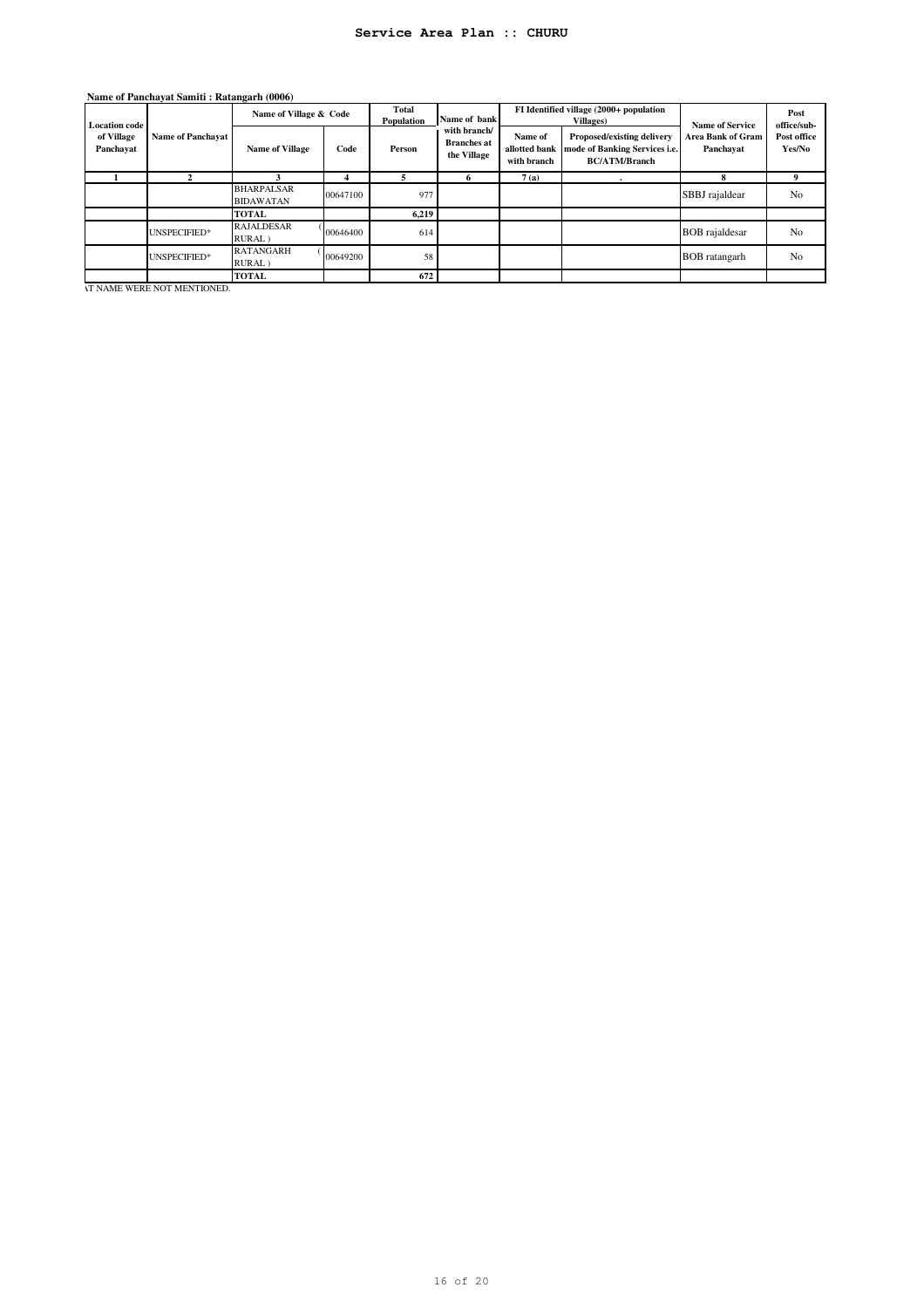| <b>Location code</b><br>of Village<br>Panchayat | <b>Name of Panchavat</b> | Name of Village & Code                |          | <b>Total</b><br>Population | Name of bank                                      |                                         | FI Identified village (2000+ population<br><b>Villages</b> )                        | <b>Name of Service</b>         | Post<br>office/sub-   |
|-------------------------------------------------|--------------------------|---------------------------------------|----------|----------------------------|---------------------------------------------------|-----------------------------------------|-------------------------------------------------------------------------------------|--------------------------------|-----------------------|
|                                                 |                          | <b>Name of Village</b>                | Code     | Person                     | with branch/<br><b>Branches</b> at<br>the Village | Name of<br>allotted bank<br>with branch | Proposed/existing delivery<br>mode of Banking Services i.e.<br><b>BC/ATM/Branch</b> | Area Bank of Gram<br>Panchayat | Post office<br>Yes/No |
|                                                 |                          |                                       | 4        |                            |                                                   | 7(a)                                    |                                                                                     | я                              |                       |
|                                                 |                          | <b>BHARPALSAR</b><br><b>BIDAWATAN</b> | 00647100 | 977                        |                                                   |                                         |                                                                                     | SBBJ rajaldear                 | No                    |
|                                                 |                          | <b>TOTAL</b>                          |          | 6,219                      |                                                   |                                         |                                                                                     |                                |                       |
|                                                 | UNSPECIFIED*             | <b>RAJALDESAR</b><br>RURAL)           | 00646400 | 614                        |                                                   |                                         |                                                                                     | <b>BOB</b> rajaldesar          | No                    |
|                                                 | UNSPECIFIED*             | <b>RATANGARH</b><br>RURAL)            | 00649200 | 58                         |                                                   |                                         |                                                                                     | <b>BOB</b> ratangarh           | No                    |
|                                                 |                          | <b>TOTAL</b>                          |          | 672                        |                                                   |                                         |                                                                                     |                                |                       |

#### **Name of Panchayat Samiti : Ratangarh (0006)**

**TAN PANCHARYAT NAME WERE NOT MENTIONED.**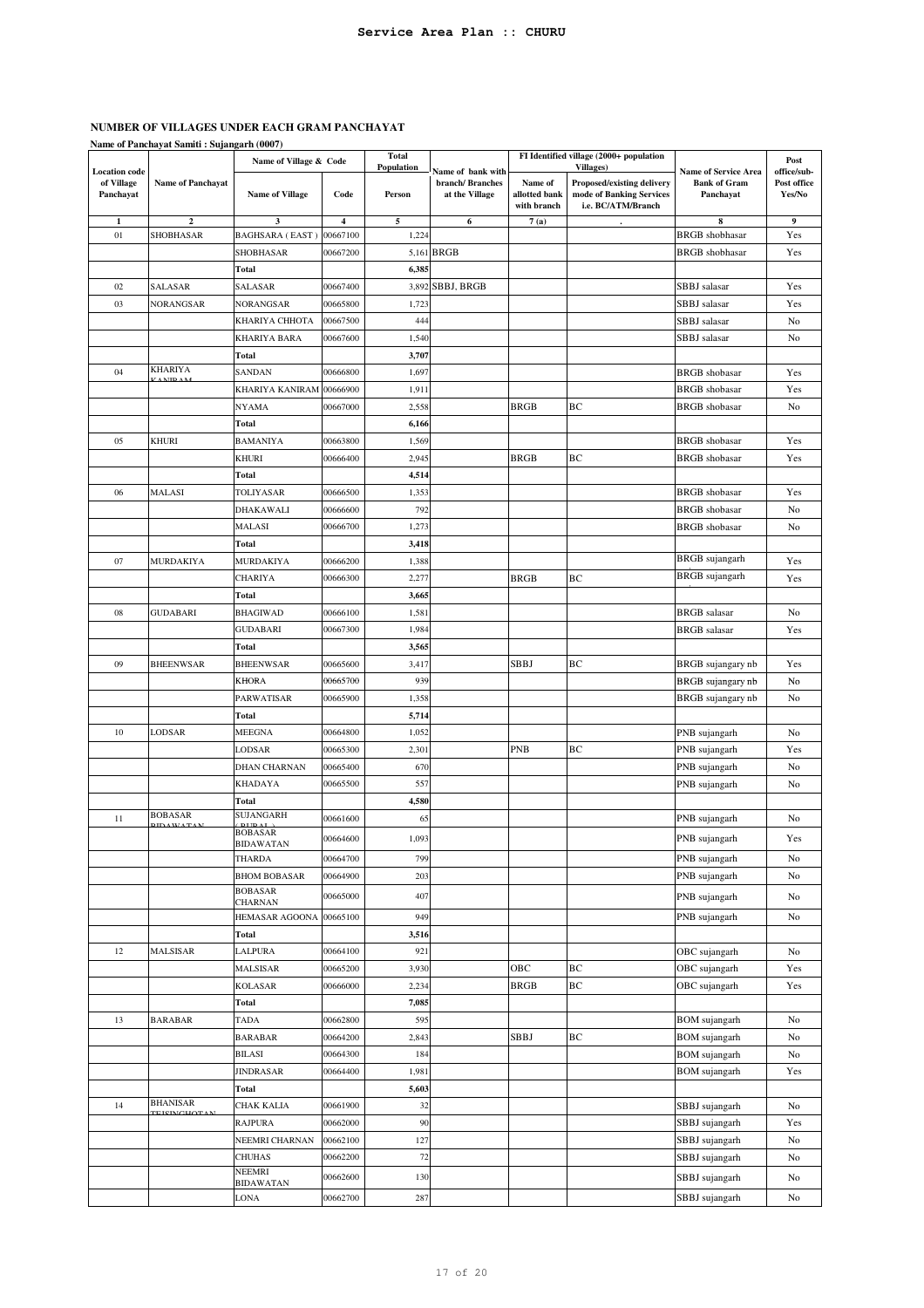**Name of Panchayat Samiti : Sujangarh (0007)**

|                                                 |                          | FI Identified village (2000+ population<br>Total<br>Name of Village & Code<br>Population<br><b>Villages</b> ) |          | Post   |                                                        |                                         |                                                                              |                                                          |                                      |
|-------------------------------------------------|--------------------------|---------------------------------------------------------------------------------------------------------------|----------|--------|--------------------------------------------------------|-----------------------------------------|------------------------------------------------------------------------------|----------------------------------------------------------|--------------------------------------|
| <b>Location</b> code<br>of Village<br>Panchayat | <b>Name of Panchayat</b> | <b>Name of Village</b>                                                                                        | Code     | Person | Name of bank with<br>branch/Branches<br>at the Village | Name of<br>allotted bank<br>with branch | Proposed/existing delivery<br>mode of Banking Services<br>i.e. BC/ATM/Branch | Name of Service Area<br><b>Bank of Gram</b><br>Panchayat | office/sub-<br>Post office<br>Yes/No |
| 1                                               | $\boldsymbol{2}$         | 3                                                                                                             | 4        | 5      | 6                                                      | 7(a)                                    |                                                                              | 8                                                        | 9                                    |
| 01                                              | SHOBHASAR                | <b>BAGHSARA (EAST)</b>                                                                                        | 00667100 | 1,224  |                                                        |                                         |                                                                              | <b>BRGB</b> shobhasar                                    | Yes                                  |
|                                                 |                          | SHOBHASAR                                                                                                     | 00667200 |        | 5,161 BRGB                                             |                                         |                                                                              | <b>BRGB</b> shobhasar                                    | Yes                                  |
|                                                 |                          | <b>Total</b>                                                                                                  |          | 6,385  |                                                        |                                         |                                                                              |                                                          |                                      |
| 02                                              | SALASAR                  | SALASAR                                                                                                       | 00667400 | 3,892  | SBBJ, BRGB                                             |                                         |                                                                              | SBBJ salasar                                             | Yes                                  |
| 03                                              | NORANGSAR                | <b>NORANGSAR</b>                                                                                              | 00665800 | 1,723  |                                                        |                                         |                                                                              | SBBJ salasar                                             | Yes                                  |
|                                                 |                          | KHARIYA CHHOTA                                                                                                | 00667500 | 444    |                                                        |                                         |                                                                              | SBBJ salasar                                             | No                                   |
|                                                 |                          | KHARIYA BARA                                                                                                  | 00667600 | 1,540  |                                                        |                                         |                                                                              | SBBJ salasar                                             | No                                   |
|                                                 |                          | Total                                                                                                         |          | 3,707  |                                                        |                                         |                                                                              |                                                          |                                      |
| 04                                              | <b>KHARIYA</b>           | SANDAN                                                                                                        | 00666800 | 1,697  |                                                        |                                         |                                                                              | <b>BRGB</b> shobasar                                     | Yes                                  |
|                                                 |                          | KHARIYA KANIRAM                                                                                               | 00666900 | 1,911  |                                                        |                                         |                                                                              | <b>BRGB</b> shobasar                                     | Yes                                  |
|                                                 |                          | NYAMA                                                                                                         | 00667000 | 2,558  |                                                        | <b>BRGB</b>                             | BС                                                                           | <b>BRGB</b> shobasar                                     | No                                   |
|                                                 |                          | Total                                                                                                         |          | 6,166  |                                                        |                                         |                                                                              |                                                          |                                      |
| 05                                              | <b>KHURI</b>             | BAMANIYA                                                                                                      | 00663800 | 1,569  |                                                        |                                         |                                                                              | <b>BRGB</b> shobasar                                     | Yes                                  |
|                                                 |                          | KHURI                                                                                                         | 00666400 | 2,945  |                                                        | <b>BRGB</b>                             | BС                                                                           | <b>BRGB</b> shobasar                                     | Yes                                  |
|                                                 |                          | Total                                                                                                         |          | 4,514  |                                                        |                                         |                                                                              |                                                          |                                      |
| 06                                              | MALASI                   | TOLIYASAR                                                                                                     | 00666500 | 1,353  |                                                        |                                         |                                                                              | <b>BRGB</b> shobasar                                     | Yes                                  |
|                                                 |                          | DHAKAWALI                                                                                                     | 00666600 | 792    |                                                        |                                         |                                                                              | <b>BRGB</b> shobasar                                     | No                                   |
|                                                 |                          | MALASI                                                                                                        | 00666700 | 1,273  |                                                        |                                         |                                                                              | <b>BRGB</b> shobasar                                     | No                                   |
|                                                 |                          | <b>Total</b>                                                                                                  |          | 3,418  |                                                        |                                         |                                                                              |                                                          |                                      |
| 07                                              | MURDAKIYA                | MURDAKIYA                                                                                                     | 00666200 | 1,388  |                                                        |                                         |                                                                              | <b>BRGB</b> sujangarh                                    | Yes                                  |
|                                                 |                          | CHARIYA                                                                                                       | 00666300 | 2,277  |                                                        | <b>BRGB</b>                             | BС                                                                           | <b>BRGB</b> sujangarh                                    | Yes                                  |
|                                                 |                          | Total                                                                                                         |          | 3,665  |                                                        |                                         |                                                                              |                                                          |                                      |
| 08                                              | GUDABARI                 | <b>BHAGIWAD</b>                                                                                               | 00666100 | 1,581  |                                                        |                                         |                                                                              | <b>BRGB</b> salasar                                      | No                                   |
|                                                 |                          | <b>GUDABARI</b>                                                                                               | 00667300 | 1,984  |                                                        |                                         |                                                                              | <b>BRGB</b> salasar                                      | Yes                                  |
|                                                 |                          | <b>Total</b>                                                                                                  |          | 3,565  |                                                        |                                         |                                                                              |                                                          |                                      |
| 09                                              | <b>BHEENWSAR</b>         | BHEENWSAR                                                                                                     | 00665600 | 3,417  |                                                        | SBBJ                                    | BС                                                                           | BRGB sujangary nb                                        | Yes                                  |
|                                                 |                          | <b>KHORA</b>                                                                                                  | 00665700 | 939    |                                                        |                                         |                                                                              | BRGB sujangary nb                                        | No                                   |
|                                                 |                          | PARWATISAR                                                                                                    | 00665900 | 1,358  |                                                        |                                         |                                                                              | BRGB sujangary nb                                        | No                                   |
|                                                 |                          | Total                                                                                                         |          | 5,714  |                                                        |                                         |                                                                              |                                                          |                                      |
| 10                                              | LODSAR                   | MEEGNA                                                                                                        | 00664800 | 1,052  |                                                        |                                         |                                                                              | PNB sujangarh                                            | No                                   |
|                                                 |                          | LODSAR                                                                                                        | 00665300 | 2,301  |                                                        | <b>PNB</b>                              | BС                                                                           | PNB sujangarh                                            | Yes                                  |
|                                                 |                          | DHAN CHARNAN                                                                                                  | 00665400 | 670    |                                                        |                                         |                                                                              | PNB sujangarh                                            | No                                   |
|                                                 |                          | KHADAYA                                                                                                       | 00665500 | 557    |                                                        |                                         |                                                                              | PNB sujangarh                                            | No                                   |
|                                                 |                          | Total                                                                                                         |          | 4,580  |                                                        |                                         |                                                                              |                                                          |                                      |
| 11                                              | <b>BOBASAR</b>           | <b>SUJANGARH</b><br><b>DIDAT</b>                                                                              | 00661600 | 65     |                                                        |                                         |                                                                              | PNB sujangarh                                            | No                                   |
|                                                 |                          | <b>BOBASAR</b><br><b>BIDAWATAN</b>                                                                            | 00664600 | 1,093  |                                                        |                                         |                                                                              | PNB sujangarh                                            | Yes                                  |
|                                                 |                          | THARDA                                                                                                        | 00664700 | 799    |                                                        |                                         |                                                                              | PNB sujangarh                                            | No                                   |
|                                                 |                          | <b>BHOM BOBASAR</b>                                                                                           | 00664900 | 203    |                                                        |                                         |                                                                              | PNB sujangarh                                            | No                                   |
|                                                 |                          | <b>BOBASAR</b>                                                                                                | 00665000 | 407    |                                                        |                                         |                                                                              | PNB sujangarh                                            | No                                   |
|                                                 |                          | CHARNAN                                                                                                       |          |        |                                                        |                                         |                                                                              |                                                          |                                      |
|                                                 |                          | HEMASAR AGOONA                                                                                                | 00665100 | 949    |                                                        |                                         |                                                                              | PNB sujangarh                                            | No                                   |
|                                                 |                          | Total                                                                                                         |          | 3,516  |                                                        |                                         |                                                                              |                                                          |                                      |
| 12                                              | MALSISAR                 | LALPURA                                                                                                       | 00664100 | 921    |                                                        |                                         |                                                                              | OBC sujangarh                                            | No                                   |
|                                                 |                          | MALSISAR                                                                                                      | 00665200 | 3,930  |                                                        | ОВС                                     | BC                                                                           | OBC sujangarh                                            | Yes                                  |
|                                                 |                          | <b>KOLASAR</b>                                                                                                | 00666000 | 2,234  |                                                        | <b>BRGB</b>                             | ВC                                                                           | OBC sujangarh                                            | Yes                                  |
|                                                 |                          | Total                                                                                                         |          | 7,085  |                                                        |                                         |                                                                              |                                                          |                                      |
| 13                                              | <b>BARABAR</b>           | <b>TADA</b>                                                                                                   | 00662800 | 595    |                                                        |                                         |                                                                              | <b>BOM</b> sujangarh                                     | No                                   |
|                                                 |                          | BARABAR                                                                                                       | 00664200 | 2,843  |                                                        | SBBJ                                    | BС                                                                           | <b>BOM</b> sujangarh                                     | No                                   |
|                                                 |                          | BILASI                                                                                                        | 00664300 | 184    |                                                        |                                         |                                                                              | <b>BOM</b> sujangarh                                     | No                                   |
|                                                 |                          | <b>JINDRASAR</b>                                                                                              | 00664400 | 1,981  |                                                        |                                         |                                                                              | <b>BOM</b> sujangarh                                     | Yes                                  |
|                                                 | <b>BHANISAR</b>          | <b>Total</b>                                                                                                  |          | 5,603  |                                                        |                                         |                                                                              |                                                          |                                      |
| 14                                              | <b>TERNCHOT</b>          | CHAK KALIA                                                                                                    | 00661900 | 32     |                                                        |                                         |                                                                              | SBBJ sujangarh                                           | No                                   |
|                                                 |                          | RAJPURA                                                                                                       | 00662000 | 90     |                                                        |                                         |                                                                              | SBBJ sujangarh                                           | Yes                                  |
|                                                 |                          | NEEMRI CHARNAN                                                                                                | 00662100 | 127    |                                                        |                                         |                                                                              | SBBJ sujangarh                                           | No                                   |
|                                                 |                          | CHUHAS<br>NEEMRI                                                                                              | 00662200 | 72     |                                                        |                                         |                                                                              | SBBJ sujangarh                                           | No                                   |
|                                                 |                          | BIDAWATAN                                                                                                     | 00662600 | 130    |                                                        |                                         |                                                                              | SBBJ sujangarh                                           | No                                   |
|                                                 |                          | LONA                                                                                                          | 00662700 | 287    |                                                        |                                         |                                                                              | SBBJ sujangarh                                           | No                                   |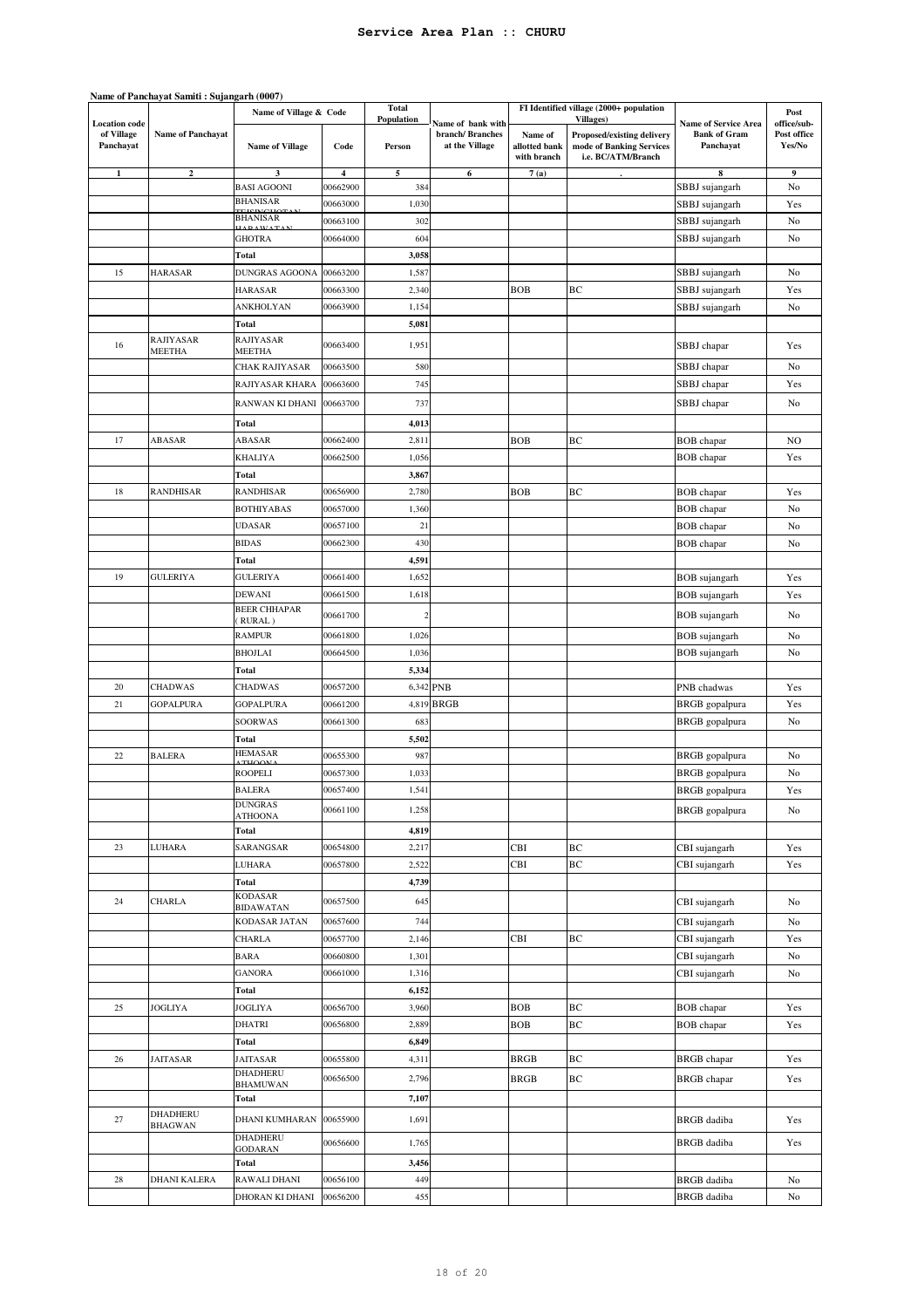|                                                 | Name of Panchayat Samiti: Sujangarh (0007) |                                    |                         |                      |                                                        |                                         |                                                                                           |                                                                 |                                      |
|-------------------------------------------------|--------------------------------------------|------------------------------------|-------------------------|----------------------|--------------------------------------------------------|-----------------------------------------|-------------------------------------------------------------------------------------------|-----------------------------------------------------------------|--------------------------------------|
|                                                 |                                            | Name of Village & Code             |                         | <b>Total</b>         |                                                        |                                         | FI Identified village (2000+ population                                                   |                                                                 | Post                                 |
| <b>Location</b> code<br>of Village<br>Panchayat | <b>Name of Panchayat</b>                   | <b>Name of Village</b>             | Code                    | Population<br>Person | Name of bank with<br>branch/Branches<br>at the Village | Name of<br>allotted bank<br>with branch | Villages)<br>Proposed/existing delivery<br>mode of Banking Services<br>i.e. BC/ATM/Branch | <b>Name of Service Area</b><br><b>Bank of Gram</b><br>Panchavat | office/sub-<br>Post office<br>Yes/No |
|                                                 | $\overline{2}$                             | 3                                  | $\overline{\mathbf{4}}$ | 5                    | 6                                                      | 7(a)                                    |                                                                                           | 8                                                               | 9                                    |
|                                                 |                                            | <b>BASI AGOONI</b>                 | 00662900                | 384                  |                                                        |                                         |                                                                                           | SBBJ sujangarh                                                  | No                                   |
|                                                 |                                            | <b>BHANISAR</b><br><b>THOMATIC</b> | 00663000                | 1,030                |                                                        |                                         |                                                                                           | SBBJ sujangarh                                                  | Yes                                  |
|                                                 |                                            | <b>BHANISAR</b><br>AT'             | 00663100                | 302                  |                                                        |                                         |                                                                                           | SBBJ sujangarh                                                  | No                                   |
|                                                 |                                            | <b>GHOTRA</b>                      | 00664000                | 604                  |                                                        |                                         |                                                                                           | SBBJ sujangarh                                                  | No                                   |
|                                                 |                                            | Total                              |                         | 3,058                |                                                        |                                         |                                                                                           |                                                                 |                                      |
| 15                                              | <b>HARASAR</b>                             | DUNGRAS AGOONA                     | 00663200                | 1,587                |                                                        |                                         |                                                                                           | SBBJ sujangarh                                                  | No                                   |
|                                                 |                                            | <b>HARASAR</b>                     | 00663300                | 2,340                |                                                        | <b>BOB</b>                              | BC                                                                                        | SBBJ sujangarh                                                  | Yes                                  |
|                                                 |                                            | ANKHOLYAN                          | 00663900                | 1,154                |                                                        |                                         |                                                                                           | SBBJ sujangarh                                                  | No                                   |
|                                                 |                                            | Total                              |                         | 5,081                |                                                        |                                         |                                                                                           |                                                                 |                                      |
| 16                                              | RAJIYASAR<br>MEETHA                        | RAJIYASAR<br>MEETHA                | 00663400                | 1,951                |                                                        |                                         |                                                                                           | SBBJ chapar                                                     | Yes                                  |
|                                                 |                                            | CHAK RAJIYASAR                     | 00663500                | 580                  |                                                        |                                         |                                                                                           | SBBJ chapar                                                     | No                                   |
|                                                 |                                            | RAJIYASAR KHARA                    | 00663600                | 745                  |                                                        |                                         |                                                                                           | SBBJ chapar                                                     | Yes                                  |
|                                                 |                                            | RANWAN KI DHANI                    | 00663700                | 737                  |                                                        |                                         |                                                                                           |                                                                 |                                      |
|                                                 |                                            |                                    |                         |                      |                                                        |                                         |                                                                                           | SBBJ chapar                                                     | No                                   |
|                                                 |                                            | Total                              |                         | 4,013                |                                                        |                                         |                                                                                           |                                                                 |                                      |
| 17                                              | ABASAR                                     | ABASAR                             | 00662400                | 2,811                |                                                        | <b>BOB</b>                              | BC                                                                                        | <b>BOB</b> chapar                                               | NO                                   |
|                                                 |                                            | <b>KHALIYA</b>                     | 00662500                | 1,056                |                                                        |                                         |                                                                                           | <b>BOB</b> chapar                                               | Yes                                  |
|                                                 |                                            | Total                              |                         | 3,867                |                                                        |                                         |                                                                                           |                                                                 |                                      |
| 18                                              | <b>RANDHISAR</b>                           | <b>RANDHISAR</b>                   | 00656900                | 2,780                |                                                        | <b>BOB</b>                              | BC                                                                                        | <b>BOB</b> chapar                                               | Yes                                  |
|                                                 |                                            | <b>BOTHIYABAS</b>                  | 00657000                | 1,360                |                                                        |                                         |                                                                                           | <b>BOB</b> chapar                                               | No                                   |
|                                                 |                                            | <b>UDASAR</b>                      | 00657100                | 21                   |                                                        |                                         |                                                                                           | <b>BOB</b> chapar                                               | No                                   |
|                                                 |                                            | <b>BIDAS</b>                       | 00662300                | 430                  |                                                        |                                         |                                                                                           | <b>BOB</b> chapar                                               | No                                   |
|                                                 |                                            | Total                              |                         | 4,591                |                                                        |                                         |                                                                                           |                                                                 |                                      |
| 19                                              | <b>GULERIYA</b>                            | GULERIYA                           | 00661400                | 1,652                |                                                        |                                         |                                                                                           | <b>BOB</b> sujangarh                                            | Yes                                  |
|                                                 |                                            | DEWANI<br><b>BEER CHHAPAR</b>      | 00661500                | 1,618                |                                                        |                                         |                                                                                           | <b>BOB</b> sujangarh                                            | Yes                                  |
|                                                 |                                            | RURAL)                             | 00661700                | $\overline{2}$       |                                                        |                                         |                                                                                           | <b>BOB</b> sujangarh                                            | No                                   |
|                                                 |                                            | <b>RAMPUR</b>                      | 00661800                | 1,026                |                                                        |                                         |                                                                                           | <b>BOB</b> sujangarh                                            | No                                   |
|                                                 |                                            | <b>BHOJLAI</b>                     | 00664500                | 1,036                |                                                        |                                         |                                                                                           | <b>BOB</b> sujangarh                                            | No                                   |
|                                                 |                                            | Total                              |                         | 5,334                |                                                        |                                         |                                                                                           |                                                                 |                                      |
| 20                                              | <b>CHADWAS</b>                             | CHADWAS                            | 00657200                |                      | 6,342 PNB                                              |                                         |                                                                                           | PNB chadwas                                                     | Yes                                  |
| 21                                              | <b>GOPALPURA</b>                           | <b>GOPALPURA</b>                   | 00661200                | 4,819                | <b>BRGB</b>                                            |                                         |                                                                                           | <b>BRGB</b> gopalpura                                           | Yes                                  |
|                                                 |                                            | SOORWAS                            | 00661300                | 683                  |                                                        |                                         |                                                                                           | BRGB gopalpura                                                  | No                                   |
|                                                 |                                            | Total                              |                         | 5,502                |                                                        |                                         |                                                                                           |                                                                 |                                      |
| 22                                              | <b>BALERA</b>                              | <b>HEMASAR</b><br><b>THOO</b>      | 00655300                | 987                  |                                                        |                                         |                                                                                           | BRGB gopalpura                                                  | No                                   |
|                                                 |                                            | <b>ROOPELI</b>                     | 00657300                | 1,033                |                                                        |                                         |                                                                                           | <b>BRGB</b> gopalpura                                           | No                                   |
|                                                 |                                            | <b>BALERA</b>                      | 00657400                | 1,541                |                                                        |                                         |                                                                                           | <b>BRGB</b> gopalpura                                           | Yes                                  |
|                                                 |                                            | <b>DUNGRAS</b><br>ATHOONA          | 00661100                | 1,258                |                                                        |                                         |                                                                                           | BRGB gopalpura                                                  | No                                   |
|                                                 |                                            | Total                              |                         | 4,819                |                                                        |                                         |                                                                                           |                                                                 |                                      |
| 23                                              | LUHARA                                     | SARANGSAR                          | 00654800                | 2,217                |                                                        | CBI                                     | BC                                                                                        | CBI sujangarh                                                   | Yes                                  |
|                                                 |                                            | LUHARA                             | 00657800                | 2,522                |                                                        | CBI                                     | $\rm BC$                                                                                  | CBI sujangarh                                                   | Yes                                  |
|                                                 |                                            | Total                              |                         | 4,739                |                                                        |                                         |                                                                                           |                                                                 |                                      |
| 24                                              | <b>CHARLA</b>                              | <b>KODASAR</b>                     | 00657500                | 645                  |                                                        |                                         |                                                                                           | CBI sujangarh                                                   | No                                   |
|                                                 |                                            | <b>BIDAWATAN</b><br>KODASAR JATAN  | 00657600                | 744                  |                                                        |                                         |                                                                                           | CBI sujangarh                                                   | No                                   |
|                                                 |                                            | CHARLA                             | 00657700                | 2,146                |                                                        | CBI                                     | BC                                                                                        | CBI sujangarh                                                   | Yes                                  |
|                                                 |                                            | <b>BARA</b>                        | 00660800                | 1,301                |                                                        |                                         |                                                                                           | CBI sujangarh                                                   | No                                   |
|                                                 |                                            | <b>GANORA</b>                      | 00661000                | 1,316                |                                                        |                                         |                                                                                           | CBI sujangarh                                                   | No                                   |
|                                                 |                                            | Total                              |                         | 6,152                |                                                        |                                         |                                                                                           |                                                                 |                                      |
| 25                                              | JOGLIYA                                    | JOGLIYA                            | 00656700                | 3,960                |                                                        | <b>BOB</b>                              | BC                                                                                        | <b>BOB</b> chapar                                               | Yes                                  |
|                                                 |                                            | <b>DHATRI</b>                      | 00656800                | 2,889                |                                                        | <b>BOB</b>                              | $\rm BC$                                                                                  | <b>BOB</b> chapar                                               | Yes                                  |
|                                                 |                                            | Total                              |                         | 6,849                |                                                        |                                         |                                                                                           |                                                                 |                                      |
| 26                                              | JAITASAR                                   | JAITASAR                           | 00655800                | 4,311                |                                                        | <b>BRGB</b>                             | BC                                                                                        | <b>BRGB</b> chapar                                              | Yes                                  |
|                                                 |                                            | <b>DHADHERU</b>                    |                         |                      |                                                        |                                         |                                                                                           |                                                                 |                                      |
|                                                 |                                            | BHAMUWAN                           | 00656500                | 2,796                |                                                        | <b>BRGB</b>                             | $\rm BC$                                                                                  | <b>BRGB</b> chapar                                              | Yes                                  |
|                                                 |                                            | Total                              |                         | 7,107                |                                                        |                                         |                                                                                           |                                                                 |                                      |
| 27                                              | DHADHERU<br><b>BHAGWAN</b>                 | <b>DHANI KUMHARAN</b>              | 00655900                | 1,691                |                                                        |                                         |                                                                                           | <b>BRGB</b> dadiba                                              | Yes                                  |
|                                                 |                                            | DHADHERU                           | 00656600                | 1,765                |                                                        |                                         |                                                                                           | <b>BRGB</b> dadiba                                              | Yes                                  |
|                                                 |                                            | <b>GODARAN</b><br>Total            |                         | 3,456                |                                                        |                                         |                                                                                           |                                                                 |                                      |
| 28                                              | <b>DHANI KALERA</b>                        | RAWALI DHANI                       | 00656100                | 449                  |                                                        |                                         |                                                                                           | <b>BRGB</b> dadiba                                              | No                                   |
|                                                 |                                            | DHORAN KI DHANI                    | 00656200                | 455                  |                                                        |                                         |                                                                                           | <b>BRGB</b> dadiba                                              | No                                   |
|                                                 |                                            |                                    |                         |                      |                                                        |                                         |                                                                                           |                                                                 |                                      |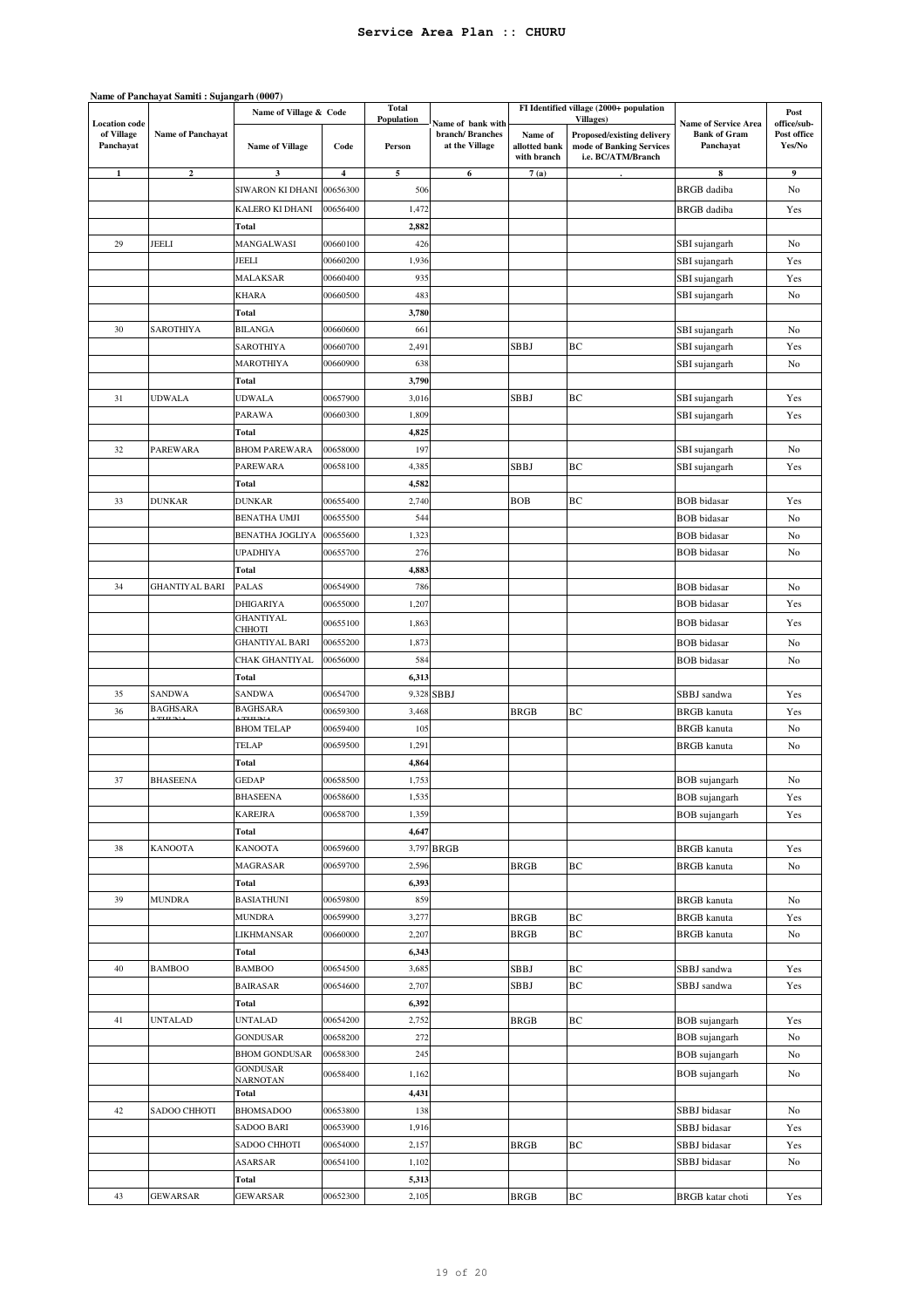|                                                 | Name of Panchayat Samiti: Sujangarh (0007) |                                  |          |                             |                                                        |                                         |                                                                                                   |                                                                 |                                      |
|-------------------------------------------------|--------------------------------------------|----------------------------------|----------|-----------------------------|--------------------------------------------------------|-----------------------------------------|---------------------------------------------------------------------------------------------------|-----------------------------------------------------------------|--------------------------------------|
|                                                 |                                            | Name of Village & Code           |          | <b>Total</b>                |                                                        |                                         | FI Identified village (2000+ population                                                           |                                                                 | Post                                 |
| <b>Location</b> code<br>of Village<br>Panchayat | <b>Name of Panchayat</b>                   | <b>Name of Village</b>           | Code     | <b>Population</b><br>Person | Name of bank with<br>branch/Branches<br>at the Village | Name of<br>allotted bank<br>with branch | <b>Villages</b> )<br>Proposed/existing delivery<br>mode of Banking Services<br>i.e. BC/ATM/Branch | <b>Name of Service Area</b><br><b>Bank of Gram</b><br>Panchayat | office/sub-<br>Post office<br>Yes/No |
| 1                                               | $\overline{2}$                             | 3                                | 4        | 5                           | 6                                                      | 7(a)                                    |                                                                                                   | 8                                                               | 9                                    |
|                                                 |                                            | SIWARON KI DHANI                 | 00656300 | 506                         |                                                        |                                         |                                                                                                   | <b>BRGB</b> dadiba                                              | No                                   |
|                                                 |                                            | KALERO KI DHANI                  | 00656400 | 1,472                       |                                                        |                                         |                                                                                                   | <b>BRGB</b> dadiba                                              | Yes                                  |
|                                                 |                                            | Total                            |          | 2,882                       |                                                        |                                         |                                                                                                   |                                                                 |                                      |
| 29                                              | JEELI                                      | MANGALWASI                       | 00660100 | 426                         |                                                        |                                         |                                                                                                   | SBI sujangarh                                                   | No                                   |
|                                                 |                                            | JEELI                            | 00660200 | 1,936                       |                                                        |                                         |                                                                                                   | SBI sujangarh                                                   | Yes                                  |
|                                                 |                                            | <b>MALAKSAR</b>                  | 00660400 | 935                         |                                                        |                                         |                                                                                                   | SBI sujangarh                                                   | Yes                                  |
|                                                 |                                            | KHARA                            | 00660500 | 483                         |                                                        |                                         |                                                                                                   | SBI sujangarh                                                   | No                                   |
|                                                 |                                            | <b>Total</b>                     |          | 3,780                       |                                                        |                                         |                                                                                                   |                                                                 |                                      |
| 30                                              | SAROTHIYA                                  | <b>BILANGA</b>                   | 00660600 | 661                         |                                                        |                                         |                                                                                                   | SBI sujangarh                                                   | No                                   |
|                                                 |                                            | SAROTHIYA                        | 00660700 | 2,49                        |                                                        | SBBJ                                    | BC                                                                                                | SBI sujangarh                                                   | Yes                                  |
|                                                 |                                            | MAROTHIYA                        | 00660900 | 638                         |                                                        |                                         |                                                                                                   | SBI sujangarh                                                   | No                                   |
|                                                 |                                            | Total                            |          | 3,790                       |                                                        |                                         |                                                                                                   |                                                                 |                                      |
| 31                                              | UDWALA                                     | UDWALA                           | 00657900 | 3,016                       |                                                        | SBBJ                                    | BC                                                                                                | SBI sujangarh                                                   | Yes                                  |
|                                                 |                                            | PARAWA                           | 00660300 | 1,809                       |                                                        |                                         |                                                                                                   | SBI sujangarh                                                   | Yes                                  |
|                                                 |                                            | Total                            |          | 4,825                       |                                                        |                                         |                                                                                                   |                                                                 |                                      |
| 32                                              | PAREWARA                                   | <b>BHOM PAREWARA</b>             | 00658000 | 197                         |                                                        |                                         |                                                                                                   | SBI sujangarh                                                   | No                                   |
|                                                 |                                            | PAREWARA                         | 00658100 | 4,385                       |                                                        | SBBJ                                    | BC                                                                                                | SBI sujangarh                                                   | Yes                                  |
|                                                 |                                            | Total                            |          | 4,582                       |                                                        |                                         |                                                                                                   |                                                                 |                                      |
| 33                                              | DUNKAR                                     | <b>DUNKAR</b>                    | 00655400 | 2,740                       |                                                        | <b>BOB</b>                              | ВC                                                                                                | <b>BOB</b> bidasar                                              | Yes                                  |
|                                                 |                                            | <b>BENATHA UMJI</b>              | 00655500 | 544                         |                                                        |                                         |                                                                                                   | <b>BOB</b> bidasar                                              | No                                   |
|                                                 |                                            | BENATHA JOGLIYA                  | 00655600 | 1,323                       |                                                        |                                         |                                                                                                   | <b>BOB</b> bidasar                                              | No                                   |
|                                                 |                                            | UPADHIYA                         | 00655700 | 276                         |                                                        |                                         |                                                                                                   | <b>BOB</b> bidasar                                              | No                                   |
|                                                 |                                            | Total                            |          | 4,883                       |                                                        |                                         |                                                                                                   |                                                                 |                                      |
| 34                                              | GHANTIYAL BARI                             | PALAS                            | 00654900 | 786                         |                                                        |                                         |                                                                                                   | <b>BOB</b> bidasar                                              | No                                   |
|                                                 |                                            | DHIGARIYA                        | 00655000 | 1,207                       |                                                        |                                         |                                                                                                   | <b>BOB</b> bidasar                                              | Yes                                  |
|                                                 |                                            | GHANTIYAL                        | 00655100 | 1,863                       |                                                        |                                         |                                                                                                   | <b>BOB</b> bidasar                                              | Yes                                  |
|                                                 |                                            | СННОТІ<br>GHANTIYAL BARI         | 00655200 | 1,873                       |                                                        |                                         |                                                                                                   | <b>BOB</b> bidasar                                              | No                                   |
|                                                 |                                            | CHAK GHANTIYAL                   | 00656000 | 584                         |                                                        |                                         |                                                                                                   | <b>BOB</b> bidasar                                              | No                                   |
|                                                 |                                            | Total                            |          | 6,313                       |                                                        |                                         |                                                                                                   |                                                                 |                                      |
| 35                                              | SANDWA                                     | SANDWA                           | 00654700 |                             | 9,328 SBBJ                                             |                                         |                                                                                                   | SBBJ sandwa                                                     | Yes                                  |
| 36                                              | <b>BAGHSARA</b>                            | <b>BAGHSARA</b>                  | 00659300 | 3,468                       |                                                        | <b>BRGB</b>                             | BC                                                                                                | <b>BRGB</b> kanuta                                              | Yes                                  |
|                                                 | <b>A TELE INT</b>                          | <b>THEM</b><br><b>BHOM TELAP</b> | 00659400 | 105                         |                                                        |                                         |                                                                                                   | <b>BRGB</b> kanuta                                              | No                                   |
|                                                 |                                            | TELAP                            | 00659500 | 1,291                       |                                                        |                                         |                                                                                                   | <b>BRGB</b> kanuta                                              | No                                   |
|                                                 |                                            | Total                            |          | 4,864                       |                                                        |                                         |                                                                                                   |                                                                 |                                      |
| 37                                              | <b>BHASEENA</b>                            | GEDAP                            | 00658500 | 1,753                       |                                                        |                                         |                                                                                                   | <b>BOB</b> sujangarh                                            | No                                   |
|                                                 |                                            | <b>BHASEENA</b>                  | 00658600 | 1,535                       |                                                        |                                         |                                                                                                   | <b>BOB</b> sujangarh                                            | Yes                                  |
|                                                 |                                            | <b>KAREJRA</b>                   | 00658700 | 1,359                       |                                                        |                                         |                                                                                                   | <b>BOB</b> sujangarh                                            | Yes                                  |
|                                                 |                                            | Total                            |          | 4,647                       |                                                        |                                         |                                                                                                   |                                                                 |                                      |
| 38                                              | KANOOTA                                    | KANOOTA                          | 00659600 | 3,797                       | <b>BRGB</b>                                            |                                         |                                                                                                   | <b>BRGB</b> kanuta                                              | Yes                                  |
|                                                 |                                            | MAGRASAR                         | 00659700 | 2,596                       |                                                        | BRGB                                    | ВC                                                                                                | BRGB kanuta                                                     | No                                   |
|                                                 |                                            | Total                            |          | 6,393                       |                                                        |                                         |                                                                                                   |                                                                 |                                      |
| 39                                              | MUNDRA                                     | <b>BASIATHUNI</b>                | 00659800 | 859                         |                                                        |                                         |                                                                                                   | <b>BRGB</b> kanuta                                              | No                                   |
|                                                 |                                            | <b>MUNDRA</b>                    | 00659900 | 3,277                       |                                                        | <b>BRGB</b>                             | BC                                                                                                | <b>BRGB</b> kanuta                                              | Yes                                  |
|                                                 |                                            | LIKHMANSAR                       | 00660000 | 2,207                       |                                                        | <b>BRGB</b>                             | BC                                                                                                | <b>BRGB</b> kanuta                                              | No                                   |
|                                                 |                                            | Total                            |          | 6,343                       |                                                        |                                         |                                                                                                   |                                                                 |                                      |
| 40                                              | <b>BAMBOO</b>                              | <b>BAMBOO</b>                    | 00654500 | 3,685                       |                                                        | SBBJ                                    | BC                                                                                                | SBBJ sandwa                                                     | Yes                                  |
|                                                 |                                            | <b>BAIRASAR</b>                  | 00654600 | 2,707                       |                                                        | SBBJ                                    | BC                                                                                                | SBBJ sandwa                                                     | Yes                                  |
|                                                 |                                            | Total                            |          | 6,392                       |                                                        |                                         |                                                                                                   |                                                                 |                                      |
| 41                                              | <b>UNTALAD</b>                             | <b>UNTALAD</b>                   | 00654200 | 2,752                       |                                                        | <b>BRGB</b>                             | BC                                                                                                | <b>BOB</b> sujangarh                                            | Yes                                  |
|                                                 |                                            | <b>GONDUSAR</b>                  | 00658200 | 272                         |                                                        |                                         |                                                                                                   | <b>BOB</b> sujangarh                                            | No                                   |
|                                                 |                                            | <b>BHOM GONDUSAR</b>             | 00658300 | 245                         |                                                        |                                         |                                                                                                   | <b>BOB</b> sujangarh                                            | No                                   |
|                                                 |                                            | <b>GONDUSAR</b><br>NARNOTAN      | 00658400 | 1,162                       |                                                        |                                         |                                                                                                   | <b>BOB</b> sujangarh                                            | No                                   |
|                                                 |                                            | Total                            |          | 4,431                       |                                                        |                                         |                                                                                                   |                                                                 |                                      |
| 42                                              | SADOO CHHOTI                               | <b>BHOMSADOO</b>                 | 00653800 | 138                         |                                                        |                                         |                                                                                                   | SBBJ bidasar                                                    | No                                   |
|                                                 |                                            | SADOO BARI                       | 00653900 | 1,916                       |                                                        |                                         |                                                                                                   | SBBJ bidasar                                                    | Yes                                  |
|                                                 |                                            | SADOO CHHOTI                     | 00654000 | 2,157                       |                                                        | <b>BRGB</b>                             | BC                                                                                                | SBBJ bidasar                                                    | Yes                                  |
|                                                 |                                            | ASARSAR                          | 00654100 | 1,102                       |                                                        |                                         |                                                                                                   | SBBJ bidasar                                                    | No                                   |
|                                                 |                                            | Total                            |          | 5,313                       |                                                        |                                         |                                                                                                   |                                                                 |                                      |
| 43                                              | GEWARSAR                                   | <b>GEWARSAR</b>                  | 00652300 | 2,105                       |                                                        | <b>BRGB</b>                             | ВC                                                                                                | BRGB katar choti                                                | Yes                                  |